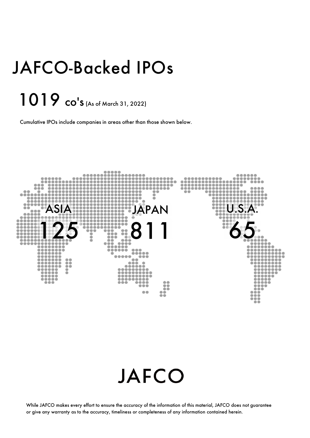# JAFCO-Backed IPOs

## 1019 co's (As of March 31, 2022)

Cumulative IPOs include companies in areas other than those shown below.



## **JAFCO**

While JAFCO makes every effort to ensure the accuracy of the information of this material, JAFCO does not guarantee or give any warranty as to the accuracy, timeliness or completeness of any information contained herein.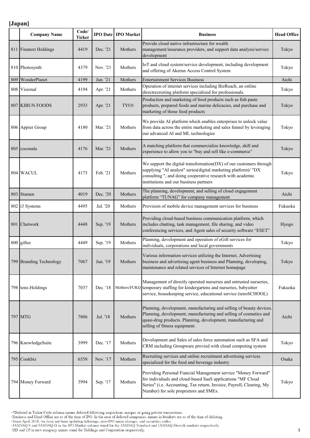|     | <b>Company Name</b>     | Code/<br><b>Ticker</b> |          | <b>IPO Date IPO Market</b> | <b>Business</b>                                                                                                                                                                                                                                 | <b>Head Office</b> |
|-----|-------------------------|------------------------|----------|----------------------------|-------------------------------------------------------------------------------------------------------------------------------------------------------------------------------------------------------------------------------------------------|--------------------|
|     | 811 Finatext Holdings   | 4419                   | Dec. '21 | Mothers                    | Provide cloud native infrastructure for wealth<br>management/insurance providers, and support data analysis/service<br>development                                                                                                              | Tokyo              |
|     | 810 Photosynth          | 4379                   | Nov. '21 | Mothers                    | IoT and cloud system/service development, including development<br>and offering of Akerun Access Control System                                                                                                                                 | Tokyo              |
| 809 | WonderPlanet            | 4199                   | Jun. '21 | Mothers                    | <b>Entertainment Services Business</b>                                                                                                                                                                                                          | Aichi              |
|     | 808 Visional            | 4194                   | Apr. '21 | Mothers                    | Operation of internet services including BizReach, an online<br>directrecruiting platform specialized for professionals.                                                                                                                        | Tokyo              |
|     | 807 KIBUN FOODS         | 2933                   | Apr. '21 | TYO1                       | Production and marketing of food products such as fish paste<br>products, prepared foods and marine delicacies, and purchase and<br>marketing of those food products                                                                            | Tokyo              |
|     | 806 Appier Group        | 4180                   | Mar. '21 | Mothers                    | We provide AI platform which enables enterprises to unlock value<br>from data across the entire marketing and sales funnel by leveraging<br>our advanced AI and ML technologies                                                                 | Tokyo              |
|     | 805 coconala            | 4176                   | Mar. '21 | Mothers                    | A matching platform that commercialize knowledge, skill and<br>experience to allow you to "buy and sell like e-commerce"                                                                                                                        | Tokyo              |
|     | 804 WACUL               | 4173                   | Feb. '21 | Mothers                    | We support the digital transformation(DX) of our customers through<br>supplying "AI analyst" series(digital marketing platform)/ "DX<br>consulting ", and doing cooperative research with academic<br>institutions and our business partners    | Tokyo              |
|     | 803 Stamen              | 4019                   | Dec. '20 | Mothers                    | The planning, development, and selling of cloud engagement<br>platform "TUNAG" for company management                                                                                                                                           | Aichi              |
|     | 802 i3 Systems          | 4495                   | Jul. '20 | Mothers                    | Provision of mobile device management services for business                                                                                                                                                                                     | Fukuoka            |
|     | 801 Chatwork            | 4448                   | Sep. '19 | Mothers                    | Providing cloud-based business communication platform, which<br>includes chatting, task management, file sharing, and video<br>conferencing services, and Agent sales of security software "ESET"                                               | Hyogo              |
|     | 800 giftee              | 4449                   | Sep. '19 | Mothers                    | Planning, development and operation of eGift services for<br>individuals, corporations and local governments                                                                                                                                    | Tokyo              |
|     | 799 Branding Technology | 7067                   | Jun. '19 | Mothers                    | Various information services utilizing the Internet, Advertising<br>business and advertising agent business and Planning, developing,<br>maintenance and related services of Internet homepage                                                  | Tokyo              |
|     | 798 teno.Holdings       | 7037                   | Dec. '18 |                            | Management of directly operated nurseries and entrusted nurseries,<br>Mothers/FUKQ temporary staffing for kindergartens and nurseries, babysitter<br>service, housekeeping service, educational service (tenoSCHOOL)                            | Fukuoka            |
|     | 797 MTG                 | 7806                   | Jul. '18 | Mothers                    | Planning, development, manufacturing and selling of beauty devices.<br>Planning, development, manufacturing and selling of cosmetics and<br>quasi-drug products. Planning, development, manufacturing and<br>selling of fitness equipment.      | Aichi              |
|     | 796 KnowledgeSuite      | 3999                   | Dec. '17 | Mothers                    | Development and Sales of sales force automation such as SFA and<br>CRM including Groupware provied with cloud computing system                                                                                                                  | Tokyo              |
|     | 795 Cookbiz             | 6558                   | Nov. '17 | Mothers                    | Recruiting services and online recruitment advertising services<br>specialized for the food and beverage industry                                                                                                                               | Osaka              |
|     | 794 Money Forward       | 3994                   | Sep. '17 | Mothers                    | Providing Personal Fiancial Management service "Money Forward"<br>for individuals and cloud-based SaaS applications "MF Cloud<br>Series" (i.e. Accounting, Tax return, Invoice, Payroll, Clearing, My<br>Number) for sole proprietors and SMEs. | Tokyo              |

\*Delisted in Ticker/Code column means delisted following acquisition, merger, or going private transactions.<br>Business and Head Office are as of the time of IPO. In the case of delisted companies, names in brackets are as o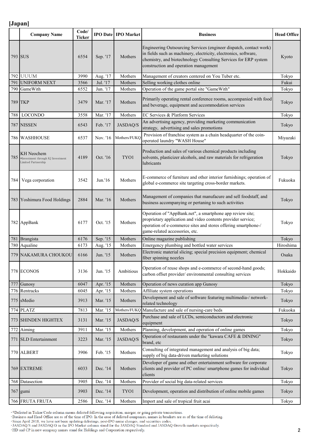|     | <b>Company Name</b>                                                           | Code/<br><b>Ticker</b> |          | <b>IPO Date IPO Market</b> | <b>Business</b>                                                                                                                                                                                                                                    | <b>Head Office</b> |
|-----|-------------------------------------------------------------------------------|------------------------|----------|----------------------------|----------------------------------------------------------------------------------------------------------------------------------------------------------------------------------------------------------------------------------------------------|--------------------|
|     | 793 SUS                                                                       | 6554                   | Sep. '17 | Mothers                    | Engineering Outsourcing Services (engineer dispatch, contact work)<br>in fields such as machinery, electricity, electronics, software,<br>chemistry, and biotechnology Consulting Services for ERP system<br>construction and operation management | Kyoto              |
|     | <b>792 UUUM</b>                                                               | 3990                   | Aug. '17 | Mothers                    | Management of creators centered on You Tuber etc.                                                                                                                                                                                                  | Tokyo              |
| 791 | <b>UNIFORM NEXT</b>                                                           | 3566                   | Jul. '17 | Mothers                    | Selling working clothes online                                                                                                                                                                                                                     | Fukui              |
|     | 790 GameWith                                                                  | 6552                   | Jun. '17 | Mothers                    | Operation of the game portal site "GameWith"                                                                                                                                                                                                       | Tokyo              |
|     | 789 TKP                                                                       | 3479                   | Mar. '17 | Mothers                    | Primarily operating rental conference rooms, accompanied with food<br>and beverage, equipment and accommodation services                                                                                                                           | Tokyo              |
| 788 | <b>LOCONDO</b>                                                                | 3558                   | Mar. '17 | Mothers                    | EC Services & Platform Services                                                                                                                                                                                                                    | Tokyo              |
|     | 787 NISSEN                                                                    | 6543                   | Feb. '17 | JASDAQ/S                   | An advertising agency, providing marketing communication<br>strategy, advertising and sales promotions                                                                                                                                             | Tokyo              |
|     | 786 WASHHOUSE                                                                 | 6537                   | Nov. '16 | Mothers/FUKQ               | Provision of franchise system as a chain headquarter of the coin-<br>operated laundry "WASH House"                                                                                                                                                 | Miyazaki           |
| 785 | <b>KH</b> Neochem<br>*Investment through KJ Investment<br>Limited Partnership | 4189                   | Oct. '16 | TYO1                       | Production and sales of various chemical products including<br>solvents, plasticizer alcohols, and raw materials for refrigeration<br>lubricants                                                                                                   | Tokyo              |
| 784 | Vega corporation                                                              | 3542                   | Jun.'16  | Mothers                    | E-commerce of furniture and other interior furnishings; operation of<br>global e-commerce site targeting cross-border markets.                                                                                                                     | Fukuoka            |
|     | 783 Yoshimura Food Holdings                                                   | 2884                   | Mar. '16 | Mothers                    | Management of companies that manufacure and sell foodstaff, and<br>business accompanying or pertaning to such activities                                                                                                                           | Tokyo              |
|     | 782 AppBank                                                                   | 6177                   | Oct. '15 | Mothers                    | Operation of "AppBank.net", a smartphone app review site;<br>proprietary application and video contents provider service;<br>operation of e-commerce sites and stores offering smartphone-/<br>game-related accessories, etc.                      | Tokyo              |
|     | 781 Brangista                                                                 | 6176                   | Sep. '15 | Mothers                    | Online magazine publishing                                                                                                                                                                                                                         | Tokyo              |
|     | 780 Aqualine                                                                  | 6173                   | Aug. '15 | Mothers                    | Emergency plumbing and bottled water services                                                                                                                                                                                                      | Hiroshima          |
|     | 779 NAKAMURA CHOUKOU                                                          | 6166                   | Jun. '15 | Mothers                    | Electronic material slicing; special precision equipment; chemical<br>fiber spinning nozzles                                                                                                                                                       | Osaka              |
|     | 778 ECONOS                                                                    | 3136                   | Jun. '15 | Ambitious                  | Operation of reuse shops and e-commerce of second-hand goods;<br>carbon offset provider/environmental consulting services                                                                                                                          | Hokkaido           |
| 777 | Gunosy                                                                        | 6047                   | Apr. '15 | Mothers                    | Operation of news curation app Gunosy                                                                                                                                                                                                              | Tokyo              |
|     | 776 Rentracks                                                                 | 6045                   | Apr. '15 | Mothers                    | Affiliate system operations                                                                                                                                                                                                                        | Tokyo              |
|     | 775 sMedio                                                                    | 3913                   | Mar. '15 | Mothers                    | Development and sale of software featuring multimedia-/ network-<br>related technology                                                                                                                                                             | Tokyo              |
|     | 774 PLATZ                                                                     | 7813                   | Mar. '15 | Mothers/FUKQ               | Manufacture and sale of nursing-care beds                                                                                                                                                                                                          | Fukuoka            |
|     | 773 SHINDEN HIGHTEX                                                           | 3131                   | Mar. '15 | JASDAQ/S                   | Purchase and sale of LCDs, semiconductors and electronic<br>equipment                                                                                                                                                                              | Tokyo              |
| 772 | Aiming                                                                        | 3911                   | Mar. '15 | Mothers                    | Planning, development, and operation of online games                                                                                                                                                                                               | Tokyo              |
|     | 771 SLD Entertainment                                                         | 3223                   | Mar. '15 | JASDAQ/S                   | Operation of restaurants under the "kawara CAFE & DINING"<br>brand, etc                                                                                                                                                                            | Tokyo              |
|     | 770 ALBERT                                                                    | 3906                   | Feb. '15 | Mothers                    | Consulting of integrated management and analysis of big data;<br>supply of big data-driven marketing solutions                                                                                                                                     | Tokyo              |
|     | 769 EXTREME                                                                   | 6033                   | Dec. '14 | Mothers                    | Developer of game and other entertainment software for corporate<br>clients and provider of PC online/ smartphone games for individual<br>clients                                                                                                  | Tokyo              |
|     | 768 Datasection                                                               | 3905                   | Dec. '14 | Mothers                    | Provider of social big data-related services                                                                                                                                                                                                       | Tokyo              |
|     | $767$ gumi                                                                    | 3903                   | Dec. '14 | TYO1                       | Development, operation and distribution of online mobile games                                                                                                                                                                                     | Tokyo              |
|     | 766 FRUTA FRUTA                                                               | 2586                   | Dec. '14 | Mothers                    | Import and sale of tropical fruit acai                                                                                                                                                                                                             | Tokyo              |

\*Delisted in Ticker/Code column means delisted following acquisition, merger, or going private transactions.<br>Business and Head Office are as of the time of IPO. In the case of delisted companies, names in brackets are as o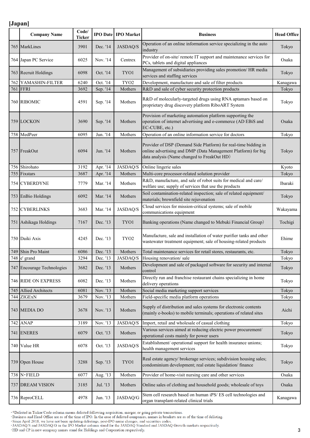|     | <b>Company Name</b>        | Code/<br><b>Ticker</b> |          | <b>IPO Date   IPO Market</b> | <b>Business</b>                                                                                                                                                                 | <b>Head Office</b> |
|-----|----------------------------|------------------------|----------|------------------------------|---------------------------------------------------------------------------------------------------------------------------------------------------------------------------------|--------------------|
|     | 765 MarkLines              | 3901                   | Dec. '14 | <b>JASDAQ/S</b>              | Operation of an online information service specializing in the auto<br>industry                                                                                                 | Tokyo              |
|     | 764 Japan PC Service       | 6025                   | Nov. '14 | Centrex                      | Provider of on-site/remote IT support and maintenance services for<br>PCs, tablets and digital appliances                                                                       | Osaka              |
|     | 763 Recruit Holdings       | 6098                   | Oct. '14 | TYO1                         | Management of subsidiaries providing sales promotion/ HR media<br>services and staffing services                                                                                | Tokyo              |
| 762 | YAMASHIN-FILTER            | 6240                   | Oct. '14 | TYO <sub>2</sub>             | Development, manufacture and sale of filter products                                                                                                                            | Kanagawa           |
|     | <b>761 FFRI</b>            | 3692                   | Sep. '14 | Mothers                      | R&D and sale of cyber security protection products                                                                                                                              | Tokyo              |
|     | 760 RIBOMIC                | 4591                   | Sep. '14 | Mothers                      | R&D of molecularly-targeted drugs using RNA aptamars based on<br>proprietary drug discovery platform RiboART System                                                             | Tokyo              |
|     | 759 LOCKON                 | 3690                   | Sep. '14 | Mothers                      | Provision of marketing automation platform supporting the<br>operation of internet advertising and e-commerce (AD EBiS and<br>EC-CUBE, etc.)                                    | Osaka              |
|     | 758 MedPeer                | 6095                   | Jun. '14 | Mothers                      | Operation of an online information service for doctors                                                                                                                          | Tokyo              |
|     | 757 FreakOut               | 6094                   | Jun. '14 | Mothers                      | Provider of DSP (Demand Side Platform) for real-time bidding in<br>online advertising and DMP (Data Management Platform) for big<br>data analysis (Name changed to FreakOut HD) | Tokyo              |
| 756 | Shirohato                  | 3192                   | Apr. '14 | <b>JASDAQ/S</b>              | Online lingerie sales                                                                                                                                                           | Kyoto              |
| 755 | Fixstars                   | 3687                   | Apr. '14 | Mothers                      | Multi-core processor-related solution provider                                                                                                                                  | Tokyo              |
|     | 754 CYBERDYNE              | 7779                   | Mar. '14 | Mothers                      | R&D, manufacture, and sale of robot suits for medical and care/<br>welfare use; supply of services that use the products                                                        | Ibaraki            |
|     | 753 EnBio Holdings         | 6092                   | Mar. '14 | Mothers                      | Soil contamination-related inspection; sale of related equipment/<br>materials; brownfield site rejuvenation                                                                    | Tokyo              |
|     | 752 CYBERLINKS             | 3683                   | Mar. '14 | JASDAQ/S                     | Cloud services for mission-critical systems; sale of mobile<br>communications equipment                                                                                         | Wakayama           |
|     | 751 Ashikaga Holdings      | 7167                   | Dec. '13 | TYO1                         | Banking operations (Name changed to Mebuki Financial Group)                                                                                                                     | Tochigi            |
|     | 750 Daiki Axis             | 4245                   | Dec. '13 | TYO <sub>2</sub>             | Manufacture, sale and installation of water purifier tanks and other<br>wastewater treatment equipment; sale of housing-related products                                        | Ehime              |
|     | 749 Shin Pro Maint         | 6086                   | Dec. '13 | Mothers                      | Total maintenance services for retail stores, restaurants, etc.                                                                                                                 | Tokyo              |
|     | 748 e' grand               | 3294                   | Dec. '13 | <b>JASDAQ/S</b>              | Housing renovation/sale                                                                                                                                                         | Tokyo              |
|     | 747 Encourage Technologies | 3682                   | Dec. '13 | Mothers                      | Development and sale of packaged software for security and internal<br>control                                                                                                  | Tokyo              |
|     | 746 RIDE ON EXPRESS        | 6082                   | Dec. '13 | Mothers                      | Directly run and franchise restaurant chains specializing in home<br>delivery operations                                                                                        | Tokyo              |
| 745 | <b>Allied Architects</b>   | 6081                   | Nov. '13 | Mothers                      | Social media marketing support services                                                                                                                                         | Tokyo              |
|     | 744 ZIGExN                 | 3679                   | Nov. '13 | Mothers                      | Field-specific media platform operations                                                                                                                                        | Tokyo              |
|     | 743 MEDIA DO               | 3678                   | Nov. '13 | Mothers                      | Supply of distribution and sales systems for electronic contents<br>(mainly e-books) to mobile terminals; operations of related sites                                           | Aichi              |
|     | <b>742 ANAP</b>            | 3189                   | Nov. '13 | JASDAQ/S                     | Import, retail and wholesale of casual clothing                                                                                                                                 | Tokyo              |
|     | 741 ENERES                 | 6079                   | Oct. '13 | Mothers                      | Various services aimed at reducing electric power procurement/<br>operational costs mainly for power users                                                                      | Tokyo              |
|     | 740 Value HR               | 6078                   | Oct. '13 | JASDAQ/S                     | Establishment/ operational support for health insurance unions;<br>health management services                                                                                   | Tokyo              |
|     | 739 Open House             | 3288                   | Sep. '13 | TYO1                         | Real estate agency/ brokerage services; subdivision housing sales;<br>condominium development; real estate liquidation/ finance                                                 | Tokyo              |
|     | 738 N·FIELD                | 6077                   | Aug. '13 | Mothers                      | Provider of home-visit nursing care and other services                                                                                                                          | Osaka              |
|     | 737 DREAM VISION           | 3185                   | Jul. '13 | Mothers                      | Online sales of clothing and household goods; wholesale of toys                                                                                                                 | Osaka              |
|     | 736 ReproCELL              | 4978                   | Jun. '13 | JASDAQ/G                     | Stem cell research based on human iPS/ES cell technologies and<br>organ transplant-related clinical trials                                                                      | Kanagawa           |

\*Delisted in Ticker/Code column means delisted following acquisition, merger, or going private transactions.<br>Business and Head Office are as of the time of IPO. In the case of delisted companies, names in brackets are as o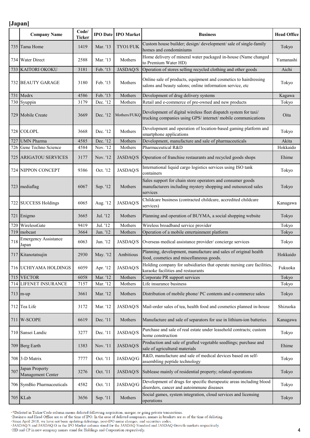|     | <b>Company Name</b>                  | Code/<br><b>Ticker</b> | <b>IPO</b> Date | <b>IPO</b> Market | <b>Business</b>                                                                                                                         | <b>Head Office</b> |
|-----|--------------------------------------|------------------------|-----------------|-------------------|-----------------------------------------------------------------------------------------------------------------------------------------|--------------------|
|     | 735 Tama Home                        | 1419                   | Mar. '13        | TYO1/FUK          | Custom house builder; design/ development/ sale of single-family<br>homes and condominiums                                              | Tokyo              |
|     | 734 Water Direct                     | 2588                   | Mar. '13        | Mothers           | Home delivery of mineral water packaged in-house (Name changed<br>to Premium Water HD)                                                  | Yamanashi          |
| 733 | <b>KAITORI OKOKU</b>                 | 3181                   | Feb. '13        | JASDAQ/S          | Operation of stores selling recycled clothing and other goods                                                                           | Aichi              |
|     | 732 BEAUTY GARAGE                    | 3180                   | Feb. '13        | Mothers           | Online sale of products, equipment and cosmetics to hairdressing<br>salons and beauty salons; online information service, etc           | Tokyo              |
| 731 | Medrx                                | 4586                   | Feb. '13        | Mothers           | Development of drug delivery systems                                                                                                    | Kagawa             |
|     | 730 Syuppin                          | 3179                   | Dec. '12        | Mothers           | Retail and e-commerce of pre-owned and new products                                                                                     | Tokyo              |
|     | 729 Mobile Create                    | 3669                   | Dec. '12        | Mothers/FUKO      | Development of digital wireless fleet dispatch system for taxi/<br>trucking companies using GPS/internet/mobile communications          | Oita               |
|     | 728 COLOPL                           | 3668                   | Dec. '12        | Mothers           | Development and operation of location-based gaming platform and<br>smartphone applications                                              | Tokyo              |
| 727 | <b>UMN Pharma</b>                    | 4585                   | Dec. '12        | Mothers           | Development, manufacture and sale of pharmaceuticals                                                                                    | Akita              |
| 726 | Gene Techno Science                  | 4584                   | Nov. '12        | Mothers           | Pharmaceutical R&D                                                                                                                      | Hokkaido           |
|     | 725 ARIGATOU SERVICES                | 3177                   | Nov. '12        | <b>JASDAQ/S</b>   | Operation of franchise restaurants and recycled goods shops                                                                             | Ehime              |
|     | 724 NIPPON CONCEPT                   | 9386                   | Oct. '12        | <b>JASDAQ/S</b>   | International liquid cargo logistics services using ISO tank<br>containers                                                              | Tokyo              |
|     | 723 mediaflag                        | 6067                   | Sep. '12        | Mothers           | Sales support for chain store operators and consumer goods<br>manufacturers including mystery shopping and outsourced sales<br>services | Tokyo              |
|     | 722 SUCCESS Holdings                 | 6065                   | Aug. '12        | <b>JASDAQ/S</b>   | Childcare business (contracted childcare, accredited childcare<br>services)                                                             | Kanagawa           |
|     | 721 Enigmo                           | 3665                   | Jul. '12        | Mothers           | Planning and operation of BUYMA, a social shopping website                                                                              | Tokyo              |
| 720 | WirelessGate                         | 9419                   | Jul. '12        | Mothers           | Wireless broadband service provider                                                                                                     | Tokyo              |
| 719 | mobcast                              | 3664                   | Jun. '12        | Mothers           | Operation of a mobile entertainment platform                                                                                            | Tokyo              |
| 718 | <b>Emergency Assistance</b><br>Japan | 6063                   | Jun. '12        | <b>JASDAQ/S</b>   | Overseas medical assistance provider/concierge services                                                                                 | Tokyo              |
|     | 717 Kitanotatsujin                   | 2930                   | May. '12        | Ambitious         | Planning, development, manufacture and sales of original health<br>food, cosmetics and miscellaneous goods.                             | Hokkaido           |
|     | 716 UCHIYAMA HOLDINGS                | 6059                   | Apr. '12        | JASDAQ/S          | Holding company for subsidiaries that operate nursing care facilities,<br>karaoke facilities and restaurants                            | Fukuoka            |
| 715 | <b>VECTOR</b>                        | 6058                   | Mar. '12        | Mothers           | Corporate PR support services                                                                                                           | Tokyo              |
|     | 714 LIFENET INSURANCE                | 7157                   | Mar. '12        | Mothers           | Life insurance business                                                                                                                 | Tokyo              |
|     | $713$ m-up                           | 3661                   | Mar. '12        | Mothers           | Distribution of mobile phone/ PC contents and e-commerce sales                                                                          | Tokyo              |
|     | 712 Tea Life                         | 3172                   | Mar. '12        | <b>JASDAQ/S</b>   | Mail-order sales of tea, health food and cosmetics planned in-house                                                                     | Shizuoka           |
|     | 711 W-SCOPE                          | 6619                   | Dec. '11        | Mothers           | Manufacture and sale of separators for use in lithium-ion batteries                                                                     | Kanagawa           |
|     | 710 Sansei Landic                    | 3277                   | Dec. '11        | <b>JASDAQ/S</b>   | Purchase and sale of real estate under leasehold contracts; custom<br>home construction                                                 | Tokyo              |
|     | 709 Berg Earth                       | 1383                   | Nov. '11        | <b>JASDAQ/S</b>   | Production and sale of grafted vegetable seedlings; purchase and<br>sale of agricultural materials                                      | Ehime              |
|     | 708 3-D Matrix                       | 7777                   | Oct. '11        | JASDAQ/G          | R&D, manufacture and sale of medical devices based on self-<br>assembling peptide technology                                            | Tokyo              |
| 707 | Japan Property<br>Management Center  | 3276                   | Oct. '11        | <b>JASDAQ/S</b>   | Sublease mainly of residential property; related operations                                                                             | Tokyo              |
|     | 706 SymBio Pharmaceuticals           | 4582                   | Oct. '11        | JASDAQ/G          | Development of drugs for specific therapeutic areas including blood<br>disorders, cancer and autoimmune diseases                        | Tokyo              |
|     | 705 KLab                             | 3656                   | Sep. '11        | Mothers           | Social games, system integration, cloud services and licensing<br>operations                                                            | Tokyo              |

\*Delisted in Ticker/Code column means delisted following acquisition, merger, or going private transactions.<br>Business and Head Office are as of the time of IPO. In the case of delisted companies, names in brackets are as o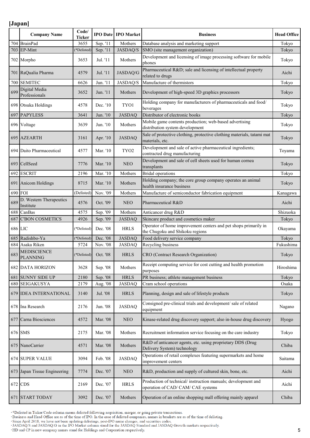|         | <b>Company Name</b>                  | Code/<br><b>Ticker</b> |          | <b>IPO Date IPO Market</b> | <b>Business</b>                                                                                    | <b>Head Office</b> |
|---------|--------------------------------------|------------------------|----------|----------------------------|----------------------------------------------------------------------------------------------------|--------------------|
| 704     | <b>BrainPad</b>                      | 3655                   | Sep. '11 | Mothers                    | Database analysis and marketing support                                                            | Tokyo              |
| 703     | EP-Mint                              | (*Delisted)            | Sep. '11 | <b>JASDAQ/S</b>            | SMO (site management organization)                                                                 | Tokyo              |
|         | 702 Morpho                           | 3653                   | Jul. '11 | Mothers                    | Development and licensing of image processing software for mobile<br>phones                        | Tokyo              |
|         | 701 RaQualia Pharma                  | 4579                   | Jul. '11 | JASDAQ/G                   | Pharmaceutical R&D sale and licensing of intellectual property<br>related to drugs                 | Aichi              |
| 700     | <b>SEMITEC</b>                       | 6626                   | Jun. '11 | JASDAQ/S                   | Manufacture of thermistors                                                                         | Tokyo              |
| 699     | Digital Media<br>Professionals       | 3652                   | Jun. '11 | Mothers                    | Development of high-speed 3D graphics processors                                                   | Tokyo              |
|         | 698 Otsuka Holdings                  | 4578                   | Dec. '10 | TYO1                       | Holding company for manufacturers of pharmaceuticals and food/<br>beverages                        | Tokyo              |
| 697     | <b>PAPYLESS</b>                      | 3641                   | Jun. '10 | <b>JASDAQ</b>              | Distributor of electronic books                                                                    | Tokyo              |
|         | 696 Voltage                          | 3639                   | Jun. '10 | Mothers                    | Mobile game contents production; web-based advertising<br>distribution system development          | Tokyo              |
|         | 695 AZEARTH                          | 3161                   | Apr. '10 | <b>JASDAQ</b>              | Sale of protective clothing, protective clothing materials, tatami mat<br>materials, etc.          | Tokyo              |
|         | 694 Daito Pharmaceutical             | 4577                   | Mar. '10 | TYO <sub>2</sub>           | Development and sale of active pharmaceutical ingredients;<br>contracted drug manufacturing        | Toyama             |
|         | 693 CellSeed                         | 7776                   | Mar. '10 | $_{\rm NEO}$               | Development and sale of cell sheets used for human cornea<br>transplants                           | Tokyo              |
|         | 692 ESCRIT                           | 2196                   | Mar. '10 | Mothers                    | <b>Bridal</b> operations                                                                           | Tokyo              |
|         | 691 Anicom Holdings                  | 8715                   | Mar. '10 | Mothers                    | Holding company; the core group company operates an animal<br>health insurance business            | Tokyo              |
| 690     | <b>FOI</b>                           | (Delisted)             | Nov. '09 | Mothers                    | Manufacture of semiconductor fabrication equipment                                                 | Kanagawa           |
| 689     | D. Western Therapeutics<br>Institute | 4576                   | Oct. '09 | <b>NEO</b>                 | Pharmaceutical R&D                                                                                 | Aichi              |
| 688     | CanBas                               | 4575                   | Sep. '09 | Mothers                    | Anticancer drug R&D                                                                                | Shizuoka           |
| 687     | <b>C'BON COSMETICS</b>               | 4926                   | Sep. '09 | <b>JASDAQ</b>              | Skincare product and cosmetics maker                                                               | Tokyo              |
| 686 LIC |                                      | (*Delisted)            | Dec. '08 | <b>HRLS</b>                | Operator of home improvement centers and pet shops primarily in<br>the Chugoku and Shikoku regions | Okayama            |
| 685     | Radishbo-Ya                          | (*Delisted)            | Dec. '08 | <b>JASDAQ</b>              | Food delivery service company                                                                      | Tokyo              |
| 684     | Asaka Riken                          | 5724                   | Nov. '08 | <b>JASDAQ</b>              | Recycling business                                                                                 | Fukushima          |
| 683     | MEDISCIENCE<br><b>PLANNING</b>       | (*Delisted)            | Oct. '08 | <b>HRLS</b>                | CRO (Contract Research Organization)                                                               | Tokyo              |
|         | <b>682 DATA HORIZON</b>              | 3628                   | Sep. '08 | Mothers                    | Receipt computing service for cost cutting and health promotion<br>purposes                        | Hiroshima          |
| 681     | <b>SUNNY SIDE UP</b>                 | 2180                   | Sep. '08 | <b>HRLS</b>                | PR business; athlete management business                                                           | Tokyo              |
| 680     | <b>SEIGAKUSYA</b>                    | 2179                   | Aug. '08 | <b>JASDAQ</b>              | Cram school operations                                                                             | Osaka              |
|         | 679 IDEA INTERNATIONAL               | 3140                   | Jul. '08 | <b>HRLS</b>                | Planning, design and sale of lifestyle products                                                    | Tokyo              |
|         | 678 Ina Research                     | 2176                   | Jun. '08 | <b>JASDAQ</b>              | Consigned pre-clinical trials and development/ sale of related<br>equipment                        | Nagano             |
|         | 677 Carna Biosciences                | 4572                   | Mar. '08 | <b>NEO</b>                 | Kinase-related drug discovery support; also in-house drug discovery                                | Hyogo              |
|         | 676 SMS                              | 2175                   | Mar. '08 | Mothers                    | Recruitment information service focusing on the care industry                                      | Tokyo              |
|         | 675 NanoCarrier                      | 4571                   | Mar. '08 | Mothers                    | R&D of anticancer agents, etc. using proprietary DDS (Drug<br>Delivery System) technology          | Chiba              |
|         | 674 SUPER VALUE                      | 3094                   | Feb. '08 | <b>JASDAQ</b>              | Operations of retail complexes featuring supermarkets and home<br>improvement centers              | Saitama            |
|         | 673 Japan Tissue Engineering         | 7774                   | Dec. '07 | <b>NEO</b>                 | R&D, production and supply of cultured skin, bone, etc.                                            | Aichi              |
|         | 672 CDS                              | 2169                   | Dec. '07 | <b>HRLS</b>                | Production of technical/instruction manuals; development and<br>operation of CAD/ CAM/ CAE systems | Aichi              |
|         | 671 START TODAY                      | 3092                   | Dec. '07 | Mothers                    | Operation of an online shopping mall offering mainly apparel                                       | Chiba              |

\*Delisted in Ticker/Code column means delisted following acquisition, merger, or going private transactions.<br>Business and Head Office are as of the time of IPO. In the case of delisted companies, names in brackets are as o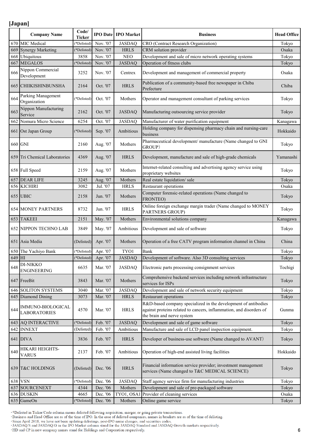|            | <b>Company Name</b>                      | Code/<br><b>Ticker</b> |                      | <b>IPO Date   IPO Market</b> | <b>Business</b>                                                                                                                                                     | <b>Head Office</b> |
|------------|------------------------------------------|------------------------|----------------------|------------------------------|---------------------------------------------------------------------------------------------------------------------------------------------------------------------|--------------------|
| 670        | MIC Medical                              | (*Delisted)            | Nov. '07             | <b>JASDAQ</b>                | <b>CRO</b> (Contract Research Organization)                                                                                                                         | Tokyo              |
| 669        | <b>Synergy Marketing</b>                 | (*Delisted)            | Nov. '07             | <b>HRLS</b>                  | CRM solution provider                                                                                                                                               | Osaka              |
| 668        | Ubiquitous                               | 3858                   | Nov. '07             | <b>NEO</b>                   | Development and sale of micro network operating systems                                                                                                             | Tokyo              |
| 667        | <b>MEGALOS</b>                           | (*Delisted)            | Nov. '07             | <b>JASDAQ</b>                | Operation of fitness clubs                                                                                                                                          | Tokyo              |
| 666        | Nippon Commercial<br>Development         | 3252                   | Nov. '07             | Centrex                      | Development and management of commercial property                                                                                                                   | Osaka              |
|            | 665 CHIIKISHINBUNSHA                     | 2164                   | Oct. '07             | <b>HRLS</b>                  | Publication of a community-based free newspaper in Chiba<br>Prefecture                                                                                              | Chiba              |
| 664        | Parking Management<br>Organization       | (*Delisted)            | Oct. '07             | Mothers                      | Operator and management consultant of parking services                                                                                                              | Tokyo              |
| 663        | Nippon Manufacturing<br>Service          | 2162                   | Oct. '07             | <b>JASDAQ</b>                | Manufacturing outsourcing service provider                                                                                                                          | Tokyo              |
| 662        | Nomura Micro Science                     | 6254                   | Oct. '07             | <b>JASDAQ</b>                | Manufacturer of water purification equipment                                                                                                                        | Kanagawa           |
|            | 661 Ost Japan Group                      | (*Delisted)            | Sep. '07             | Ambitious                    | Holding company for dispensing pharmacy chain and nursing-care<br>business                                                                                          | Hokkaido           |
|            | 660 GNI                                  | 2160                   | Aug. '07             | Mothers                      | Pharmaceutical development/ manufacture (Name changed to GNI<br>GROUP)                                                                                              | Tokyo              |
|            | 659 Tri Chemical Laboratories            | 4369                   | Aug. '07             | <b>HRLS</b>                  | Development, manufacture and sale of high-grade chemicals                                                                                                           | Yamanashi          |
|            | 658 Full Speed                           | 2159                   | Aug. '07             | Mothers                      | Internet-related consulting and advertising agency service using<br>proprietary websites                                                                            | Tokyo              |
|            | 657 DEAR LIFE                            | 3245                   | Aug. '07             | Mothers                      | Real estate liquidation/sale                                                                                                                                        | Tokyo              |
|            | 656 KICHIRI                              | 3082                   | Jul. '07             | <b>HRLS</b>                  | Restaurant operations                                                                                                                                               | Osaka              |
|            | 655 UBIC                                 | 2158                   | Jun. '07             | Mothers                      | Computer forensic-related operations (Name changed to<br>FRONTEO)                                                                                                   | Tokyo              |
|            | <b>654 MONEY PARTNERS</b>                | 8732                   | Jun. '07             | <b>HRLS</b>                  | Online foreign exchange margin trader (Name changed to MONEY<br>PARTNERS GROUP)                                                                                     | Tokyo              |
|            |                                          |                        |                      |                              |                                                                                                                                                                     |                    |
|            | 653 TAKEEI                               | 2151                   | May. '07             | Mothers                      | Environmental solutions company                                                                                                                                     | Kanagawa           |
|            | <b>652 NIPPON TECHNO LAB</b>             | 3849                   | May. '07             | Ambitious                    | Development and sale of software                                                                                                                                    | Tokyo              |
|            | 651 Asia Media                           | (Delisted)             | Apr. '07             | Mothers                      | Operation of a free CATV program information channel in China                                                                                                       | China              |
| 650        | The Yachiyo Bank                         | (*Delisted)            | Apr. '07             | TYO1                         | Bank                                                                                                                                                                | Tokyo              |
| 649 HI     |                                          | (*Delisted)            | Apr. '07             | <b>JASDAO</b>                | Development of software. Also 3D consulting services                                                                                                                | Tokyo              |
| 648        | DI-NIKKO<br><b>ENGINEERING</b>           | 6635                   | Mar. '07             | <b>JASDAQ</b>                | Electronic parts processing consignment services                                                                                                                    | Tochigi            |
|            | 647 FreeBit                              | 3843                   | Mar. '07             | Mothers                      | Comprehensive backend services including network infrastructure<br>services for ISPs                                                                                | Tokyo              |
| 646        | <b>SOLITON SYSTEMS</b>                   | 3040                   | Mar. '07             | <b>JASDAQ</b>                | Development and sale of network security equipment                                                                                                                  | Tokyo              |
| 645        | Diamond Dining                           | 3073                   | Mar. '07             | <b>HRLS</b>                  | Restaurant operations                                                                                                                                               | Tokyo              |
| 644        | IMMUNO-BIOLOGICAL<br><b>LABORATORIES</b> | 4570                   | Mar. '07             | <b>HRLS</b>                  | R&D-based company specialized in the development of antibodies<br>against proteins related to cancers, inflammation, and disorders of<br>the brain and nerve system | Gunma              |
|            | <b>643 AQ INTERACTIVE</b>                | (*Delisted)            | Feb. '07             | <b>JASDAQ</b>                | Development and sale of game software                                                                                                                               | Tokyo              |
|            | 642 INNEXT                               | (Delisted)             | Feb. '07             | Ambitious                    | Manufacture and sale of LCD panel inspection equipment.                                                                                                             | Tokyo              |
|            | 641 DIVA                                 | 3836                   | Feb. '07             | <b>HRLS</b>                  | Developer of business-use software (Name changed to AVANT)                                                                                                          | Tokyo              |
| 640        | HIKARI HEIGHTS-<br><b>VARUS</b>          | 2137                   | Feb. '07             | Ambitious                    | Operation of high-end assisted living facilities                                                                                                                    | Hokkaido           |
|            | 639 T&C HOLDINGS                         | (Delisted)             | Dec. '06             | <b>HRLS</b>                  | Financial information service provider; investment management<br>services (Name changed to T&C MEDICAL SCIENCE)                                                     | Tokyo              |
|            | 638 VSN                                  | (*Delisted)            | Dec. '06             | <b>JASDAQ</b>                | Staff agency service firm for manufacturing industries                                                                                                              | Tokyo              |
| 637        | <b>SOURCENEXT</b>                        | 4344                   | Dec. '06             | Mothers                      | Development and sale of pre-packaged software                                                                                                                       | Tokyo              |
| 636<br>635 | <b>DUSKIN</b><br>GameOn                  | 4665<br>(*Delisted)    | Dec. '06<br>Dec. '06 | TYO1, OSA1<br>Mothers        | Provider of cleaning services<br>Online game service                                                                                                                | Osaka<br>Tokyo     |

\*Delisted in Ticker/Code column means delisted following acquisition, merger, or going private transactions.<br>Business and Head Office are as of the time of IPO. In the case of delisted companies, names in brackets are as o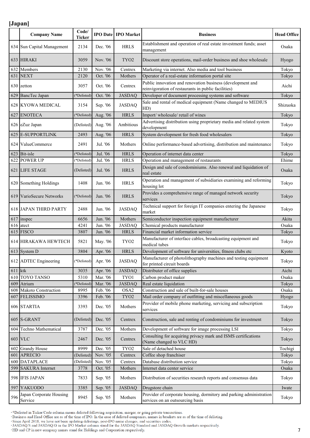|           | <b>Company Name</b>                | Code/<br><b>Ticker</b> |          | <b>IPO Date IPO Market</b> | <b>Business</b>                                                                                                   | <b>Head Office</b> |
|-----------|------------------------------------|------------------------|----------|----------------------------|-------------------------------------------------------------------------------------------------------------------|--------------------|
|           | 634 Sun Capital Management         | 2134                   | Dec. '06 | <b>HRLS</b>                | Establishment and operation of real estate investment funds; asset<br>management                                  | Osaka              |
|           | 633 HIRAKI                         | 3059                   | Nov. '06 | TYO <sub>2</sub>           | Discount store operations, mail-order business and shoe wholesale                                                 | Hyogo              |
| 632       | Members                            | 2130                   | Nov. '06 | Centrex                    | Marketing via internet. Also media and tool business                                                              | Tokyo              |
| 631       | <b>NEXT</b>                        | 2120                   | Oct. '06 | Mothers                    | Operator of a real-estate information portal site                                                                 | Tokyo              |
|           | 630 zetton                         | 3057                   | Oct. '06 | Centrex                    | Public innovation and renovation business (development and<br>reinvigoration of restaurants in public facilities) | Aichi              |
|           | 629 BancTec Japan                  | (*Delisted)            | Oct. '06 | <b>JASDAQ</b>              | Developer of document processing systems and software                                                             | Tokyo              |
|           | 628 KYOWA MEDICAL                  | 3154                   | Sep. '06 | <b>JASDAQ</b>              | Sale and rental of medical equipment (Name changed to MEDIUS<br>HD)                                               | Shizuoka           |
| 627       | <b>ENOTECA</b>                     | (*Delisted)            | Aug. '06 | <b>HRLS</b>                | Import/wholesale/retail of wines                                                                                  | Tokyo              |
|           | 626 eZuz Japan                     | (Delisted)             | Aug. '06 | Ambitious                  | Advertising distribution using proprietary media and related system<br>development                                | Tokyo              |
| 625       | <b>E-SUPPORTLINK</b>               | 2493                   | Aug. '06 | <b>HRLS</b>                | System development for fresh food wholesalers                                                                     | Tokyo              |
|           | 624 ValueCommerce                  | 2491                   | Jul. '06 | Mothers                    | Online performance-based advertising, distribution and maintenance                                                | Tokyo              |
| 623       | Bit-isle                           | (*Delisted)            | Jul. '06 | <b>HRLS</b>                | Operation of internet data center                                                                                 | Tokyo              |
| 622       | <b>POWER UP</b>                    | (*Delisted)            | Jul. '06 | <b>HRLS</b>                | Operation and management of restaurants                                                                           | Ehime              |
|           | 621 LIFE STAGE                     | (Delisted)             | Jul. '06 | <b>HRLS</b>                | Design and sale of condominiums. Also renewal and liquidation of<br>real estate                                   | Osaka              |
|           | 620 Something Holdings             | 1408                   | Jun. '06 | <b>HRLS</b>                | Operation and management of subsidiaries examining and reforming<br>housing lot                                   | Tokyo              |
|           | 619 VarioSecure Networks           | (*Delisted)            | Jun. '06 | <b>HRLS</b>                | Provides a comprehensive range of managed network security<br>services                                            | Tokyo              |
|           | 618 JAPAN THIRD PARTY              | 2488                   | Jun. '06 | <b>JASDAQ</b>              | Technical support for foreign IT companies entering the Japanese<br>market                                        | Tokyo              |
| 617       | inspec                             | 6656                   | Jun. '06 | Mothers                    | Semiconductor inspection equipment manufacturer                                                                   | Akita              |
|           | 616 atect                          | 4241                   | Jun. '06 | <b>JASDAQ</b>              | Chemical products manufacturer                                                                                    | Osaka              |
|           | 615 FISCO                          | 3807                   | Jun. '06 | <b>HRLS</b>                | Financial market information service                                                                              | Tokyo              |
|           | 614 HIRAKAWA HEWTECH               | 5821                   | May. '06 | TYO <sub>2</sub>           | Manufacturer of interface cables, broadcasting equipment and<br>medical tubes                                     | Tokyo              |
| 613       | System D                           | 3804                   | Apr. '06 | <b>HRLS</b>                | Development of software for universities, fitness clubs etc                                                       | Kyoto              |
|           | 612 ADTEC Engineering              | (*Delisted)            | Apr. '06 | <b>JASDAQ</b>              | Manufacturer of photolithography machines and testing equipment<br>for printed circuit boards                     | Tokyo              |
| $611$ ktk |                                    | 3035                   | Apr. '06 | <b>JASDAQ</b>              | Distributer of office supplies                                                                                    | Aichi              |
| 610       | <b>TOYO TANSO</b>                  | 5310                   | Mar. '06 | TYO1                       | Carbon product maker                                                                                              | Osaka              |
| 609       | Atrium                             | (*Delisted)            | Mar. '06 | <b>JASDAQ</b>              | Real estate liquidation                                                                                           | Tokyo              |
| 608       | Makoto Construction                | 8995                   | Feb. '06 | OSA <sub>2</sub>           | Construction and sale of built-for-sale houses                                                                    | Osaka              |
| 607       | <b>FELISSIMO</b>                   | 3396                   | Feb. '06 | TYO <sub>2</sub>           | Mail order company of outfitting and miscellaneous goods                                                          | Hyogo              |
|           | 606 STARTIA                        | 3393                   | Dec. '05 | Mothers                    | Provider of mobile phone marketing, servicing and subscription<br>services                                        | Tokyo              |
|           | 605 S-GRANT                        | (Delisted)             | Dec. '05 | Centrex                    | Construction, sale and renting of condominiums for investment                                                     | Tokyo              |
| 604       | Techno Mathematical                | 3787                   | Dec. '05 | Mothers                    | Development of software for image processing LSI                                                                  | Tokyo              |
|           | 603 VLC                            | 2467                   | Dec. '05 | Centrex                    | Consulting for acquiring privacy mark and ISMS certifications<br>(Name changed to VLC HD)                         | Tokyo              |
| 602       | <b>Grandy House</b>                | 8999                   | Dec. '05 | TYO <sub>2</sub>           | Sale of detached house                                                                                            | Tochigi            |
| 601       | <b>APRECIO</b>                     | (Delisted)             | Nov. '05 | Centrex                    | Coffee shop franchiser                                                                                            | Tokyo              |
| 600       | <b>DATAPLACE</b>                   | (Delisted)             | Nov. '05 | Centrex                    | Database distribution service                                                                                     | Tokyo              |
| 599       | <b>SAKURA</b> Internet             | 3778                   | Oct. '05 | Mothers                    | Internet data center service                                                                                      | Osaka              |
|           | 598 IFIS JAPAN                     | 7833                   | Sep. '05 | Mothers                    | Distribution of securities research reports and consensus data                                                    | Tokyo              |
| 597       | <b>YAKUODO</b>                     | 3385                   | Sep. '05 | <b>JASDAQ</b>              | Drugstore chain                                                                                                   | Iwate              |
| 596       | Japan Corporate Housing<br>Service | 8945                   | Sep. '05 | Mothers                    | Provider of corporate housing, dormitory and parking administration<br>services on an outsourcing basis           | Tokyo              |

\*Delisted in Ticker/Code column means delisted following acquisition, merger, or going private transactions.<br>Business and Head Office are as of the time of IPO. In the case of delisted companies, names in brackets are as o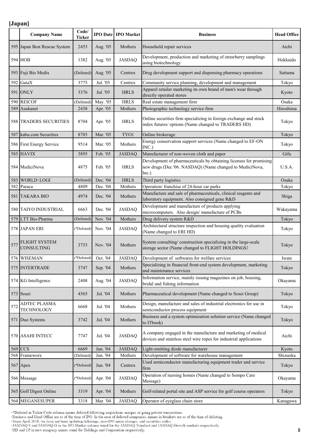|     | <b>Company Name</b>                       | Code/<br><b>Ticker</b> |          | <b>IPO Date IPO Market</b> | <b>Business</b>                                                                                                                         | <b>Head Office</b> |
|-----|-------------------------------------------|------------------------|----------|----------------------------|-----------------------------------------------------------------------------------------------------------------------------------------|--------------------|
|     | 595 Japan Best Rescue System              | 2453                   | Aug. '05 | Mothers                    | Household repair services                                                                                                               | Aichi              |
|     | <b>594 HOB</b>                            | 1382                   | Aug. '05 | <b>JASDAQ</b>              | Development, production and marketing of strawberry samplings<br>using biotechnology                                                    | Hokkaido           |
|     | 593 Fuji Bio Medix                        | (Delisted)             | Aug. '05 | Centrex                    | Drug development support and dispensing pharmacy operations                                                                             | Saitama            |
| 592 | GaiaX                                     | 3775                   | Jul. '05 | Centrex                    | Community service planning, development and management                                                                                  | Tokyo              |
|     | 591 ONLY                                  | 3376                   | Jul. '05 | <b>HRLS</b>                | Apparel retailer marketing its own brand of men's wear through<br>directly operated stores                                              | Kyoto              |
| 590 | <b>REICOF</b>                             | (Delisted)             | May. '05 | <b>HRLS</b>                | Real estate management firm                                                                                                             | Osaka              |
| 589 | Asukanet                                  | 2438                   | Apr. '05 | Mothers                    | Photographic technology service firm                                                                                                    | Hiroshima          |
|     | 588 TRADERS SECURITIES                    | 8704                   | Apr. '05 | <b>HRLS</b>                | Online securities firm specializing in foreign exchange and stock<br>index futures/ options (Name changed to TRADERS HD)                | Tokyo              |
|     | 587 kabu.com Securities                   | 8703                   | Mar. '05 | TYO1                       | Online brokerage                                                                                                                        | Tokyo              |
|     | 586 First Energy Service                  | 9514                   | Mar. '05 | Mothers                    | Energy conservation support services (Name changed to EF-ON<br>INC.)                                                                    | Tokyo              |
|     | 585 HAVIX                                 | 3895                   | Feb. '05 | <b>JASDAQ</b>              | Manufacturer of non-woven cloth and paper                                                                                               | Gifu               |
|     | 584 MediciNova                            | 4875                   | Feb. '05 | <b>HRLS</b>                | Development of pharmaceuticals by obtaining licenses for promising<br>new drugs (Dec '06. NASDAQ) (Name changed to MediciNova,<br>Inc.) | U.S.A.             |
| 583 | WORLD LOGI                                | (Delisted)             | Dec. '04 | <b>HRLS</b>                | Third party logistics                                                                                                                   | Osaka              |
| 582 | Paraca                                    | 4809                   | Dec. '04 | Mothers                    | Operation/ franchise of 24-hour car parks                                                                                               | Tokyo              |
|     | 581 TAKARA BIO                            | 4974                   | Dec. '04 | Mothers                    | Manufacture and sale of pharmaceuticals, clinical reagents and<br>laboratory equipment. Also consigned gene R&D                         | Shiga              |
|     | 580 TAIYO INDUSTRIAL                      | 6663                   | Dec. '04 | <b>JASDAQ</b>              | Development and manufacture of products applying<br>microcomputers. Also design/manufacture of PCBs                                     | Wakayama           |
|     | 579 LTT Bio-Pharma                        | (Delisted)             | Nov. '04 | Mothers                    | Drug delivery system R&D                                                                                                                | Tokyo              |
|     | 578 JAPAN ERI                             | (*Delisted)            | Nov. '04 | <b>JASDAQ</b>              | Architectural structure inspection and housing quality evaluation<br>(Name changed to ERI HD)                                           | Tokyo              |
| 577 | <b>FLIGHT SYSTEM</b><br><b>CONSULTING</b> | 3753                   | Nov. '04 | Mothers                    | System consulting/ construction specializing in the large-scale<br>storage sector (Name changed to FLIGHT HOLDINGS)                     | Tokyo              |
|     | 576 WISEMAN                               | (*Delisted)            | Oct. '04 | <b>JASDAQ</b>              | Development of softwares for welfare services                                                                                           | Iwate              |
|     | 575 INTERTRADE                            | 3747                   | Sep. '04 | Mothers                    | Specializing in financial front-end system development, marketing<br>and maintenance services                                           | Tokyo              |
|     | 574 KG Intelligence                       | 2408                   | Aug. '04 | <b>JASDAQ</b>              | Information service, mainly issuing magazines on job, housing,<br>bridal and fishing information                                        | Okayama            |
|     | 573 Sosei                                 | 4565                   | Jul. '04 | Mothers                    | Pharmaceutical development (Name changed to Sosei Group)                                                                                | Tokyo              |
| 572 | ADTEC PLASMA<br><b>TECHNOLOGY</b>         | 6668                   | Jul. '04 | Mothers                    | Design, manufacture and sales of industrial electronics for use in<br>semiconductor process equipment                                   | Tokyo              |
|     | 571 Duo Systems                           | 3742                   |          |                            | Business and a system optimization solution service (Name changed                                                                       | Tokyo              |
|     |                                           |                        | Jul. '04 | Mothers                    | to ITbook)                                                                                                                              |                    |
|     | 570 ASAHI INTECC                          | 7747                   | Jul. '04 | <b>JASDAQ</b>              | A company engaged in the manufacture and marketing of medical<br>devices and stainless steel wire ropes for industrial applications     | Aichi              |
|     | 569 CCS                                   | 6669                   | Jun. '04 | <b>JASDAQ</b>              | Light-emitting diode manufacturer                                                                                                       | Kyoto              |
| 568 | Frameworx                                 | (Delisted)             | Jun. '04 | Mothers                    | Development of software for warehouse management                                                                                        | Shizuoka           |
|     | 567 Apex                                  | (*Delisted)            | Jun. '04 | Centrex                    | Used semiconductor manufacturing equipment trader and service<br>firm                                                                   | Tokyo              |
|     | 566 Message                               | (*Delisted)            | Apr. '04 | <b>JASDAQ</b>              | Operation of nursing homes (Name changed to Sompo Care<br>Message)                                                                      | Okayama            |
|     | 565 Golf Digest Online                    | 3319                   | Apr. '04 | Mothers                    | Golf-related portal site and ASP service for golf course operators                                                                      | Tokyo              |

\*Delisted in Ticker/Code column means delisted following acquisition, merger, or going private transactions.<br>Business and Head Office are as of the time of IPO. In the case of delisted companies, names in brackets are as o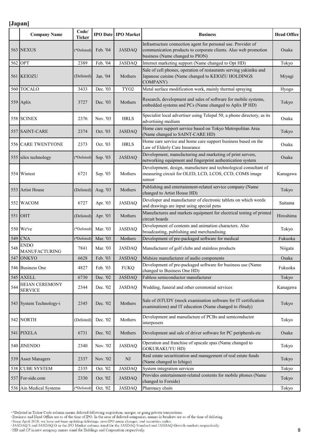|     | <b>Company Name</b>                 | Code/<br>Ticker |          | <b>IPO Date IPO Market</b> | <b>Business</b>                                                                                                                                                     | <b>Head Office</b> |
|-----|-------------------------------------|-----------------|----------|----------------------------|---------------------------------------------------------------------------------------------------------------------------------------------------------------------|--------------------|
|     | 563 NEXUS                           | (*Delisted)     | Feb. '04 | <b>JASDAQ</b>              | Infrastructure connection agent for personal use. Provider of<br>communication products to corporate clients. Also web promotion<br>business (Name changed to PION) | Osaka              |
|     | 562 OPT                             | 2389            | Feb. '04 | <b>JASDAQ</b>              | Internet marketing support (Name changed to Opt HD)                                                                                                                 | Tokyo              |
|     | 561 KEIOZU                          | (Delisted)      | Jan. '04 | Mothers                    | Sale of cell phones, operation of restaurants serving yakiniku and<br>Japanese cuisine (Name changed to KEIOZU HOLDINGS<br>COMPANY)                                 | Miyagi             |
|     | 560 TOCALO                          | 3433            | Dec. '03 | TYO <sub>2</sub>           | Metal surface modification work, mainly thermal spraying                                                                                                            | Hyogo              |
|     | 559 Aplix                           | 3727            | Dec. '03 | Mothers                    | Research, development and sales of software for mobile systems,<br>embedded systems and PCs (Name changed to Aplix IP HD)                                           | Tokyo              |
|     | 558 SCINEX                          | 2376            | Nov. '03 | <b>HRLS</b>                | Specialist local advertiser using Telepal 50, a phone directory, as its<br>advertising medium                                                                       | Osaka              |
|     | 557 SAINT-CARE                      | 2374            | Oct. '03 | <b>JASDAQ</b>              | Home care support service based on Tokyo Metropolitan Area<br>(Name changed to SAINT-CARE HD)                                                                       | Tokyo              |
|     | 556 CARE TWENTYONE                  | 2373            | Oct. '03 | <b>HRLS</b>                | Home care service and home care support business based on the<br>Law of Elderly Care Insurance                                                                      | Osaka              |
|     | 555 silex technology                | (*Delisted)     | Sep. '03 | <b>JASDAQ</b>              | Development, manufacturing and marketing of print servers,<br>networking equipment and fingerprint authentication system                                            | Osaka              |
|     | 554 Wintest                         | 6721            | Sep. '03 | Mothers                    | Development, design, manufacture and technological consultant of<br>measuring circuit for OLED, LCD, LCOS, CCD, COMS image<br>sensor                                | Kanagawa           |
|     | 553 Artist House                    | (Delisted)      | Aug. '03 | Mothers                    | Publishing and entertainment-related service company (Name<br>changed to Artist House HD)                                                                           | Tokyo              |
|     | 552 WACOM                           | 6727            | Apr. '03 | <b>JASDAQ</b>              | Developer and manufacturer of electronic tablets on which words<br>and drawings are input using special pens                                                        | Saitama            |
|     | 551 OHT                             | (Delisted)      | Apr. '03 | Mothers                    | Manufactures and markets equipment for electrical testing of printed<br>circuit boards                                                                              | Hiroshima          |
|     | 550 We've                           | (*Delisted)     | Mar. '03 | <b>JASDAQ</b>              | Development of contents and animation characters. Also<br>broadcasting, publishing and merchandising                                                                | Tokyo              |
| 549 | <b>CNA</b>                          | (*Delisted)     | Mar. '03 | Mothers                    | Development of pre-packaged software for medical                                                                                                                    | Fukuoka            |
| 548 | <b>ENDO</b><br><b>MANUFACTURING</b> | 7841            | Mar. '03 | <b>JASDAQ</b>              | Manufacturer of golf clubs and stainless products                                                                                                                   | Niigata            |
|     | <b>547 ONKYO</b>                    | 6628            | Feb. '03 | <b>JASDAQ</b>              | Midsize manufacturer of audio components                                                                                                                            | Osaka              |
|     | 546 Business One                    | 4827            | Feb. '03 | <b>FUKQ</b>                | Development of pre-packaged software for business use (Name<br>changed to Business One HD)                                                                          | Fukuoka            |
| 545 | <b>AXELL</b>                        | 6730            | Dec. '02 | <b>JASDAQ</b>              | Fabless semiconductor manufacturer                                                                                                                                  | Tokyo              |
| 544 | HEIAN CEREMONY<br><b>SERVICE</b>    | 2344            | Dec. '02 | <b>JASDAO</b>              | Wedding, funeral and other ceremonial services                                                                                                                      | Kanagawa           |
|     | 543 System Technology-i             | 2345            | Dec. '02 | Mothers                    | Sale of iSTUDY (mock examination software for IT certification<br>examinations) and IT education (Name changed to iStudy)                                           | Tokyo              |
|     | 542 NORTH                           | (Delisted)      | Dec. '02 | Mothers                    | Development and manufacture of PCBs and semiconductor<br>interposers                                                                                                | Tokyo              |
|     | 541 PIXELA                          | 6731            | Dec. '02 | Mothers                    | Development and sale of driver software for PC peripherals etc                                                                                                      | Osaka              |
|     | 540 JINENDO                         | 2340            | Nov. '02 | <b>JASDAQ</b>              | Operation and franchise of upscale spas (Name changed to<br><b>GOKURAKUYU HD)</b>                                                                                   | Tokyo              |
|     | 539 Asset Managers                  | 2337            | Nov. '02 | ${\rm NJ}$                 | Real estate securitization and management of real estate funds<br>(Name changed to Ichigo)                                                                          | Tokyo              |
| 538 | <b>CUBE SYSTEM</b>                  | 2335            | Oct. '02 | <b>JASDAQ</b>              | System integration services                                                                                                                                         | Tokyo              |
|     | 537 For-side.com                    | 2330            | Oct. '02 | <b>JASDAQ</b>              | Provides entertainment-related contents for mobile phones (Name<br>changed to Forside)                                                                              | Tokyo              |
|     | 536 Ain Medical Systems             | (*Delisted)     | Oct. '02 | <b>JASDAQ</b>              | Pharmacy chain                                                                                                                                                      | Tokyo              |

\*Delisted in Ticker/Code column means delisted following acquisition, merger, or going private transactions.<br>Business and Head Office are as of the time of IPO. In the case of delisted companies, names in brackets are as o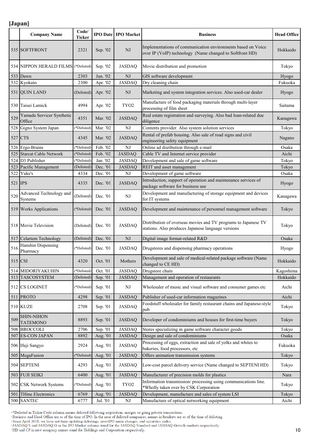|         | <b>Company Name</b>                       | Code/<br><b>Ticker</b> |          | <b>IPO Date IPO Market</b> | <b>Business</b>                                                                                                          | <b>Head Office</b> |
|---------|-------------------------------------------|------------------------|----------|----------------------------|--------------------------------------------------------------------------------------------------------------------------|--------------------|
|         | 535 SOFTFRONT                             | 2321                   | Sep. '02 | NJ                         | Implementations of communication environments based on Voice<br>over IP (VoIP) technology (Name changed to Softfront HD) | Hokkaido           |
|         | 534 NIPPON HERALD FILMS (*Delisted)       |                        | Sep. '02 | <b>JASDAQ</b>              | Movie distribution and promotion                                                                                         | Tokyo              |
| 533     | Dawn                                      | 2303                   | Jun. '02 | ${\rm NJ}$                 | GIS software development                                                                                                 | Hyogo              |
|         | 532 Kyokuto                               | 2300                   | Apr. '02 | <b>JASDAQ</b>              | Dry cleaning chain                                                                                                       | Fukuoka            |
|         | 531 QUIN LAND                             | (Delisted)             | Apr. '02 | NJ                         | Marketing and system integration services. Also used-car dealer                                                          | Hyogo              |
|         | 530 Taisei Lamick                         | 4994                   | Apr. '02 | TYO <sub>2</sub>           | Manufacture of food packaging materials through multi-layer<br>processing of film sheet                                  | Saitama            |
| 529     | Yamada Servicer Synthetic<br>Office       | 4351                   | Mar. '02 | <b>JASDAQ</b>              | Real estate registration and surveying. Also bad loan-related due<br>diligence                                           | Kanagawa           |
| 528     | Gigno System Japan                        | (*Delisted)            | Mar. '02 | NJ                         | Contents provider. Also system solution services                                                                         | Tokyo              |
| 527 CTS |                                           | 4345                   | Mar. '02 | <b>JASDAQ</b>              | Rental of prefab housing. Also sale of road signs and civil<br>engineering safety equipment                              | Nagano             |
| 526     | Ergo-Brains                               | (*Delisted)            | Feb. '02 | NJ                         | Online ad disribution through e-mail                                                                                     | Osaka              |
| 525     | <b>Starcat Cable Network</b>              | (*Delisted)            | Feb. '02 | <b>JASDAQ</b>              | Cable TV and Internet service provider                                                                                   | Aichi              |
| 524     | D3 Publisher                              | (*Delisted)            | Jan. '02 | <b>JASDAQ</b>              | Development and sale of game software                                                                                    | Tokyo              |
| 523     | Pacific Management                        | (Delisted)             | Dec. '01 | <b>JASDAQ</b>              | REIT and asset management                                                                                                | Tokyo              |
| 522     | Yuke's                                    | 4334                   | Dec. '01 | $_{\rm NJ}$                | Development of game software                                                                                             | Osaka              |
| 521 IPS |                                           | 4335                   | Dec. '01 | <b>JASDAQ</b>              | Introduction, support of operation and maintenance services of<br>package software for business use                      | Hyogo              |
| 520     | Advanced Technology and<br><b>Systems</b> | (Delisted)             | Dec. '01 | $_{\rm NJ}$                | Development and manufacturing of storage equipment and devices<br>for IT systems                                         | Kanagawa           |
|         | 519 Works Applications                    | (*Delisted)            | Dec. '01 | <b>JASDAQ</b>              | Development and maintenance of personnel management software                                                             | Tokyo              |
|         | 518 Movie Television                      | (Delisted)             | Dec. '01 | <b>JASDAQ</b>              | Distribution of overseas movies and TV programs to Japanese TV<br>stations. Also produces Japanese language versions     | Tokyo              |
| 517     | Celartem Technology                       | (Delisted)             | Dec. '01 | $\rm{NJ}$                  | Digital image format-related R&D                                                                                         | Osaka              |
| 516     | Hanshin Dispensing<br>Pharmacy            | (*Delisted)            | Dec. '01 | <b>JASDAQ</b>              | Drugstores and dispensing pharmacy operations                                                                            | Hyogo              |
|         | $515$ CSI                                 | 4320                   | Oct. '01 | Mothers                    | Development and sale of medical-related package software (Name<br>changed to CE HD)                                      | Hokkaido           |
| 514     | MIDORIYAKUHIN                             | (*Delisted)            | Oct. '01 | <b>JASDAQ</b>              | Drugstore chain                                                                                                          | Kagoshima          |
| 513     | <b>TASCOSYSTEM</b>                        | (Delisted)             | Sep. '01 | <b>JASDAQ</b>              | Management and operation of restaurants                                                                                  | Hokkaido           |
|         | 512 CS LOGINET                            | (*Delisted)            | Sep. '01 | NJ                         | Wholesaler of music and visual software and consumer games etc                                                           | Aichi              |
| 511     | <b>PROTO</b>                              | 4298                   | Sep. '01 | <b>JASDAQ</b>              | Publisher of used-car information magazines                                                                              | Aichi              |
|         | <b>510 KUZE</b>                           | 2708                   | Sep. '01 | <b>JASDAQ</b>              | Foodstuff wholesaler for family restaurant chains and Japanese-style<br>pub                                              | Tokyo              |
| 509     | <b>SHIN-NIHON</b><br><b>TATEMONO</b>      | 8893                   | Sep. '01 | <b>JASDAQ</b>              | Developer of condominiums and houses for first-time buyers                                                               | Tokyo              |
| 508     | <b>BROCCOLI</b>                           | 2706                   | Sep. '01 | <b>JASDAQ</b>              | Stores specializing in game software character goods                                                                     | Tokyo              |
| 507     | <b>ES-CON JAPAN</b>                       | 8892                   | Aug. '01 | <b>JASDAQ</b>              | Design and sale of condominiums                                                                                          | Osaka              |
|         | 506 Ifuji Sangyo                          | 2924                   | Aug. '01 | <b>JASDAQ</b>              | Processing of eggs, extraction and sale of yolks and whites to<br>bakeries, food processors, etc                         | Fukuoka            |
|         | 505 MegaFusion                            | (*Delisted)            | Aug. '01 | <b>JASDAQ</b>              | Offers animation transmission systems                                                                                    | Tokyo              |
|         | 504 SEPTENI                               | 4293                   | Aug. '01 | <b>JASDAQ</b>              | Low-cost parcel delivery service (Name changed to SEPTENI HD)                                                            | Tokyo              |
| 503     | <b>FUJI SEIKI</b>                         | 6400                   | Aug. '01 | <b>JASDAQ</b>              | Manufacturer of precision molds for plastics                                                                             | Nara               |
|         | 502 CSK Network Systems                   | (*Delisted)            | Aug. '01 | TYO <sub>2</sub>           | Information transmission/processing using communications line.<br>*Wholly taken over by CSK Corporation                  | Tokyo              |
| 501     | THine Electronics                         | 6769                   | Aug. '01 | <b>JASDAQ</b>              | Development, manufacture and sales of system LSI                                                                         | Tokyo              |
| 500     | <b>SANTEC</b>                             | 6777                   | Jul. '01 | NJ                         | Manufacture of optical networking equipment                                                                              | Aichi              |

\*Delisted in Ticker/Code column means delisted following acquisition, merger, or going private transactions.<br>Business and Head Office are as of the time of IPO. In the case of delisted companies, names in brackets are as o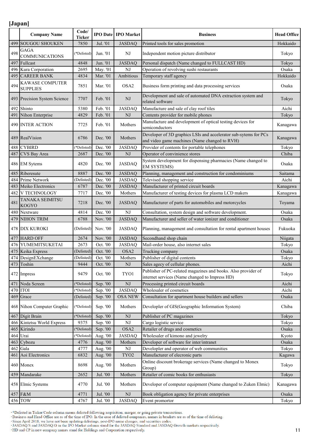|     | <b>Company Name</b>                    | Code/<br><b>Ticker</b> |          | <b>IPO Date IPO Market</b> | <b>Business</b>                                                                                                   | <b>Head Office</b> |
|-----|----------------------------------------|------------------------|----------|----------------------------|-------------------------------------------------------------------------------------------------------------------|--------------------|
|     | 499 SOUGOU SHOUKEN                     | 7850                   | Jul. '01 | <b>JASDAQ</b>              | Printed tools for sales promotion                                                                                 | Hokkaido           |
| 498 | <b>GAGA</b><br><b>COMMUNICATIONS</b>   | (*Delisted)            | Jun. '01 | NJ                         | Independent motion picture distributor                                                                            | Tokyo              |
| 497 | Fullcast                               | 4848                   | Jun. '01 | <b>JASDAQ</b>              | Personal dispatch (Name changed to FULLCAST HD)                                                                   | Tokyo              |
|     | 496 Kura Corporation                   | 2695                   | May. '01 | $_{\rm NJ}$                | Operation of revolving sushi restaurants                                                                          | Osaka              |
| 495 | <b>CAREER BANK</b>                     | 4834                   | Mar. '01 | Ambitious                  | Temporary staff agency                                                                                            | Hokkaido           |
| 494 | KAWASE COMPUTER<br><b>SUPPLIES</b>     | 7851                   | Mar. '01 | OSA <sub>2</sub>           | Business form printing and data processing services                                                               | Osaka              |
|     | 493 Precision System Science           | 7707                   | Feb. '01 | NJ                         | Development and sale of automated DNA extraction system and<br>related software                                   | Tokyo              |
| 492 | Shinto                                 | 5380                   | Feb. '01 | <b>JASDAQ</b>              | Manufacture and sale of clay roof tiles                                                                           | Aichi              |
| 491 | Nihon Enterprise                       | 4829                   | Feb. '01 | NJ                         | Contents provider for mobile phones                                                                               | Tokyo              |
|     | <b>490 INTER ACTION</b>                | 7725                   | Feb. '01 | Mothers                    | Manufacture and development of optical testing devices for<br>semiconductors                                      | Kanagawa           |
|     | 489 RealVision                         | 6786                   | Dec. '00 | Mothers                    | Developer of 3D graphics LSIs and accelerator sub-sytems for PCs<br>and video game machines (Name changed to RVH) | Kanagawa           |
|     | 488 CYBIRD                             | *Delisted)             | Dec. '00 | <b>JASDAQ</b>              | Provider of contents for portable telephones                                                                      | Tokyo              |
|     | 487 CVS Bay Area                       | 2687                   | Dec. '00 | NJ                         | Operator of convinience stores                                                                                    | Chiba              |
|     | 486 EM Sytems                          | 4820                   | Dec. '00 | <b>JASDAQ</b>              | System development for dispensing pharmacies (Name changed to<br><b>EM SYSTEMS)</b>                               | Osaka              |
| 485 | Riberesute                             | 8887                   | Dec. '00 | <b>JASDAQ</b>              | Planning, management and construction for condominiums                                                            | Saitama            |
|     | 484 Prime Network                      | (Delisted)             | Dec. '00 | <b>JASDAQ</b>              | Televised shopping service                                                                                        | Aichi              |
|     | 483 Meiko Electronics                  | 6787                   | Dec. '00 | <b>JASDAQ</b>              | Manufacturer of printed circuit boards                                                                            | Kanagawa           |
| 482 | V TECHNOLOGY                           | 7717                   | Dec. '00 | Mothers                    | Manufacturer of testing devices for plasma LCD makers                                                             | Kanagawa           |
| 481 | <b>TANAKA SEIMITSU</b><br><b>KOGYO</b> | 7218                   | Dec. '00 | <b>JASDAQ</b>              | Manufacturer of parts for automobiles and motorcycles                                                             | Toyama             |
| 480 | Nextware                               | 4814                   | Dec. '00 | NJ                         | Consultation, system design and software development.                                                             | Osaka              |
| 479 | NIHON TRIM                             | 6788                   | Nov. '00 | <b>JASDAQ</b>              | Manufacturer and seller of water ionizer and conditioner                                                          | Osaka              |
|     | 478 DIX KUROKI                         | (Delisted)             | Nov. '00 | <b>JASDAQ</b>              | Planning, management and consultation for rental apartment houses                                                 | Fukuoka            |
| 477 | <b>HARD OFF</b>                        | 2674                   | Nov. '00 | <b>JASDAQ</b>              | Secondhand shop chain                                                                                             | Niigata            |
|     | 476 YUMEMITSUKETAI                     | 2673                   | Oct. '00 | <b>JASDAQ</b>              | Mail-order house, also internet sales                                                                             | Tokyo              |
|     | 475 Keika Express                      | (Delisted)             | Oct. '00 | OSA2                       | Trucking company                                                                                                  | Osaka              |
|     | 474 DesignEXchange                     | (Delisted)             | Oct. '00 | Mothers                    | Publisher of digital contents                                                                                     | Tokyo              |
|     | 473 Toshin                             | 9444                   | Oct. '00 | NJ                         | Sales agecy of cellular phones.                                                                                   | Aichi              |
|     |                                        |                        |          |                            | Publisher of PC-related magazines and books. Also provider of                                                     |                    |
|     | 472 Impress                            | 9479                   | Oct. '00 | TYO1                       | internet services (Name changed to Impress HD)                                                                    | Tokyo              |
| 471 | Noda Screen                            | *Delisted)             | Sep. '00 | $\rm{NJ}$                  | Processing printed circuit boards                                                                                 | Aichi              |
|     | 470 ITOI                               | (*Delisted)            | Sep. '00 | <b>JASDAQ</b>              | Wholesaler of cosmetics                                                                                           | Aichi              |
| 469 | Grace                                  | (Delisted)             | Sep. '00 | <b>OSA NEW</b>             | Consultation for apartment house builders and sellers                                                             | Osaka              |
|     | 468 Nihon Computer Graphic             | (*Delisted)            | Sep. '00 | Mothers                    | Developler of GIS(Geographic Information System)                                                                  | Chiba              |
|     | 467 Digit Brain                        | (*Delisted)            | Sep. '00 | NJ                         | Publisher of PC magazines                                                                                         | Tokyo              |
|     | 466 Kintetsu World Express             | 9375                   | Sep. '00 | $\rm{NJ}$                  | Cargo logistic service                                                                                            | Tokyo              |
|     | 465 Kirindo                            | (*Delisted)            | Sep. '00 | OSA2                       | Retailer of drugs and cosmetics                                                                                   | Osaka              |
| 464 | Urai                                   | (*Delisted)            | Aug. '00 | <b>JASDAQ</b>              | Wholesaler of kimono and jewelry                                                                                  | Kyoto              |
| 463 | Cybozu                                 | 4776                   | Aug. '00 | Mothers                    | Developer of software for inter/intranet                                                                          | Osaka              |
| 462 | Gala                                   | 4777                   | Aug. '00 | NJ                         | Developler and operator of web communities                                                                        | Tokyo              |
| 461 | Aoi Electronics                        | 6832                   | Aug. '00 | TYO <sub>2</sub>           | Manufacturer of elecronic parts                                                                                   | Kagawa             |
|     | 460 Monex                              | 8698                   | Aug. '00 | Mothers                    | Online discount brokerage services (Name changed to Monex<br>Group)                                               | Tokyo              |
|     | 459 Mandarake                          | 2652                   | Jul. '00 | Mothers                    | Retailer of comic books for enthusiasts                                                                           | Tokyo              |
|     | 458 Elmic Systems                      | 4770                   | Jul. '00 | Mothers                    | Developer of computer equipment (Name changed to Zuken Elmic)                                                     | Kanagawa           |
|     | 457 F&M                                | 4771                   | Jul. '00 | $\rm{NJ}$                  | Book obligation agency for private enterprises                                                                    | Osaka              |
|     | 456 TOW                                | 4767                   | Jul. '00 | <b>JASDAQ</b>              | Event promortor                                                                                                   | Tokyo              |

\*Delisted in Ticker/Code column means delisted following acquisition, merger, or going private transactions.<br>Business and Head Office are as of the time of IPO. In the case of delisted companies, names in brackets are as o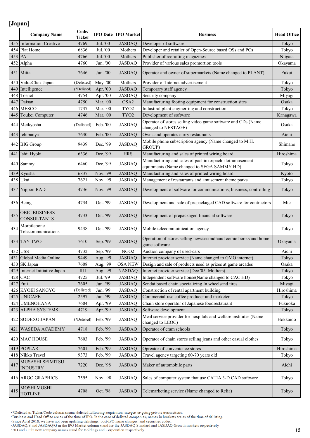|        | <b>Company Name</b>                        | Code/<br><b>Ticker</b> |          | <b>IPO Date IPO Market</b> | <b>Business</b>                                                                                       | <b>Head Office</b> |
|--------|--------------------------------------------|------------------------|----------|----------------------------|-------------------------------------------------------------------------------------------------------|--------------------|
|        | 455 Information Creative                   | 4769                   | Jul. '00 | <b>JASDAQ</b>              | Developer of software                                                                                 | Tokyo              |
| 454    | Plat Home                                  | 6836                   | Jul. '00 | Mothers                    | Developer and retailer of Open-Source based OSs and PCs                                               | Tokyo              |
| 453 PA |                                            | 4766                   | Jul. '00 | Mothers                    | Publisher of recruiting magazines                                                                     | Niigata            |
|        | 452 Alpha                                  | 4760                   | Jun. '00 | <b>JASDAQ</b>              | Provider of various sales promortion tools                                                            | Okayama            |
|        | 451 Mitta                                  | 7646                   | Jun. '00 | <b>JASDAQ</b>              | Operator and owner of supermarkets (Name changed to PLANT)                                            | Fukui              |
| 450    | ValueClick Japan                           | (Delisted)             | May. '00 | Mothers                    | Provider of Internet advertisement                                                                    | Tokyo              |
| 449    | Intelligence                               | (*Delisted)            | Apr. '00 | <b>JASDAQ</b>              | Temporary staff agency                                                                                | Tokyo              |
| 448    | Tosnet                                     | 4754                   | Apr. '00 | <b>JASDAQ</b>              | Security company                                                                                      | Miyagi             |
| 447    | Daisan                                     | 4750                   | Mar. '00 | OSA2                       | Manufacturing footing equipment for construction sites                                                | Osaka              |
| 446    | <b>MESCO</b>                               | 1737                   | Mar. '00 | TYO <sub>2</sub>           | Industiral plant enginerring and construction                                                         | Tokyo              |
| 445    | Toukei Computer                            | 4746                   | Mar. '00 | TYO <sub>2</sub>           | Development of software                                                                               | Kanagawa           |
|        | 444 Meikyosha                              | (Delisted)             | Feb. '00 | <b>JASDAQ</b>              | Operator of stores selling video game software and CDs (Name<br>changed to NESTAGE)                   | Osaka              |
| 443    | Ichibanya                                  | 7630                   | Feb. '00 | <b>JASDAQ</b>              | Owns and operates curry restaurants                                                                   | Aichi              |
|        | 442 BIG Group                              | 9439                   | Dec. '99 | <b>JASDAQ</b>              | Mobile phone subscription agency (Name changed to M.H.<br>GROUP)                                      | Shimane            |
| 441    | Ishii Hyoki                                | 6336                   | Dec. '99 | <b>HRS</b>                 | Manufacturing and sales of printed wiring board                                                       | Hiroshima          |
|        | 440 Sammy                                  | 6460                   | Dec. '99 | <b>JASDAQ</b>              | Manufacturing and sales of pachinko/pachislot-amusement<br>equipments (Name changed to SEGA SAMMY HD) | Tokyo              |
| 439    | Kyosha                                     | 6837                   | Nov. '99 | <b>JASDAQ</b>              | Manufacturing and sales of printed wiring board                                                       | Kyoto              |
|        | 438 Ukai                                   | 7621                   | Nov. '99 | <b>JASDAQ</b>              | Management of restaurants and amusement theme parks                                                   | Tokyo              |
|        | 437 Nippon RAD                             | 4736                   | Nov. '99 | <b>JASDAQ</b>              | Development of software for communications, business, controlling                                     | Tokyo              |
|        | 436 Being                                  | 4734                   | Oct. '99 | <b>JASDAQ</b>              | Development and sale of prepackaged CAD software for contractors                                      | Mie                |
| 435    | <b>OBIC BUSINESS</b><br><b>CONSULTANTS</b> | 4733                   | Oct. '99 | <b>JASDAQ</b>              | Development of prepackaged financial software                                                         | Tokyo              |
| 434    | Morbilepone<br>Telecommunications          | 9438                   | Oct. '99 | <b>JASDAQ</b>              | Mobile telecommuinication agency                                                                      | Tokyo              |
|        | 433 TAY TWO                                | 7610                   | Sep. '99 | <b>JASDAQ</b>              | Operation of stores selling new/secondhand comic books and home<br>game software                      | Okayama            |
| 432    | <b>USS</b>                                 | 4732                   | Sep. '99 | NGO <sub>2</sub>           | Auction company of used-cars                                                                          | Aichi              |
|        | 431 Global Media Online                    | 9449                   | Aug. '99 | <b>JASDAQ</b>              | Internet provider service (Name changed to GMO internet)                                              | Tokyo              |
|        | 430 SK Japan                               | 7608                   | Aug. '99 | <b>OSA NEW</b>             | Design and sale of products used as prizes at game arcades                                            | Osaka              |
| 429    | Internet Initiative Japan                  | IIJI                   | Aug. '99 | <b>NASDAQ</b>              | Internet provider service (Dec '05. Mothers)                                                          | Tokyo              |
|        | 428 CAC                                    | 4725                   | Jul. '99 | <b>JASDAQ</b>              | Independent software house(Name changed to CAC HD)                                                    | Tokyo              |
| 427    | Fuji                                       | 7605                   | Jun. '99 | <b>JASDAQ</b>              | Sendai based chain specializing In wheelsand tires                                                    | Miyagi             |
| 426    | <b>KYOEI SANGYO</b>                        | (Delisted)             | Jun. '99 | <b>JASDAQ</b>              | Construction of rental apartment building                                                             | Hiroshima          |
| 425    | <b>UNICAFE</b>                             | 2597                   | Jun. '99 | <b>JASDAQ</b>              | Commercial-use coffee producer and marketer                                                           | Tokyo              |
| 424    | <b>UMENOHANA</b>                           | 7604                   | Apr. '99 | <b>JASDAQ</b>              | Chain store operator of Japanese foodrestaurant                                                       | Fukuoka            |
| 423    | <b>ALPHA SYSTEMS</b>                       | 4719                   | Apr. '99 | <b>JASDAQ</b>              | Software development                                                                                  | Tokyo              |
|        | 422 SODEXO JAPAN                           | (*Delisted)            | Feb. '99 | <b>JASDAQ</b>              | Meal service provider for hospitals and welfare institutes (Name<br>changed to LEOC)                  | Hokkaido           |
| 421    | WASEDA ACADEMY                             | 4718                   | Feb. '99 | <b>JASDAQ</b>              | Operator of cram schools                                                                              | Tokyo              |
|        | 420 MAC HOUSE                              | 7603                   | Feb. '99 | <b>JASDAQ</b>              | Operator of chain stores selling jeans and other casual clothes                                       | Tokyo              |
| 419    | <b>POPLAR</b>                              | 7601                   | Feb. '99 | <b>JASDAQ</b>              | Opreator of convenience stores                                                                        | Hiroshima          |
|        | 418 Nikko Travel                           | 9373                   | Feb. '99 | <b>JASDAQ</b>              | Travel agency targeting 60-70 years old                                                               | Tokyo              |
| 417    | MUSASHI SEIMITSU<br><b>INDUSTRY</b>        | 7220                   | Dec. '98 | <b>JASDAQ</b>              | Maker of automobile parts                                                                             | Aichi              |
|        | 416 ARGO GRAPHICS                          | 7595                   | Nov. '98 | <b>JASDAQ</b>              | Sales of computer system that use CATIA 3-D CAD software                                              | Tokyo              |
| 415    | MOSHI MOSHI<br><b>HOTLINE</b>              | 4708                   | Oct. '98 | <b>JASDAQ</b>              | Telemarketing service (Name changed to Relia)                                                         | Tokyo              |

\*Delisted in Ticker/Code column means delisted following acquisition, merger, or going private transactions.<br>Business and Head Office are as of the time of IPO. In the case of delisted companies, names in brackets are as o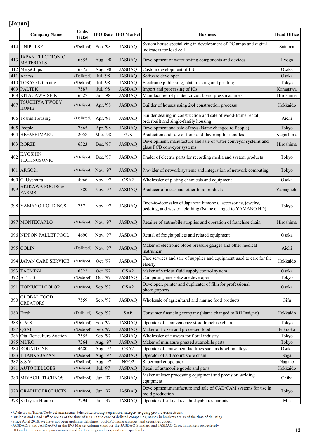|     | <b>Company Name</b>                        | Code/<br>Ticker |          | <b>IPO Date   IPO Market</b> | <b>Business</b>                                                                                                            | <b>Head Office</b> |
|-----|--------------------------------------------|-----------------|----------|------------------------------|----------------------------------------------------------------------------------------------------------------------------|--------------------|
|     | 414 UNIPULSE                               | *Delisted)      | Sep. '98 | <b>JASDAQ</b>                | System house specializing in development of DC amps and digital<br>indicators for load cell                                | Saitama            |
| 413 | JAPAN ELECTRONIC<br><b>MATERIALS</b>       | 6855            | Aug. '98 | <b>JASDAQ</b>                | Development of wafer testing components and devices                                                                        | Hyogo              |
| 412 | MegaChips                                  | 6875            | Aug. '98 | <b>JASDAQ</b>                | Custom development of LSI                                                                                                  | Osaka              |
| 411 | Access                                     | (Delisted)      | Jul. '98 | <b>JASDAQ</b>                | Software developer                                                                                                         | Osaka              |
| 410 | <b>TOKYO</b> Lithmatic                     | (*Delisted)     | Jul. '98 | <b>JASDAQ</b>                | Electronic publishing, plate-making and printing                                                                           | Tokyo              |
| 409 | <b>PALTEK</b>                              | 7587            | Jul. '98 | <b>JASDAQ</b>                | Import and processing of ICs                                                                                               | Kanagawa           |
|     | 408 KITAGAWA SEIKI                         | 6327            | Jun. '98 | <b>JASDAQ</b>                | Manufacturer of printed circuit board press machines                                                                       | Hiroshima          |
| 407 | TSUCHIYA TWOBY<br><b>HOME</b>              | (*Delisted)     | Apr. '98 | <b>JASDAQ</b>                | Builder of houses using 2x4 construction processs                                                                          | Hokkaido           |
|     | 406 Toshin Housing                         | (Delisted)      | Apr. '98 | <b>JASDAQ</b>                | Builder dealing in construction and sale of wood-frame rental,<br>orderbuilt and single-family housing                     | Aichi              |
| 405 | People                                     | 7865            | Apr. '98 | <b>JASDAQ</b>                | Development and sale of toys (Name changed to People)                                                                      | Tokyo              |
| 404 | HIGASHIMARU                                | 2058            | Mar. '98 | <b>FUK</b>                   | Production and sale of flour and flavoring for noodles                                                                     | Kagoshima          |
|     | 403 RORZE                                  | 6323            | Dec. '97 | <b>JASDAQ</b>                | Development, manufacture and sale of water conveyor systems and<br>glass PCB conveyor systems                              | Hiroshima          |
| 402 | <b>KYOSHIN</b><br><b>TECHNOSONIC</b>       | (*Delisted)     | Dec. '97 | <b>JASDAQ</b>                | Trader of electric parts for recording media and system products                                                           | Tokyo              |
|     | 401 ARGO21                                 | (*Delisted)     | Nov. '97 | <b>JASDAQ</b>                | Provider of network systems and integration of network computing                                                           | Tokyo              |
| 400 | C. Uyemura                                 | 4966            | Nov. '97 | OSA2                         | Wholesaler of plating chemicals and equipment                                                                              | Osaka              |
| 399 | <b>AKIKAWA FOODS &amp;</b><br><b>FARMS</b> | 1380            | Nov. '97 | <b>JASDAQ</b>                | Producer of meats and other food products                                                                                  | Yamaguchi          |
|     | 398 YAMANO HOLDINGS                        | 7571            | Nov. '97 | <b>JASDAQ</b>                | Door-to-door sales of Japanese kimonos, accessories, jewelry,<br>bedding, and western clothing (Name changed to YAMANO HD) | Tokyo              |
|     | 397 MONTECARLO                             | (*Delisted)     | Nov. '97 | <b>JASDAQ</b>                | Retailer of autmobile supplies and operation of franchise chain                                                            | Hiroshima          |
|     | 396 NIPPON PALLET POOL                     | 4690            | Nov. '97 | <b>JASDAQ</b>                | Rental of freight pallets and related equipment                                                                            | Osaka              |
|     | $395$ COLIN                                | (Delisted)      | Nov. '97 | <b>JASDAQ</b>                | Maker of electronic blood pressure gauges and other medical<br>instrument                                                  | Aichi              |
|     | 394 JAPAN CARE SERVICE                     | (*Delisted)     | Oct. '97 | <b>JASDAQ</b>                | Care services and sale of supplies and equipment used to care for the<br>elderly                                           | Hokkaido           |
|     | 393 TACMINA                                | 6322            | Oct. '97 | OSA2                         | Maker of various fluid supply control system                                                                               | Osaka              |
|     | 392 ATLUS                                  | (*Delisted)     | Oct. '97 | <b>JASDAQ</b>                | Computer game software developer                                                                                           | Tokyo              |
|     | 391 HORIUCHI COLOR                         | (*Delisted)     | Sep. '97 | OSA <sub>2</sub>             | Developer, printer and duplicater of film for professional<br>photographers                                                | Osaka              |
| 390 | <b>GLOBAL FOOD</b><br><b>CREATORS</b>      | 7559            | Sep. '97 | <b>JASDAQ</b>                | Wholesale of agricultural and marine food products                                                                         | Gifu               |
|     | 389 Earth                                  | (Delisted)      | Sep. '97 | SAP                          | Consumer financing company (Name changed to RH Insigno)                                                                    | Hokkaido           |
| 388 | C & S                                      | (*Delisted)     | Sep. '97 | <b>JASDAQ</b>                | Operator of a convenience store franchise chian                                                                            | Tokyo              |
| 387 | <b>QSAI</b>                                | (*Delisted)     | Sep. '97 | <b>JASDAQ</b>                | Maker of frozen and processed food                                                                                         | Fukuoka            |
|     | 386 Ota Floriculture Auction               | 7555            | Sep. '97 | <b>JASDAQ</b>                | Wholesaler of flowers for floral industry                                                                                  | Tokyo              |
|     | 385 MURO                                   | 7264            | Aug. '97 | <b>JASDAQ</b>                | Maker of miniature pressed autmobile parts                                                                                 | Tokyo              |
|     | 384 ROUND ONE                              | 4680            | Aug. '97 | OSA2                         | Operator of amusement facilities such as bowling alleys                                                                    | Osaka              |
|     | 383 THANKS JAPAN                           | (*Delisted)     | Aug. '97 | <b>JASDAQ</b>                | Operator of a discount store chain                                                                                         | Saga               |
|     | 382 S.S.V.                                 | (*Delisted)     | Aug. '97 | NGO <sub>2</sub>             | Supermarket operator                                                                                                       | Nagano             |
| 381 | <b>AUTO HELLOES</b>                        | (*Delisted)     | Jul. '97 | <b>JASDAQ</b>                | Retail of autmobile goods and parts                                                                                        | Hokkaido           |
|     | 380 MIYACHI TECHNOS                        | (*Delisted)     | Jun. '97 | <b>JASDAQ</b>                | Maker of laser processing equipment and precision welding<br>equipment                                                     | Chiba              |
|     | 379 GRAPHIC PRODUCTS                       | (*Delisted)     | Jun. '97 | <b>JASDAQ</b>                | Development, manufacture and sale of CAD/CAM systems for use in<br>mold production                                         | Tokyo              |
|     | 378 Kakiyasu Honten                        | 2294            | Jun. '97 | <b>JASDAQ</b>                | Operator of sukiyaki/shabushyabu restaurants                                                                               | Mie                |

\*Delisted in Ticker/Code column means delisted following acquisition, merger, or going private transactions.<br>Business and Head Office are as of the time of IPO. In the case of delisted companies, names in brackets are as o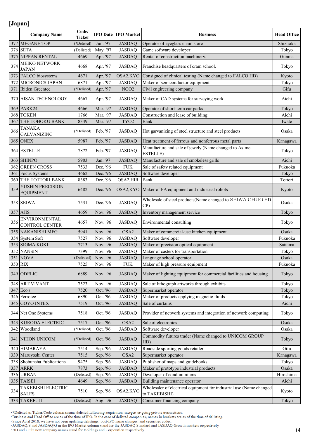|     | <b>Company Name</b>                    | Code/<br><b>Ticker</b> |          | <b>IPO Date IPO Market</b> | <b>Business</b>                                                                      | <b>Head Office</b> |
|-----|----------------------------------------|------------------------|----------|----------------------------|--------------------------------------------------------------------------------------|--------------------|
| 377 | <b>MEGANE TOP</b>                      | *Delisted)             | Jun. '97 | <b>JASDAQ</b>              | Operator of eyeglass chain store                                                     | Shizuoka           |
|     | 376 SETA                               | (Delisted)             | May. '97 | <b>JASDAQ</b>              | Game software developer                                                              | Tokyo              |
|     | 375 NIPPAN RENTAL                      | 4669                   | Apr. '97 | <b>JASDAQ</b>              | Rental of construction machinery.                                                    | Gunma              |
| 374 | MEIKO NETWORK<br><b>JAPAN</b>          | 4668                   | Apr. '97 | <b>JASDAQ</b>              | Franchise headquarters of cram school.                                               | Tokyo              |
| 373 | FALCO biosystems                       | 4671                   | Apr. '97 | OSA2,KYO                   | Consigned of clinical testing (Name changed to FALCO HD)                             | Kyoto              |
| 372 | <b>MICRONICS JAPAN</b>                 | 6871                   | Apr. '97 | <b>JASDAQ</b>              | Maker of semiconductor equipment                                                     | Tokyo              |
| 371 | Ibiden Greentec                        | (*Delisted)            | Apr. '97 | NGO <sub>2</sub>           | Civil engireering company                                                            | Gifu               |
|     | 370 AISAN TECHNOLOGY                   | 4667                   | Apr. '97 | <b>JASDAQ</b>              | Maker of CAD systems for surveying work.                                             | Aichi              |
| 369 | PARK24                                 | 4666                   | Mar. '97 | <b>JASDAQ</b>              | Operator of short-term car parks                                                     | Tokyo              |
|     | 368 TOKEN                              | 1766                   | Mar. '97 | <b>JASDAQ</b>              | Construction and lease of building                                                   | Aichi              |
| 367 | THE TOHOKU BANK                        | 8349                   | Mar. '97 | TYO <sub>2</sub>           | Bank                                                                                 | Iwate              |
| 366 | <b>TANAKA</b><br><b>GALVANIZING</b>    | (*Delisted)            | Feb. '97 | <b>JASDAQ</b>              | Hot garvanizing of steel structure and steel products                                | Osaka              |
|     | <b>365 ONEX</b>                        | 5987                   | Feb. '97 | <b>JASDAQ</b>              | Heat treatment of ferrous and nonferrous metal parts                                 | Kanagawa           |
|     | 364 ESTELLE                            | 7872                   | Feb. '97 | <b>JASDAQ</b>              | Manufacture and sale of jewely (Name changed to As-me<br><b>ESTELLE</b> )            | Tokyo              |
|     | 363 SHINPO                             | 5903                   | Jan. '97 | <b>JASDAQ</b>              | Manufacture and sale of smokeless grills                                             | Aichi              |
| 362 | <b>GREEN CROSS</b>                     | 7533                   | Dec. '96 | <b>FUK</b>                 | Sale of safety related equipment                                                     | Fukuoka            |
|     | 361 Focus Systems                      | 4662                   | Dec. '96 | <b>JASDAQ</b>              | Software developer                                                                   | Tokyo              |
|     | 360 THE TOTTORI BANK                   | 8383                   | Dec. '96 | OSA2, HIR                  | <b>Bank</b>                                                                          | Tottori            |
| 359 | YUSHIN PRECISION<br><b>EQUIPMENT</b>   | 6482                   | Dec. '96 |                            | OSA2, KYO Maker of FA equipment and industrial robots                                | Kyoto              |
|     | 358 SEIWA                              | 7531                   | Dec. '96 | <b>JASDAQ</b>              | Wholesale of steel products(Name changed to SEIWA CHUO HD<br>CP)                     | Osaka              |
|     | 357 AJIS                               | 4659                   | Nov. '96 | <b>JASDAQ</b>              | Inventory management service                                                         | Tokyo              |
| 356 | <b>ENVIRONMENTAL</b><br>CONTROL CENTER | 4657                   | Nov. '96 | <b>JASDAQ</b>              | Environmental consulting                                                             | Tokyo              |
| 355 | <b>NAKANISHI MFG</b>                   | 5941                   | Nov. '96 | OSA <sub>2</sub>           | Maker of commercial-use kitchen equipment                                            | Osaka              |
|     | 354 System Soft                        | 7527                   | Nov. '96 | <b>JASDAQ</b>              | Software developer                                                                   | Fukuoka            |
|     | 353 SIGMA KOKI                         | 7713                   | Nov. '96 | <b>JASDAQ</b>              | Maker of precision optical equipment                                                 | Saitama            |
|     | 352 NANSIN                             | 7399                   | Nov. '96 | <b>JASDAQ</b>              | Maker of casters for transportation                                                  | Tokyo              |
|     | <b>351 NOVA</b>                        | (Delisted)             | Nov. '96 | <b>JASDAQ</b>              | Language school operator                                                             | Osaka              |
|     | 350 RIX                                | 7525                   | Nov. '96 | <b>FUK</b>                 | Maker of high pressure equipment                                                     | Fukuoka            |
|     | 349 ODELIC                             | 6889                   | Nov. '96 | <b>JASDAQ</b>              | Maker of lighting equipment for commercial facilities and housing                    | Tokyo              |
| 348 | <b>ART VIVANT</b>                      | 7523                   | Nov. '96 | <b>JASDAQ</b>              | Sale of lithograph artworks through exhibits                                         | Tokyo              |
|     | 347 Eco's                              | 7520                   | Oct. '96 | <b>JASDAQ</b>              | Supermarket operator                                                                 | Tokyo              |
|     | 346 Ferrotec                           | 6890                   | Oct. '96 | <b>JASDAQ</b>              | Maker of products applying magnetic fluids                                           | Tokyo              |
| 345 | <b>GOYO INTEX</b>                      | 7519                   | Oct. '96 | <b>JASDAQ</b>              | Sale of curtains                                                                     | Aichi              |
|     | 344 Net One Systems                    | 7518                   | Oct. '96 | <b>JASDAQ</b>              | Provider of network systems and integration of network computing                     | Tokyo              |
| 343 | <b>KURODA ELECTRIC</b>                 | 7517                   | Oct. '96 | OSA2                       | Sale of electronics                                                                  | Osaka              |
| 342 | Woodland                               | (*Delisted)            | Oct. '96 | <b>JASDAQ</b>              | Software developer                                                                   | Osaka              |
|     | 341 NIHON UNICOM                       | (*Delisted)            | Oct. '96 | <b>JASDAQ</b>              | Commodity futures trader (Name changed to UNICOM GROUP<br>HD)                        | Tokyo              |
| 340 | <b>HIMARAYA</b>                        | 7514                   | Sep. '96 | <b>JASDAQ</b>              | Roadside sporting goods retailer                                                     | Gifu               |
|     | 339 Maruyoshi Center                   | 7515                   | Sep. '96 | OSA2                       | Supermarket operator                                                                 | Kanagawa           |
|     | 338 Shobunsha Publications             | 9475                   | Sep. '96 | <b>JASDAQ</b>              | Publisher of maps and guidebooks                                                     | Tokyo              |
| 337 | <b>ARRK</b>                            | 7873                   | Sep. '96 | <b>JASDAQ</b>              | Maker of prototype industrial products                                               | Osaka              |
| 336 | <b>URBAN</b>                           | (Delisted              | Sep. '96 | <b>JASDAQ</b>              | Developer of condominiums                                                            | Hiroshima          |
| 335 | <b>TAISEI</b>                          | 4649                   | Sep. '96 | JASDAQ                     | Building maintenance operator                                                        | Aichi              |
| 334 | TAKEBISHI ELECTRIC<br><b>SALES</b>     | 7510                   | Sep. '96 | OSA2,KYO                   | Wholesaler of electrical equipment for industrial use (Name changed<br>to TAKEBISHI) | Kyoto              |
|     | 333 TAKEFUJI                           | (Delisted)             | Aug. '96 | <b>JASDAQ</b>              | Consumer financing company                                                           | Tokyo              |

\*Delisted in Ticker/Code column means delisted following acquisition, merger, or going private transactions.<br>Business and Head Office are as of the time of IPO. In the case of delisted companies, names in brackets are as o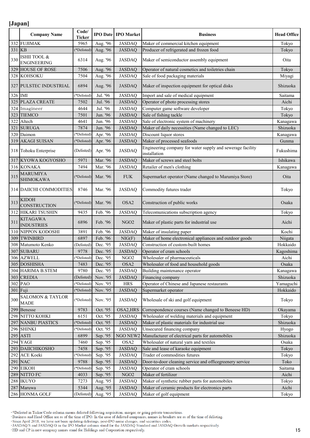|        | <b>Company Name</b>                        | Code/<br>Ticker |          | <b>IPO Date IPO Market</b> | <b>Business</b>                                                            | <b>Head Office</b> |
|--------|--------------------------------------------|-----------------|----------|----------------------------|----------------------------------------------------------------------------|--------------------|
| 332    | <b>FUJIMAK</b>                             | 5965            | Aug. '96 | <b>JASDAQ</b>              | Maker of commercial kitchen equipment                                      | Tokyo              |
| 331 KB |                                            | *Delisted)      | Aug. '96 | <b>JASDAQ</b>              | Producer of refrigerated and frozen food                                   | Tokyo              |
| 330    | ISHII TOOL &<br><b>ENGINEERING</b>         | 6314            | Aug. '96 | <b>JASDAQ</b>              | Maker of semiconductor assembly equipment                                  | Oita               |
| 329    | <b>HOUSE OF ROSE</b>                       | 7506            | Aug. '96 | <b>JASDAQ</b>              | Operator of natural cosmetics and toiletries chain                         | Tokyo              |
| 328    | <b>KOHSOKU</b>                             | 7504            | Aug. '96 | <b>JASDAQ</b>              | Sale of food packaging materials                                           | Miyagi             |
| 327    | <b>PULSTEC INDUSTRIAL</b>                  | 6894            | Aug. '96 | <b>JASDAQ</b>              | Maker of inspection equipment for optical disks                            | Shizuoka           |
|        | 326 IMI                                    | (*Delisted)     | Jul. '96 | <b>JASDAQ</b>              | Import and sale of medical equipment                                       | Saitama            |
|        | 325 PLAZA CREATE                           | 7502            | Jul. '96 | <b>JASDAQ</b>              | Operator of photo processing stores                                        | Aichi              |
| 324    | Imagineer                                  | 4644            | Jul. '96 | <b>JASDAQ</b>              | Computer game software developer                                           | Tokyo              |
| 323    | <b>TIEMCO</b>                              | 7501            | Jun. '96 | <b>JASDAQ</b>              | Sale of fishing tackle                                                     | Tokyo              |
| 322    | Altech                                     | 4641            | Jun. '96 | <b>JASDAQ</b>              | Sale of electronic system of machinery                                     | Kanagawa           |
| 321    | <b>SURUGA</b>                              | 7874            | Jun. '96 | <b>JASDAQ</b>              | Maker of daily necessities (Name changed to LEC)                           | Shizuoka           |
| 320    | Daimon                                     | (*Delisted)     | Apr. '96 | <b>JASDAQ</b>              | Discount liquor stores                                                     | Kanagawa           |
| 319    | <b>AKAGI SUISAN</b>                        | (*Delisted)     | Apr. '96 | <b>JASDAQ</b>              | Maker of processed seafoods                                                | Gunma              |
|        | 318 Tohoku Enterprise                      | (Delisted)      | Apr. '96 | <b>JASDAQ</b>              | Engineering company for water supply and sewerage facility<br>installation | Fukushima          |
|        | 317 KYOWA KOGYOSHO                         | 5971            | Mar. '96 | <b>JASDAQ</b>              | Maker of screws and steel bolts                                            | Ishikawa           |
|        | 316 KONAKA                                 | 7494            | Mar. '96 | <b>JASDAQ</b>              | Retailer of men's clothing                                                 | Kanagawa           |
| 315    | <b>MARUMIYA</b><br><b>SHIMOKAWA</b>        | (*Delisted)     | Mar. '96 | <b>FUK</b>                 | Supermarket operator (Name changed to Marumiya Store)                      | Oita               |
|        | 314 DAIICHI COMMODITIES                    | 8746            | Mar. '96 | <b>JASDAQ</b>              | Commodity futures trader                                                   | Tokyo              |
| 313    | <b>KIDOH</b><br>CONSTRUCTION               | (*Delisted)     | Mar. '96 | OSA <sub>2</sub>           | Construction of public works                                               | Osaka              |
| 312    | <b>HIKARI TSUSHIN</b>                      | 9435            | Feb. '96 | <b>JASDAQ</b>              | Telecomunications subscription agency                                      | Tokyo              |
| 311    | <b>KITAGAWA</b><br><b>INDUSTRIES</b>       | 6896            | Feb. '96 | NGO <sub>2</sub>           | Maker of plastic parts for industrial use                                  | Aichi              |
| 310    | NIPPON KODOSHI                             | 3891            | Feb. '96 | <b>JASDAQ</b>              | Maker of insulating paper                                                  | Kochi              |
| 309    | <b>TWINBIRD</b>                            | 6897            | Feb. '96 | NIG(F)                     | Maker of home electronical appliances and outdoor goods                    | Niigata            |
| 308    | Matumoto Kenko                             | (Delisted)      | Dec. '95 | <b>JASDAQ</b>              | Construction of custom-built homes                                         | Hokkaido           |
| 307    | <b>SUBARU</b>                              | 9778            | Dec. '95 | <b>JASDAQ</b>              | Operator of cram schools                                                   | Kagoshima          |
|        | 306 AZWELL                                 | (*Delisted)     | Dec. '95 | NGO <sub>2</sub>           | Wholesaler of pharmaceuticals                                              | Aichi              |
|        | 305 DOSHISHA                               | 7483            | Dec. '95 | OSA2                       | Wholesaler of food and household goods                                     | Osaka              |
|        | 304 HARIMA B.STEM                          | 9780            | Dec. '95 | <b>JASDAQ</b>              | Building maintenance operator                                              | Kanagawa           |
|        | 303 CREDIA                                 | (Delisted)      | Nov. '95 | <b>JASDAQ</b>              | Financing company                                                          | Shizuoka           |
|        | 302 PAO                                    | (*Delisted)     | Nov. '95 | <b>HRS</b>                 | Operator of Chinese and Japanese restaurants                               | Yamaguchi          |
|        | 301 Fuji                                   | *Delisted)      | Nov. '95 | <b>JASDAQ</b>              | Supermarket operator                                                       | Hokkaido           |
| 300    | <b>SALOMON &amp; TAYLOR</b><br><b>MADE</b> | (*Delisted)     | Nov. '95 | <b>JASDAQ</b>              | Wholesale of ski and golf equipment                                        | Tokyo              |
| 299    | Benesse                                    | 9783            | Oct. '95 | OSA2, HRS                  | Correspondence courses (Name changed to Beneese HD)                        | Okayama            |
| 298    | NITTO KOHKI                                | 6151            | Oct. '95 | <b>JASDAQ</b>              | Wholesaler of welding materials and equipment                              | Tokyo              |
| 297    | <b>NANBU PIASTICS</b>                      | (*Delisted)     | Oct. '95 | <b>JASDAQ</b>              | Maker of plastic materials for industrial use                              | Shizuoka           |
|        | 296 SHINKI                                 | (*Delisted)     | Oct. '95 | <b>JASDAQ</b>              | Unsecured financing company                                                | Hyogo              |
|        | $295$ ASTI                                 | 6899            | Sep. '95 | NGO NEW2                   | Manufacturer of electrical parts for automobiles                           | Shizuoka           |
|        | 294 YAGI                                   | 7460            | Sep. '95 | OSA2                       | Wholesaler of natural yarn and textiles                                    | Osaka              |
| 293    | <b>DAIICHIKOSHO</b>                        | 7458            | Sep. '95 | <b>JASDAQ</b>              | Sale and lease of karaoke equipment                                        | Tokyo              |
| 292    | <b>ACE Koeki</b>                           | (*Delisted)     | Sep. '95 | <b>JASDAQ</b>              | Trader of commodities futures                                              | Tokyo              |
| 291    | <b>NAC</b>                                 | 9788            | Sep. '95 | <b>JASDAQ</b>              | Door-to-door cleaning service and officegreenery service                   | Toko               |
| 290    | <b>EIKOH</b>                               | *Delisted)      | Sep. '95 | JASDAQ                     | Operator of cram schools                                                   | Saitama            |
| 289    | NITTO FC                                   | 4033            | Sep. '95 | NGO <sub>2</sub>           | Maker of fertilizer                                                        | Aichi              |
| 288    | <b>IKUYO</b>                               | 7273            | Aug. '95 | <b>JASDAQ</b>              | Maker of synthetic rubber parts for automobiles                            | Tokyo              |
| 287    | Maruwa                                     | 5344            | Aug. '95 | <b>JASDAQ</b>              | Maker of ceramic products for electronics parts                            | Aichi              |
|        | 286 HONMA GOLF                             | (Delisted)      | Aug. '95 | <b>JASDAQ</b>              | Maker of golf equipment                                                    | Tokyo              |

\*Delisted in Ticker/Code column means delisted following acquisition, merger, or going private transactions.<br>Business and Head Office are as of the time of IPO. In the case of delisted companies, names in brackets are as o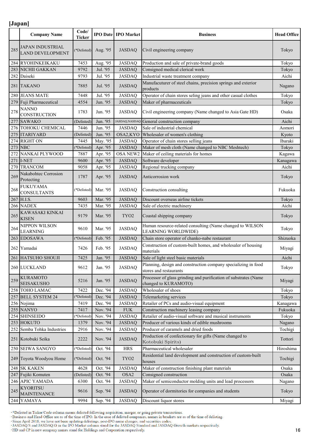|     | <b>Company Name</b>                                 | Code/<br>Ticker |                      | <b>IPO Date   IPO Market</b>   | <b>Business</b>                                                                          | <b>Head Office</b> |
|-----|-----------------------------------------------------|-----------------|----------------------|--------------------------------|------------------------------------------------------------------------------------------|--------------------|
| 285 | JAPAN INDUSTRIAL<br>LAND DEVELOPMENT                | *Delisted)      | Aug. '95             | <b>JASDAQ</b>                  | Civil engineering company                                                                | Tokyo              |
|     | 284 RYOHINKEIKAKU                                   | 7453            | Aug. '95             | <b>JASDAQ</b>                  | Production and sale of private-brand goods                                               | Tokyo              |
|     | 283 NICHII GAKKAN                                   | 9792            | Jul. '95             | <b>JASDAQ</b>                  | Consigned medical clerical work                                                          | Tokyo              |
|     | 282 Daiseki                                         | 9793            | Jul. '95             | <b>JASDAQ</b>                  | Industrial waste treatment company                                                       | Aichi              |
|     | 281 TAKANO                                          | 7885            | Jul. '95             | <b>JASDAQ</b>                  | Manufacuturer of steel chains, precision springs and exterior<br>products                | Nagano             |
|     | 280 JEANS MATE                                      | 7448            | Jul. '95             | <b>JASDAQ</b>                  | Operator of chain stores seling jeans and other casual clothes                           | Tokyo              |
|     | 279 Fuji Pharmaceutical                             | 4554            | Jun. '95             | <b>JASDAQ</b>                  | Maker of pharmaceuticals                                                                 | Tokyo              |
| 278 | <b>NANNO</b><br>CONSTRUCTION                        | 1783            | Jun. '95             | JASDAQ                         | Civil engineering company (Name changed to Asia Gate HD)                                 | Osaka              |
|     | 277 SAWAKO                                          | (Delisted)      | Jun. '95             | JASDAQ, NASDAQ                 | General construction company                                                             | Aichi              |
|     | 276 TOHOKU CHEMICAL                                 | 7446            | Jun. '95             | <b>JASDAQ</b>                  | Sale of industrial chemical                                                              | Aomori             |
|     | 275 ITARIYARD                                       | (Delisted)      | Jun. '95             | OSA2, KYO                      | Wholesaler of women's clothing                                                           | Kyoto              |
|     | 274 RIGHT ON                                        | 7445            | May. '95             | <b>JASDAQ</b>                  | Operator of chain stores selling jeans                                                   | Ibaraki            |
|     | <b>273 NBC</b>                                      | *Delisted)      | Apr. '95             | <b>JASDAQ</b>                  | Maker of mesh cloth (Name changed to NBC Meshtech)                                       | Tokyo              |
|     | 272 NANKAI PLYWOOD                                  | 7887            | Apr. '95             | OSA NEW2                       | Maker of ceiling materials for homes                                                     | Kagawa             |
|     | 271 I-NET                                           | 9600            | Apr. '95             | <b>JASDAQ</b>                  | Software developer                                                                       | Kanagawa           |
| 269 | 270 TRANCOM<br>Nakabohtec Corrosion                 | 9058<br>1787    | Apr. '95<br>Apr. '95 | <b>JASDAQ</b><br><b>JASDAQ</b> | Regional trucking company<br>Anticorrosion work                                          | Aichi<br>Tokyo     |
| 268 | Protecting<br><b>FUKUYAMA</b><br><b>CONSULTANTS</b> | *Delisted)      | Mar. '95             | <b>JASDAQ</b>                  | Construction consulting                                                                  | Fukuoka            |
|     | 267 H.I.S.                                          | 9603            | Mar. '95             | <b>JASDAQ</b>                  | Discount overseas airline tickets                                                        |                    |
|     | 266 NADEX                                           | 7435            | Mar. '95             | <b>JASDAQ</b>                  | Sale of electric machinery                                                               | Tokyo<br>Aichi     |
| 265 | KAWASAKI KINKAI<br><b>KISEN</b>                     | 9179            | Mar. '95             | TYO <sub>2</sub>               | Coastal shipping company                                                                 | Tokyo              |
| 264 | NIPPON WILSON<br><b>LEARNING</b>                    | 9610            | Mar. '95             | <b>JASDAQ</b>                  | Human resource-related consulting (Name changed to WILSON<br>LEARNING WORLDWIDE)         | Tokyo              |
|     | 263 EDOSAWA                                         | *Delisted)      | Feb. '95             | <b>JASDAQ</b>                  | Chain store operator of chanko-nabe restaurant                                           | Shizuoka           |
|     | 262 Yamadai                                         | 7426            | Feb. '95             | <b>JASDAQ</b>                  | Construction of custom-built homes, and wholesaler of housing<br>materials               | Miyagi             |
|     | 261 HATSUHO SHOUJI                                  | 7425            | Jan. '95             | <b>JASDAQ</b>                  | Sale of light steel basic materials                                                      | Aichi              |
|     | 260 LUCKLAND                                        | 9612            | Jan. '95             | <b>JASDAQ</b>                  | Planning, design and construction company specializing in food<br>stores and restaurants | Tokyo              |
| 259 | KURAMOTO<br>SEISAKUSHO                              | 5216            | Jan. '95             | <b>JASDAQ</b>                  | Processor of glass grinding and purification of substrates (Name<br>changed to KURAMOTO) | Miyagi             |
|     | 258 TOHO LAMAC                                      | 7422            | Dec. '94             | <b>JASDAQ</b>                  | Wholesaler of shoes                                                                      | Tokyo              |
|     | 257 BELL SYSTEM 24                                  | *Delisted)      | Dec. '94             | <b>JASDAQ</b>                  | Telemarketing services                                                                   | Tokyo              |
|     | 256 Nojima                                          | 7419            | Dec. '94             | JASDAQ                         | Retailer of PCs and audio-visual equipment                                               | Kanagawa           |
|     | 255 NANYO                                           | 7417            | Nov. '94             | <b>FUK</b>                     | Construction machinery leasing company                                                   | Fukuoka            |
|     | 254 SHINSEIDO                                       | *Delisted)      | Nov. '94             | <b>JASDAQ</b>                  | Retailer of audio-visual software and musical instruments                                | Tokyo              |
|     | 253 HOKUTO                                          | 1379            | Nov. '94             | <b>JASDAQ</b>                  | Producer of various kinds of edible mushrooms                                            | Nagano             |
|     | 252 Semba Tohka Industries                          | 2916            | Nov. '94             | <b>JASDAQ</b>                  | Producer of caramels and dried foods                                                     | Tochigi            |
|     | 251 Kotobuki Seika                                  | 2222            | Nov. '94             | <b>JASDAQ</b>                  | Production of confectionary for gifts (Name changed to<br>Kotobuki Spirits)              | Tottori            |
|     | 250 SEIWA SANGYO                                    | (*Delisted)     | Oct. '94             | <b>HRS</b>                     | Pharmaceutical wholesaler                                                                | Hiroshima          |
|     | 249 Toyota Woodyou Home                             | (*Delisted)     | Oct. '94             | TYO2                           | Residential land development and construction of custom-built<br>houses                  | Tochigi            |
|     | 248 SK KAKEN                                        | 4628            | Oct. '94             | <b>JASDAQ</b>                  | Maker of construction finishing plant materials                                          | Osaka              |
|     | 247 Fujiki Komuten                                  | (Delisted)      | Oct. '94             | OSA <sub>2</sub>               | Consigned construction                                                                   | Osaka              |
|     | 246 APIC YAMADA                                     | 6300            | Oct. '94             | JASDAQ                         | Maker of semiconductor molding units and lead processors                                 | Nagano             |
| 245 | <b>KYORITSU</b><br><b>MAINTENANCE</b>               | 9616            | Sep. '94             | <b>JASDAQ</b>                  | Operator of dormitories for companies and students                                       | Tokyo              |
|     | 244 YAMAYA                                          | 9994            | Sep. '94             | <b>JASDAQ</b>                  | Discount liquor stores                                                                   | Miyagi             |

\*Delisted in Ticker/Code column means delisted following acquisition, merger, or going private transactions.<br>\*Business and Head Office are as of the time of IPO. In the case of delisted companies, names in brackets are as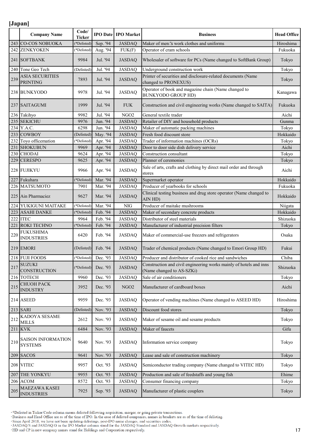|     | <b>Company Name</b>                       | Code/<br><b>Ticker</b> |                      | <b>IPO Date   IPO Market</b> | <b>Business</b>                                                                                 | <b>Head Office</b> |
|-----|-------------------------------------------|------------------------|----------------------|------------------------------|-------------------------------------------------------------------------------------------------|--------------------|
| 243 | <b>CO-COS NOBUOKA</b>                     | *Delisted)             | Sep. '94             | <b>JASDAQ</b>                | Maker of men <sup>r</sup> s work clothes and uniforms                                           | Hiroshima          |
| 242 | <b>ZENKYOKEN</b>                          | (*Delisted)            | Aug. '94             | FUK(F)                       | Operator of cram schools                                                                        | Fukuoka            |
|     | 241 SOFTBANK                              | 9984                   | Jul. '94             | <b>JASDAQ</b>                | Wholesaler of software for PCs (Name changed to SoftBank Group)                                 | Tokyo              |
| 240 | Tone Geo Tech                             | (Delisted)             | Jul. '94             | <b>JASDAQ</b>                | Underground construction work                                                                   | Tokyo              |
| 239 | <b>ASIA SECURITIES</b><br><b>PRINTING</b> | 7893                   | Jul. '94             | <b>JASDAQ</b>                | Printer of securities and disclosure-related documents (Name<br>changed to PRONEXUS)            | Tokyo              |
|     | 238 BUNKYODO                              | 9978                   | Jul. '94             | <b>JASDAQ</b>                | Operator of book and magazine chain (Name changed to<br><b>BUNKYODO GROUP HD)</b>               | Kanagawa           |
|     | 237 SAITAGUMI                             | 1999                   | Jul. '94             | <b>FUK</b>                   | Construction and civil engineering works (Name changed to SAITA)                                | Fukuoka            |
| 236 | Takihyo                                   | 9982                   | Jul. '94             | NGO <sub>2</sub>             | General textile trader                                                                          | Aichi              |
| 235 | <b>SEKICHU</b>                            | 9976                   | Jun. '94             | <b>JASDAQ</b>                | Retailer of DIY and household products                                                          | Gunma              |
| 234 | Y.A.C.                                    | 6298                   | Jun. '94             | <b>JASDAQ</b>                | Maker of automatic packing machines                                                             | Tokyo              |
| 233 | <b>COWBOY</b>                             | (Delisted)             | May. '94             | <b>JASDAQ</b>                | Fresh food discount store                                                                       | Hokkaido           |
| 232 | Toyo officemation                         | (*Delisted)            | Apr. '94             | <b>JASDAQ</b>                | Trader of information machines (OCRs)                                                           | Tokyo              |
| 231 | <b>SHOKUBUN</b>                           | 9969                   | Apr. '94             | <b>JASDAQ</b>                | Door to door side dish delivery service                                                         | Aichi              |
| 230 | <b>CHODAI</b>                             | 9624                   | Apr. '94             | <b>JASDAQ</b>                | Construction consultant                                                                         | Tokyo              |
| 229 | <b>CERESPO</b>                            | 9625                   | Apr. '94             | <b>JASDAQ</b>                | Planner of ceremonies                                                                           | Tokyo              |
|     | 228 FUJIKYU                               | 9966                   | Apr. '94             | <b>JASDAQ</b>                | Sale of arts, crafts and clothing by direct mail order and through<br>stores                    | Aichi              |
| 227 | Fukuhara                                  | (*Delisted)            | Mar. '94             | <b>JASDAQ</b>                | Supermarket operator                                                                            | Hokkaido           |
| 226 | <b>MATSUMOTO</b>                          | 7901                   | Mar. '94             | <b>JASDAQ</b>                | Producer of yearbooks for schools                                                               | Fukuoka            |
|     | 225 Ain Pharmaciez                        | 9627                   | Mar. '94             | <b>JASDAQ</b>                | Clinical testing business and drug store operator (Name changed to<br>AIN HD)                   | Hokkaido           |
| 224 | YUKIGUNI MAITAKE                          | (*Delisted)            | Mar. '94             | <b>NIG</b>                   | Producer of maitake mushrooms                                                                   | Niigata            |
| 223 | <b>ASAHI DANKE</b>                        | (*Delisted)            | Feb. '94             | <b>JASDAQ</b>                | Maker of secondary concrete products                                                            | Hokkaido           |
| 222 | <b>ITEC</b>                               | 9964                   | Feb. '94             | <b>JASDAQ</b>                | Distributor of steel materials                                                                  | Shizuoka           |
| 221 | ROKI TECHNO                               | (*Delisted)            | Feb. '94             | <b>JASDAQ</b>                | Manufacturer of industrial precision filters                                                    | Tokyo              |
| 220 | <b>FUKUSHIMA</b><br><b>INDUSTRIES</b>     | 6420                   | Feb. '94             | <b>JASDAQ</b>                | Maker of commercial-use freezers and refrigerators                                              | Osaka              |
|     | <b>219 EMORI</b>                          | (Delisted)             | Feb. '94             | <b>JASDAQ</b>                | Trader of chemical products (Name changed to Emori Group HD)                                    | Fukui              |
|     | 218 FUJI FOODS                            |                        | (*Delisted) Dec. '93 | <b>JASDAQ</b>                | Producer and distributor of cooked rice and sandwiches                                          | Chiba              |
| 217 | <b>SUZUKI</b><br>CONSTRUCTION             | (*Delisted)            | Dec. '93             | <b>JASDAQ</b>                | Construction and civil engineering works mainly of hotels and inns<br>(Name changed to AS-SZKi) | Shizuoka           |
|     | 216 TOTECH                                | 9960                   | Dec. '93             | <b>JASDAQ</b>                | Sale of air conditioners                                                                        | Tokyo              |
| 215 | <b>CHUOH PACK</b><br><b>INDUSTRY</b>      | 3952                   | Dec. '93             | NGO <sub>2</sub>             | Manufacturer of cardboard boxes                                                                 | Aichi              |
|     | 214 ASEED                                 | 9959                   | Dec. '93             | <b>JASDAQ</b>                | Operator of vending machines (Name changed to ASEED HD)                                         | Hiroshima          |
|     | 213 SARI                                  | (Delisted)             | Nov. '93             | <b>JASDAQ</b>                | Discount food stores                                                                            | Tokyo              |
| 212 | KADOYA SESAME<br><b>MILLS</b>             | 2612                   | Nov. '93             | <b>JASDAQ</b>                | Maker of sesame oil and sesame products                                                         | Tokyo              |
| 211 | <b>KVK</b>                                | 6484                   | Nov. '93             | <b>JASDAQ</b>                | Maker of faucets                                                                                | Gifu               |
| 210 | SAISON INFORMATION<br><b>SYSTEMS</b>      | 9640                   | Nov. '93             | <b>JASDAQ</b>                | Information service company                                                                     | Tokyo              |
| 209 | <b>SACOS</b>                              | 9641                   | Nov. '93             | <b>JASDAQ</b>                | Lease and sale of construction machinery                                                        | Tokyo              |
|     | 208 VITEC                                 | 9957                   | Oct. '93             | <b>JASDAQ</b>                | Semiconductor trading company (Name changed to VITEC HD)                                        | Tokyo              |
| 207 | THE YONKYU                                | 9955                   | Oct. '93             | <b>JASDAQ</b>                | Production and sale of feedstaffs and young fish                                                | Ehime              |
|     | 206 ACOM                                  | 8572                   | Oct. '93             | <b>JASDAQ</b>                | Consumer financing company                                                                      | Tokyo              |
| 205 | MAEZAWA KASEI<br><b>INDUSTRIES</b>        | 7925                   | Sep. '93             | <b>JASDAQ</b>                | Manufacturer of plastic couplers                                                                | Tokyo              |

\*Delisted in Ticker/Code column means delisted following acquisition, merger, or going private transactions.<br>Business and Head Office are as of the time of IPO. In the case of delisted companies, names in brackets are as o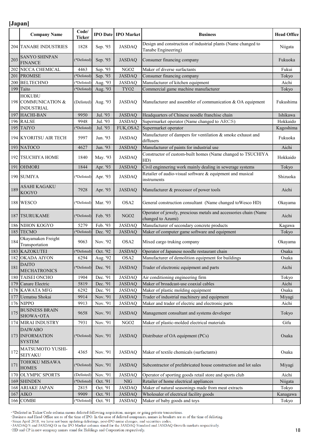|     | <b>Company Name</b>                                       | Code/<br><b>Ticker</b> |          | <b>IPO Date IPO Market</b> | <b>Business</b>                                                                       | <b>Head Office</b> |
|-----|-----------------------------------------------------------|------------------------|----------|----------------------------|---------------------------------------------------------------------------------------|--------------------|
|     | <b>204 TANABE INDUSTRIES</b>                              | 1828                   | Sep. '93 | <b>JASDAQ</b>              | Design and construction of industrial plants (Name changed to<br>Tanabe Engineering)  | Niigata            |
| 203 | <b>SANYO SHINPAN</b><br><b>FINANCE</b>                    | (*Delisted)            | Sep. '93 | <b>JASDAQ</b>              | Consumer financing company                                                            | Fukuoka            |
| 202 | NICCA CHEMICAL                                            | 4463                   | Sep. '93 | NGO <sub>2</sub>           | Maker of diverse surfactants                                                          | Fukui              |
| 201 | <b>PROMISE</b>                                            | (*Delisted)            | Sep. '93 | <b>JASDAQ</b>              | Consumer financing company                                                            | Tokyo              |
| 200 | <b>BELTECHNO</b>                                          | (*Delisted)            | Aug. '93 | <b>JASDAQ</b>              | Manufacturer of kitchen equipment                                                     | Aichi              |
| 199 | Taito                                                     | (*Delisted)            | Aug. '93 | TYO <sub>2</sub>           | Commercial game machine manufacturer                                                  | Tokyo              |
|     | <b>HOKUBU</b><br>198 COMMUNICATION &<br><b>INDUSTRIAL</b> | (Delisted)             | Aug. '93 | <b>JASDAQ</b>              | Manufacturer and assembler of communication & OA equipment                            | Fukushima          |
|     | 197 HACHI-BAN                                             | 9950                   | Jul. '93 | <b>JASDAQ</b>              | Headquarters of Chinese noodle franchise chain                                        | Ishikawa           |
|     | 196 RALSE                                                 | 9948                   | Jul. '93 | <b>JASDAQ</b>              | Supermarket operator (Name changed to ARCS)                                           | Hokkaido           |
|     | 195 TAIYO                                                 | (*Delisted)            | Jul. '93 | FUK, OSA2                  | Supermarket operator                                                                  | Kagoshima          |
|     | 194 KYORITSU AIR TECH                                     | 5997                   | Jun. '93 | <b>JASDAQ</b>              | Manufacturer of dampers for ventilation & smoke exhaust and<br>diffusers              | Fukuoka            |
|     | 193 NATOCO                                                | 4627                   | Jun. '93 | <b>JASDAQ</b>              | Manufacturer of paints for industrial use                                             | Aichi              |
|     | 192 TSUCHIYA HOME                                         | 1840                   | May. '93 | <b>JASDAQ</b>              | Constructor of custom-built homes (Name changed to TSUCHIYA<br>HD)                    | Hokkaido           |
| 191 | <b>OHMORI</b>                                             | 1844                   | Apr. '93 | <b>JASDAQ</b>              | Civil enginnering work mainly dealing in sewerage systems                             | Tokyo              |
|     | 190 SUMIYA                                                | (*Delisted)            | Apr. '93 | <b>JASDAQ</b>              | Retailer of audio-visual software & equipment and musical<br>instruments              | Shizuoka           |
| 189 | <b>ASAHI KAGAKU</b><br><b>KOGYO</b>                       | 7928                   | Apr. '93 | <b>JASDAQ</b>              | Manufacturer & processor of power tools                                               | Aichi              |
|     | 188 WESCO                                                 | (*Delisted)            | Mar. '93 | OSA <sub>2</sub>           | General construction consultant (Name changed to Wesco HD)                            | Okayama            |
|     | 187 TSURUKAME                                             | (*Delisted)            | Feb. '93 | NGO <sub>2</sub>           | Operator of jewely, prescious metals and accessories chain (Name<br>changed to Azumi) | Aichi              |
|     | 186 NIHON KOGYO                                           | 5279                   | Feb. '93 | <b>JASDAQ</b>              | Manufacturer of secondary concrete products                                           | Kagawa             |
| 185 | <b>TECMO</b>                                              | (*Delisted)            | Dec. '92 | <b>JASDAQ</b>              | Maker of computer game software and equipment                                         | Tokyo              |
| 184 | Okayamaken Freight<br>Transportation                      | 9063                   | Nov. '92 | OSA2                       | Mixed cargo truking company                                                           | Okayama            |
|     | 183 KAZOKUTEI                                             | (*Delisted)            | Oct. '92 | <b>JASDAQ</b>              | Operator of Japanese noodle restaurant chain                                          | Osaka              |
|     | 182 OKADA AIYON                                           | 6294                   | Aug. '92 | OSA2                       | Manufacturer of demolition equipment for buildings                                    | Osaka              |
| 181 | <b>DAITO</b><br><b>MECHATRONICS</b>                       | (*Delisted)            | Dec. '91 | <b>JASDAQ</b>              | Trader of electronic equipment and parts                                              | Aichi              |
| 180 | <b>TAISEI ONCHO</b>                                       | 1904                   | Dec. '91 | <b>JASDAQ</b>              | Air conditioning engineering firm                                                     | Tokyo              |
| 179 | Canare Electric                                           | 5819                   | Dec. '91 | <b>JASDAQ</b>              | Maker of broadcast-use coaxial cables                                                 | Aichi              |
| 178 | <b>KAWATA MFG</b>                                         | 6292                   | Dec. '91 | <b>JASDAQ</b>              | Maker of plastic molding equipment                                                    | Osaka              |
| 177 | Uematsu Shokai                                            | 9914                   | Nov. '91 | <b>JASDAQ</b>              | Trader of industrial machinery and equipment                                          | Miyagi             |
|     | 176 NIPPO                                                 | 9913                   | Nov. '91 | <b>JASDAQ</b>              | Maker and trader of electric and electronic parts                                     | Aichi              |
| 175 | <b>BUSINESS BRAIN</b><br>SHOWA OTA                        | 9658                   | Nov. '91 | <b>JASDAQ</b>              | Management consultant and systems developer                                           | Tokyo              |
|     | 174 MIRAI INDUSTRY                                        | 7931                   | Nov. '91 | NGO <sub>2</sub>           | Maker of plastic-molded electrical materials                                          | Gifu               |
|     | <b>DAIWABO</b><br>173 INFORMATION<br><b>SYSTEM</b>        | (*Delisted)            | Nov. '91 | <b>JASDAQ</b>              | Distributer of OA equipment (PCs)                                                     | Osaka              |
| 172 | MATSUMOTO YUSHI-<br>SEIYAKU                               | 4365                   | Nov. '91 | <b>JASDAQ</b>              | Maker of textile chemicals (surfactants)                                              | Osaka              |
| 171 | TOHOKU MISAWA<br><b>HOMES</b>                             | (*Delisted)            | Nov. '91 | <b>JASDAQ</b>              | Subcontractor of prefabricated house construction and lot sales                       | Miyagi             |
| 170 | <b>OLYMPIC SPORTS</b>                                     | (Delisted)             | Nov. '91 | <b>JASDAQ</b>              | Operator of sporting goods retail store and sports club                               | Aichi              |
|     | 169 SHINDEN                                               | (*Delisted)            | Oct. '91 | <b>NIG</b>                 | Retailer of home electrical appliances                                                | Niigata            |
|     | 168 ARIAKE JAPAN                                          | 2815                   | Oct. '91 | <b>JASDAQ</b>              | Maker of natural seasonings made from meat extracts                                   | Tokyo              |
| 167 | <b>AIKO</b>                                               | 9909                   | Oct. '91 | <b>JASDAQ</b>              | Wholesaler of electrical facility goods                                               | Kanagawa           |
|     | 166 COMBI                                                 | (*Delisted)            | Oct. '91 | <b>JASDAQ</b>              | Maker of baby goods and toys                                                          | Tokyo              |

\*Delisted in Ticker/Code column means delisted following acquisition, merger, or going private transactions.<br>Business and Head Office are as of the time of IPO. In the case of delisted companies, names in brackets are as o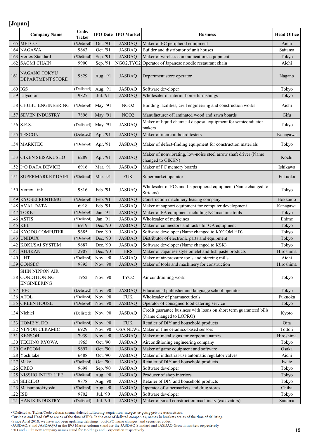|         | <b>Company Name</b>                                                     | Code/<br>Ticker |                      | <b>IPO Date IPO Market</b>        | <b>Business</b>                                                                                | <b>Head Office</b> |
|---------|-------------------------------------------------------------------------|-----------------|----------------------|-----------------------------------|------------------------------------------------------------------------------------------------|--------------------|
|         | 165 MELCO                                                               | *Delisted)      | Oct. '91             | <b>JASDAQ</b>                     | Maker of PC peripheral equipment                                                               | Aichi              |
|         | 164 NAGAWA                                                              | 9663            | Oct. '91             | <b>JASDAQ</b>                     | Builder and distributor of unit houses                                                         | Saitama            |
| 163     | Vertex Standard                                                         | *Delisted)      | Sep. '91             | <b>JASDAQ</b>                     | Maker of wireless communications equipment                                                     | Tokyo              |
|         | 162 SAGMI CHAIN                                                         | 9900            | Sep. '91             |                                   | NGO2,TYO2 Operator of Japanese noodle restaurant chain                                         | Aichi              |
| 161     | NAGANO TOKYU<br>DEPARTMENT STORE                                        | 9829            | Aug. '91             | <b>JASDAQ</b>                     | Department store operator                                                                      | Nagano             |
| 160 IGS |                                                                         | (Delisted)      | Aug. '91             | <b>JASDAQ</b>                     | Software developer                                                                             | Tokyo              |
|         | 159 Lilycolor                                                           | 9827            | Jul. '91             | <b>JASDAQ</b>                     | Wholesaler of interior home furnishings                                                        | Tokyo              |
|         | 158 CHUBU ENGINEERING                                                   | (*Delisted)     | May. '91             | NGO <sub>2</sub>                  | Building facilities, civil engineering and construction works                                  | Aichi              |
| 157     | <b>SEVEN INDUSTRY</b>                                                   | 7896            | May. '91             | NGO <sub>2</sub>                  | Manufacturer of laminated wood and sawn boards                                                 | Gifu               |
|         | 156 S.E.S.                                                              | (Delisted)      | May. '91             | <b>JASDAQ</b>                     | Maker of liquid chemical disposal equipment for semiconductor<br>makers                        | Tokyo              |
|         | 155 TESCON                                                              | (Delisted)      | Apr. '91             | <b>JASDAQ</b>                     | Maker of incircuit board testers                                                               | Kanagawa           |
|         | 154 MARKTEC                                                             | (*Delisted)     | Apr. '91             | <b>JASDAQ</b>                     | Maker of defect-finding equipment for construction materials                                   | Tokyo              |
|         | <b>153 GIKEN SEISAKUSHO</b>                                             | 6289            | Apr. '91             | <b>JASDAQ</b>                     | Maker of nonvibrating, low-noise steel arrow shaft driver (Name<br>changed to GIKEN)           | Kochi              |
|         | 152 I .O DATA DEVICE                                                    | 6916            | Mar. '91             | <b>JASDAQ</b>                     | Maker of PC memory boards                                                                      | Ishikawa           |
|         | 151 SUPERMARKET DAIEI                                                   | (*Delisted)     | Mar. '91             | <b>FUK</b>                        | Supermarket operator                                                                           | Fukuoka            |
|         | 150 Vertex Link                                                         | 9816            | Feb. '91             | <b>JASDAQ</b>                     | Wholesaler of PCs and Its peripheral equipment (Name changed to<br>Striders)                   | Tokyo              |
|         | 149 KYOSEI RENTEMU                                                      | *Delisted)      | Feb. '91             | <b>JASDAQ</b>                     | Construction machinery leasing company                                                         | Hokkaido           |
|         | 148 AVAL DATA                                                           | 6918            | Feb. '91             | <b>JASDAQ</b>                     | Maker of support equipment for computer development                                            | Kanagawa           |
|         | 147 TOKKI                                                               | (*Delisted)     | Jan. '91             | <b>JASDAQ</b>                     | Maker of FA equipment including NC machine tools                                               | Tokyo              |
| 146     | <b>ASTIS</b>                                                            | (*Delisted)     | Jan. '91             | <b>JASDAQ</b>                     | Wholesaler of medicines                                                                        | Ehime              |
| 145     | <b>KEL</b>                                                              | 6919            | Dec. '90             | <b>JASDAQ</b>                     | Maker of connectors and racks for OA equipment                                                 | Tokyo              |
|         | 144 KYODO COMPUTER                                                      | 9685            | Dec. '90             | <b>JASDAQ</b>                     | Software developer (Name changed to KYCOM HD)                                                  | Tokyo              |
|         | 143 UNIDUX                                                              | (*Delisted)     | Dec. '90             | <b>JASDAQ</b>                     | Distributor of electronic parts and equipment                                                  | Tokyo              |
|         | 142 KOKUSAI SYSTEM                                                      | 9687            | Dec. '90             | <b>JASDAQ</b>                     | Software developer (Name changed to KSK)                                                       | Tokyo              |
|         | 141 AHJIKAN                                                             | 2907            | Dec. '90             | <b>HRS</b>                        | Maker of Japanese style omelet and fish paste products                                         | Hiroshima          |
|         | 140 UHT                                                                 | (*Delisted)     | Nov. '90             | <b>JASDAQ</b>                     | Maker of air-pressure tools and piercing mills                                                 | Aichi              |
|         | 139 CONSEC<br>SHIN NIPPON AIR<br>138 CONDITIONING<br><b>ENGINEERING</b> | 9895<br>1952    | Nov. '90<br>Nov. '90 | <b>JASDAQ</b><br>TY <sub>O2</sub> | Maker of tools and machinery for construction<br>Air conditioning work                         | Hiroshima<br>Tokyo |
|         | 137 IPEC                                                                | (Delisted)      | Nov. '90             | <b>JASDAQ</b>                     | Educational publisher and language school operator                                             | Tokyo              |
|         | 136 ATOL                                                                | (*Delisted)     | Nov. '90             | <b>FUK</b>                        | Wholesaler of pharmaceuticals                                                                  | Fukuoka            |
|         | 135 GREEN HOUSE                                                         | (*Delisted)     | Nov. '90             | <b>JASDAQ</b>                     | Operator of consigned food catering service                                                    | Tokyo              |
|         | 134 Nichiei                                                             | (Delisted)      | Nov. '90             | <b>JASDAQ</b>                     | Credit guarantee business with loans on short term guaranteed bills<br>(Name changed to LOPRO) | Kyoto              |
|         | 133 HOME Y. DO                                                          | (*Delisted)     | Nov. '90             | ${\rm FUK}$                       | Retailer of DIY and household products                                                         | Oita               |
|         | 132 NIPPON CERAMIC                                                      | 6929            | Nov. '90             | OSA NEW2                          | Maker of fine ceramics-based sensors                                                           | Tottori            |
|         | 131 KENSOH                                                              | 7939            | Nov. '90             | <b>JASDAQ</b>                     | Maker of metal signs for corporate names                                                       | Hiroshima          |
|         | 130 TECHNO RYOWA                                                        | 1965            | Oct. '90             | <b>JASDAQ</b>                     | Airconditioning engineering company                                                            | Tokyo              |
| 129     | <b>CAPCOM</b>                                                           | 9697            | Oct. '90             | <b>JASDAQ</b>                     | Maker of game equipment and software                                                           | Osaka              |
| 128     | Yoshitake                                                               | 6488            | Oct. '90             | <b>JASDAQ</b>                     | Maker of industrial-use automatic regulator valves                                             | Aichi              |
| 127     | Make                                                                    | *Delisted)      | Oct. '90             | <b>JASDAQ</b>                     | Retailer of DIY and household products                                                         | Iwate              |
|         | <b>126</b> CREO                                                         | 9698            | Sep. '90             | <b>JASDAQ</b>                     | Software developer                                                                             | Tokyo              |
| 125     | <b>NISSHO INTER LIFE</b>                                                | (*Delisted)     | Aug. '90             | <b>JASDAQ</b>                     | Producer of shop interiors                                                                     | Tokyo              |
|         | 124 SEIKIDO                                                             | 9878            | Aug. '90             | <b>JASDAQ</b>                     | Retailer of DIY and household products                                                         | Tokyo              |
| 123     | Matsumotokiyoshi                                                        | (*Delisted)     | Aug. '90             | <b>JASDAQ</b>                     | Operator of supermarkets and drug stores                                                       | Chiba              |
|         | 122 ISB                                                                 | 9702            | Jul. '90             | <b>JASDAQ</b>                     | Software developer                                                                             | Tokyo              |
| 121     | HANIX INDUSTRY                                                          | (Delisted)      | Jul. '90             | <b>JASDAQ</b>                     | Maker of small construction machinery (excavators)                                             | Saitama            |

\*Delisted in Ticker/Code column means delisted following acquisition, merger, or going private transactions.<br>Business and Head Office are as of the time of IPO. In the case of delisted companies, names in brackets are as o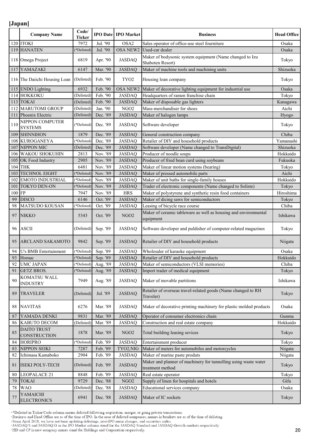|     | <b>Company Name</b>                | Code/<br><b>Ticker</b> |          | <b>IPO Date IPO Market</b> | <b>Business</b>                                                                     | <b>Head Office</b> |
|-----|------------------------------------|------------------------|----------|----------------------------|-------------------------------------------------------------------------------------|--------------------|
|     | 120 ITOKI                          | 7972                   | Jul. '90 | OSA2                       | Sales operator of office-use steel fourniture                                       | Osaka              |
| 119 | <b>HANATEN</b>                     | (*Delisted)            | Jul. '90 | OSA NEW2                   | Used-car dealer                                                                     | Osaka              |
|     | 118 Omega Project                  | 6819                   | Apr. '90 | <b>JASDAQ</b>              | Maker of bodysonic system equipment (Name changed to Izu<br>Shaboten Resort)        | Tokyo              |
| 117 | YAMAZAKI                           | 6147                   | Mar. '90 | <b>JASDAQ</b>              | Maker of machine tools and machining units                                          | Shizuoka           |
|     | 116 The Daiichi Housing Loan       | (Delisted)             | Feb. '90 | TYO <sub>2</sub>           | Housing loan company                                                                | Tokyo              |
| 115 | <b>ENDO</b> Lighting               | 6932                   | Feb. '90 | OSA NEW2                   | Maker of decorative lighting equipment for industrial use                           | Osaka              |
|     | 114 HOKKOKU                        | (Delisted)             | Feb. '90 | <b>JASDAQ</b>              | Headquarters of ramen franchise chain                                               | Tokyo              |
|     | $113$ TOKAI                        | (Delisted)             | Feb. '90 | <b>JASDAQ</b>              | Maker of disposable gas lighters                                                    | Kanagawa           |
|     | 112 MARUTOMI GROUP                 | (Delisted)             | Jan. '90 | NGO <sub>2</sub>           | Mass-merchandiser for shoes                                                         | Aichi              |
| 111 | Phoenix Electric                   | (Delisted)             | Dec. '89 | <b>JASDAQ</b>              | Maker of halogen lamps                                                              | Hyogo              |
| 110 | NIPPON COMPUTER<br><b>SYSTEMS</b>  | (*Delisted)            | Dec. '89 | <b>JASDAQ</b>              | Software developer                                                                  | Tokyo              |
| 109 | <b>SHINNIHON</b>                   | 1879                   | Dec. '89 | <b>JASDAQ</b>              | General construction company                                                        | Chiba              |
|     | 108 KUROGANEYA                     | (*Delisted)            | Dec. '89 | <b>JASDAQ</b>              | Retailer of DIY and household products                                              | Yamanashi          |
| 107 | <b>NIPPON MIC</b>                  | (Delisted)             | Dec. '89 | <b>JASDAQ</b>              | Software developer (Name changed to TransDigital)                                   | Shizuoka           |
| 106 | <b>WAKOU SHOKUHIN</b>              | 2813                   | Nov. '89 | <b>JASDAQ</b>              | Producer of noodle soups                                                            | Hokkaido           |
| 105 | OK Food Industry                   | 2905                   | Nov. '89 | <b>JASDAQ</b>              | Producer of fried bean curd using soybeans                                          | Fukuoka            |
| 104 | <b>THK</b>                         | 6481                   | Nov. '89 | <b>JASDAQ</b>              | Maker of linear motion systems (bearing)                                            | Tokyo              |
| 103 | TECHNOL EIGHT                      | (*Delisted)            | Nov. '89 | <b>JASDAQ</b>              | Maker of pressed automobile parts                                                   | Aichi              |
| 102 | <b>EMOTO INDUSTRIAL</b>            | (*Delisted)            | Nov. '89 | <b>JASDAQ</b>              | Maker of unit baths for single-family houses                                        | Hokkaido           |
| 101 | TOKYO DEN-ON                       | (*Delisted)            | Nov. '89 | <b>JASDAQ</b>              | Trader of electronic components (Name changed to Soliste)                           | Tokyo              |
| 100 | <b>FP</b>                          | 7947                   | Nov. '89 | <b>HRS</b>                 | Maker of polystyrene and synthetic resin food containers                            | Hiroshima          |
| 99  | <b>DISCO</b>                       | 6146                   | Oct. '89 | <b>JASDAQ</b>              | Maker of dicing saws for semiconductors                                             |                    |
| 98  | MATSUDO KOUSAN                     | (*Delisted)            | Oct. '89 |                            |                                                                                     | Tokyo<br>Chiba     |
|     |                                    |                        |          | <b>JASDAQ</b>              | Leasing of bicycle race course                                                      |                    |
| 97  | <b>NIKKO</b>                       | 5343                   | Oct. '89 | NGO <sub>2</sub>           | Maker of ceramic tableware as well as housing and environmental<br>equipment        | Ishikawa           |
| 96  | <b>ASCII</b>                       | (Delisted)             | Sep. '89 | <b>JASDAQ</b>              | Software developer and puldisher of computer-related magazines                      | Tokyo              |
| 95  | <b>ARCLAND SAKAMOTO</b>            | 9842                   | Sep. '89 | <b>JASDAQ</b>              | Retailer of DIY and household products                                              | Niigata            |
| 94  | U's BMB Entertainment              | (*Delisted)            | Sep. '89 | <b>JASDAQ</b>              | Wholesaler of karaoke equipment                                                     | Osaka              |
| 93  | Homac                              | (*Delisted)            | Sep. '89 | <b>JASDAQ</b>              | Retailer of DIY and household products                                              | Hokkaido           |
| 92  | <b>UMC JAPAN</b>                   | (*Delisted)            | Aug. '89 | <b>JASDAQ</b>              | Maker of semiconductors (VLSI memories)                                             | Chiba              |
| 91  | <b>GETZ BROS.</b>                  | (*Delisted)            | Aug. '89 | <b>JASDAQ</b>              | Import trader of medical equipment                                                  | Tokyo              |
| 90  | KOMATSU WALL<br><b>INDUSTRY</b>    | 7949                   | Aug. '89 | <b>JASDAQ</b>              | Maker of movable partitions                                                         | Ishikawa           |
| 89  | <b>TRAVELER</b>                    | (Delisted)             | Jul. '89 | <b>JASDAQ</b>              | Retailer of overseas travel-related goods (Name changed to RH<br>Traveler)          | Tokyo              |
| 88  | <b>NAVITAS</b>                     | 6276                   | Mar. '89 | <b>JASDAQ</b>              | Maker of decorative printing machinery for plastic molded products                  | Osaka              |
| 87  | YAMADA DENKI                       | 9831                   | Mar. '89 | <b>JASDAQ</b>              | Operator of consumer electronics chain                                              | Gunma              |
| 86  | KABUTO DECOM                       | (Delisted)             | Mar. '89 | <b>JASDAQ</b>              | Construction and real estate company                                                | Hokkaido           |
| 85  | <b>DAITO TRUST</b><br>CONSTRUCTION | 1878                   | Mar. '89 | NGO <sub>2</sub>           | Total building leasing sevices                                                      | Tokyo              |
| 84  | <b>HORIPRO</b>                     | (*Delisted)            | Feb. '89 | <b>JASDAQ</b>              | Entertainment producer                                                              | Tokyo              |
| 83  | NIPPON SEIKI                       | 7287                   | Feb. '89 | TYO2,NIG                   | Maker of meters for automobiles and motorcycles                                     | Niigata            |
| 82  | Ichimasa Kamaboko                  | 2904                   | Feb. '89 | <b>JASDAQ</b>              | Maker of marine paste produts                                                       | Niigata            |
| 81  | <b>ISEKI POLY-TECH</b>             | (Delisted)             | Feb. '89 | <b>JASDAQ</b>              | Maker and planner of machinery for tunnelling using waste water<br>treatment method | Tokyo              |
| 80  | LEOPALACE 21                       | 8848                   | Feb. '89 | <b>JASDAQ</b>              | Real estate operator                                                                | Tokyo              |
| 79  | <b>TOKAI</b>                       | 9729                   | Dec. '88 | NGO <sub>2</sub>           | Supply of linen for hospitals and hotels                                            | Gifu               |
| 78  | <b>WAO</b>                         | (Delisted)             | Dec. '88 | <b>JASDAQ</b>              | Educational services company                                                        | Osaka              |
| 77  | YAMAICHI<br><b>ELECTRONICS</b>     | 6941                   | Dec. '88 | <b>JASDAQ</b>              | Maker of IC sockets                                                                 | Tokyo              |

\*Delisted in Ticker/Code column means delisted following acquisition, merger, or going private transactions.<br>Business and Head Office are as of the time of IPO. In the case of delisted companies, names in brackets are as o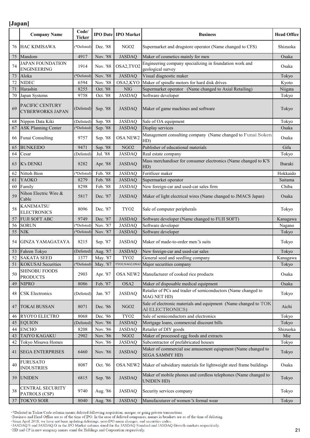|        | <b>Company Name</b>                                    | Code/<br><b>Ticker</b> |                      | <b>IPO Date IPO Market</b> | <b>Business</b>                                                                       | <b>Head Office</b> |
|--------|--------------------------------------------------------|------------------------|----------------------|----------------------------|---------------------------------------------------------------------------------------|--------------------|
| 76     | <b>HAC KIMISAWA</b>                                    | (*Delisted)            | Dec. '88             | NGO <sub>2</sub>           | Supermarket and drugstore operator (Name changed to CFS)                              | Shizuoka           |
| $75\,$ | Mandom                                                 | 4917                   | Nov. '88             | <b>JASDAQ</b>              | Maker of cosmetics mainly for men                                                     | Osaka              |
| 74     | <b>JAPAN FOUNDATION</b><br><b>ENGINEERING</b>          | 1914                   | Nov. '88             | OSA2,TYO2                  | Engineering company specializing in foundation work and<br>geological survey          | Osaka              |
| 73     | Aloka                                                  | (*Delisted)            | Nov. '88             | <b>JASDAQ</b>              | Visual diagnostic maker                                                               | Tokyo              |
| 72     | <b>NIDEC</b>                                           | 6594                   | Nov. '88             | OSA2,KYO                   | Maker of spindle motors for hard disk drives                                          | Kyoto              |
| 71     | Harashin                                               | 8255                   | Oct. '88             | <b>NIG</b>                 | Supermarket operator (Name changed to Axial Retailing)                                | Niigata            |
| 70     | Japan Systems                                          | 9758                   | Oct. '88             | <b>JASDAQ</b>              | Software developer                                                                    | Tokyo              |
| 69     | PACIFIC CENTURY<br><b>CYBERWORKS JAPAN</b>             | (Delisted)             | Sep. '88             | <b>JASDAQ</b>              | Maker of game machines and software                                                   | Tokyo              |
| 68     | Nippon Data Kiki                                       | (Delisted)             | Sep. '88             | <b>JASDAQ</b>              | Sale of OA equipment                                                                  | Tokyo              |
| 67     | <b>ASK Planning Center</b>                             | *Delisted)             | Sep. '88             | <b>JASDAQ</b>              | Display services                                                                      | Osaka              |
| 66     | Funai Consulting                                       | 9757                   | Sep. '88             | <b>OSA NEW2</b>            | Management consulting company (Name changed to Funai Soken<br>HD)                     | Osaka              |
| 65     | <b>BUNKEIDO</b>                                        | 9471                   | Sep. '88             | NGO <sub>2</sub>           | Publisher of educational materials                                                    | Gifu               |
| 64     | Cesar                                                  | (Delisted)             | Jul. '88             | <b>JASDAQ</b>              | Real estate company                                                                   | Tokyo              |
| 63     | <b>K's DENKI</b>                                       | 8282                   | Apr. '88             | <b>JASDAQ</b>              | Mass merchandiser for consumer electronics (Name changed to K'S<br>HD)                | Ibaraki            |
| 62     | Nittoh Bion                                            | (*Delisted)            | Feb. '88             | <b>JASDAQ</b>              | Feritlizer maker                                                                      | Hokkaido           |
| 61     | YAOKO                                                  | 8279                   | Feb. '88             | <b>JASDAQ</b>              | Supermarket operator                                                                  | Saitama            |
| 60     | Family                                                 | 8298                   | Feb. '88             | <b>JASDAQ</b>              | New foreign-car and used-car sales firm                                               | Chiba              |
| 59     | Nihon Electric Wire &<br>Cable                         | 5817                   | Dec. '87             | <b>JASDAQ</b>              | Maker of light electrical wires (Name changed to JMACS Japan)                         | Osaka              |
| 58     | <b>KANEMATSU</b><br><b>ELECTRONICS</b>                 | 8096                   | Dec. '87             | TYO <sub>2</sub>           | Sale of computer peripherals                                                          | Tokyo              |
| 57     | <b>FUJI SOFT ABC</b>                                   | 9749                   | Dec. '87             | <b>JASDAQ</b>              | Software developer (Name changed to FUJI SOFT)                                        | Kanagawa           |
| 56     | <b>SORUN</b>                                           | (*Delisted)            | Nov. '87             | <b>JASDAQ</b>              | Software developer                                                                    | Nagano             |
| 55     | <b>NJK</b>                                             | (*Delisted)            | Nov. '87             | <b>JASDAQ</b>              | Software developer                                                                    | Tokyo              |
|        |                                                        |                        |                      |                            | Maker of made-to-order men's suits                                                    | Tokyo              |
| 54     | <b>GINZA YAMAGATAYA</b>                                | 8215                   | Sep. '87             | <b>JASDAQ</b>              |                                                                                       |                    |
| 53     | Fahren Tokyo                                           | (Delisted)             | Aug. '87             | <b>JASDAQ</b>              | New foreign-car and used-car sales                                                    | Tokyo              |
| 52     | <b>SAKATA SEED</b>                                     | 1377                   | May. '87             | TYO <sub>2</sub>           | General seed and seedling company                                                     | Kanagawa           |
| 51     | <b>KOKUSAI</b> Securities                              | (*Delisted)            | May. '87             |                            | TYO2, NAG2, OSA2 Major securities company                                             | Tokyo              |
| 50     | <b>SHINOBU FOODS</b><br><b>PRODUCTS</b>                | 2903                   | Apr. '87             |                            | OSA NEW2 Manufacturer of cooked rice products                                         | Osaka              |
| 49     | <b>NIPRO</b>                                           | 8086                   | Feb. '87             | OSA <sub>2</sub>           | Maker of disposable medical equipment                                                 | Osaka              |
| 48     | <b>CSK</b> Electronics                                 | (Delisted)             | Jan. '87             | <b>JASDAQ</b>              | Retailer of PCs and trader of semiconductors (Name changed to<br>MAG NET HD)          | Tokyo              |
| 47     | <b>TOKAI BUSSAN</b>                                    | 8071                   | Dec. '86             | NGO <sub>2</sub>           | Sale of electronic materials and equipment (Name changed to TOK<br>AI ELECTRONICS)    | Aichi              |
| 46     | RYOYO ELECTRO                                          | 8068                   | Dec. '86             | TYO <sub>2</sub>           | Sale of semiconductors and electronics                                                | Tokyo              |
| 45     | <b>EQUION</b>                                          | (Delisted)             | Nov. '86             | <b>JASDAQ</b>              | Mortgage loans, commercial discount bills                                             | Tokyo              |
| 44     | <b>ENCHO</b>                                           | 8208                   | Nov. '86             | <b>JASDAQ</b>              | Retailer of DIY goods                                                                 | Shizuoka           |
| 43     | TAIYO KAGAKU                                           | 2902                   | Nov. '86             | NGO <sub>2</sub>           | Maker of processed egg foods and extracts                                             | Mie                |
| 42     | Tokyo Misawa Homes                                     |                        | Nov. '86             | <b>JASDAQ</b>              | Subcontractor of prefabricated houses                                                 | Tokyo              |
| 41     | <b>SEGA ENTERPRISES</b>                                | 6460                   | Nov. '86             | <b>JASDAQ</b>              | Maker of commercial use amusement eqiupment (Name changed to<br><b>SEGA SAMMY HD)</b> | Tokyo              |
| 40     | <b>FURUSATO</b><br><b>INDUSTRIES</b>                   | 8087                   | Oct. '86             | OSA NEW2                   | Maker of subsidiary materials for lightweight steel frame buildings                   | Osaka              |
| 39     | <b>UNIDEN</b>                                          | 6815                   | Sep. '86             | <b>JASDAQ</b>              | Maker of mobile phones and cordless telephones (Name changed to<br>UNIDEN HD)         | Tokyo              |
| 38     | CENTRAL SECURITY<br>PATROLS (CSP)<br><b>TOKYO SOIR</b> | 9740                   | Aug. '86<br>Aug. '86 | <b>JASDAQ</b>              | Security services company                                                             | Tokyo<br>Tokyo     |

\*Delisted in Ticker/Code column means delisted following acquisition, merger, or going private transactions.<br>Business and Head Office are as of the time of IPO. In the case of delisted companies, names in brackets are as o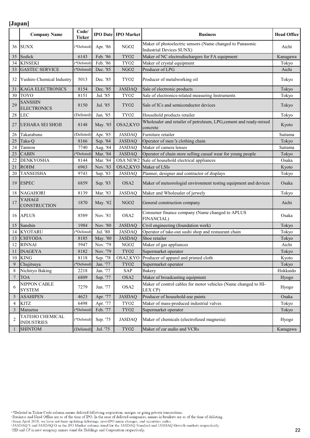|                  | <b>Company Name</b>                  | Code/<br><b>Ticker</b> |          | <b>IPO Date IPO Market</b> | <b>Business</b>                                                                              | <b>Head Office</b> |
|------------------|--------------------------------------|------------------------|----------|----------------------------|----------------------------------------------------------------------------------------------|--------------------|
| 36               | <b>SUNX</b>                          | (*Delisted)            | Apr. '86 | NGO <sub>2</sub>           | Maker of photoelectric sensors (Name changed to Panasonic<br><b>Industrial Devices SUNX)</b> | Aichi              |
| 35               | Sodick                               | 6143                   | Feb. '86 | TYO <sub>2</sub>           | Maker of NC electrodischargers for FA equipment                                              | Kanagawa           |
| 34               | <b>KINSEKI</b>                       | (*Delisted)            | Feb. '86 | TYO <sub>2</sub>           | Maker of crystal equipment                                                                   | Tokyo              |
| 33               | <b>GASTEC SERVICE</b>                | (*Delisted)            | Dec. '85 | NGO <sub>2</sub>           | Producer of LPG                                                                              | Aichi              |
| 32               | Yushiro Chemical Industry            | 5013                   | Dec. '85 | TYO <sub>2</sub>           | Producer of metalworking oil                                                                 | Tokyo              |
| 31               | KAGA ELECTRONICS                     | 8154                   | Dec. '85 | <b>JASDAQ</b>              | Sale of electronic products                                                                  | Tokyo              |
| 30               | <b>TOYO</b>                          | 8151                   | Jul. '85 | TYO <sub>2</sub>           | Sale of electronics-related measuring Instruments                                            | Tokyo              |
| 29               | <b>SANSHIN</b><br><b>ELECTRONICS</b> | 8150                   | Jul. '85 | TYO <sub>2</sub>           | Sale of ICs and semiconductor devices                                                        | Tokyo              |
| 28               | <b>LEC</b>                           | (Delisted)             | Jun. '85 | TYO <sub>2</sub>           | Household products retailer                                                                  | Tokyo              |
| 27               | <b>UEHARA SEI SHOJI</b>              | 8148                   | May. '85 | OSA2,KYO                   | Wholesaler and retailer of petroleum, LPG, cement and ready-mixed<br>concrete                | Kyoto              |
| 26               | Takarabune                           | (Delisted)             | Apr. '85 | <b>JASDAQ</b>              | Furniture retailer                                                                           | Saitama            |
| 25               | Taka-Q                               | 8166                   | Sep. '84 | <b>JASDAQ</b>              | Operator of men <sup>r</sup> s clothing chain                                                | Tokyo              |
| 24               | Tamron                               | 7740                   | Aug. '84 | <b>JASDAQ</b>              | Maker of camera lenses                                                                       | Saitama            |
| 23               | <b>CABIN</b>                         | (*Delisted)            | Mar. '84 | <b>JASDAQ</b>              | Operator of chain store selling casual wear for young people                                 | Tokyo              |
| 22               | <b>DENKYOSHA</b>                     | 8144                   | Mar. '84 | OSA NEW2                   | Sale of household electrical appliances                                                      | Osaka              |
| 21               | <b>ROHM</b>                          | 6963                   | Nov. '83 | OSA2,KYO                   | Maker of LSIs                                                                                | Kyoto              |
| 20               | <b>TANSEISHA</b>                     | 9743                   | Sep. '83 | <b>JASDAQ</b>              | Planner, designer and contractor of displays                                                 | Tokyo              |
| 19               | <b>ESPEC</b>                         | 6859                   | Sep. '83 | OSA <sub>2</sub>           | Maker of meteorologial environment testing equipment and devices                             | Osaka              |
| 18               | <b>NAGAHORI</b>                      | 8139                   | Mar. '83 | <b>JASDAQ</b>              | Maker and Wholesaler of jerwely                                                              | Tokyo              |
| 17               | <b>YAHAGI</b><br>CONSTRUCTION        | 1870                   | May. '82 | NGO <sub>2</sub>           | General construction company                                                                 | Aichi              |
| 16               | <b>APLUS</b>                         | 8589                   | Nov. '81 | OSA <sub>2</sub>           | Consumer finance company (Name changed to APLUS<br><b>FINANCIAL)</b>                         | Osaka              |
| 15               | Sanshin                              | 1984                   | Nov. '80 | <b>JASDAQ</b>              | Civil engineering (foundation work)                                                          | Tokyo              |
| 14               | <b>KYOTARU</b>                       | (*Delisted)            | Jul. '80 | <b>JASDAQ</b>              | Operator of take-out sushi shop and restaurant chain                                         | Tokyo              |
| 13               | <b>CHIYODA</b>                       | 8185                   | May. '80 | <b>JASDAQ</b>              | Shoe retailer                                                                                | Tokyo              |
| 12               | <b>RINNAI</b>                        | 5947                   | Nov. '79 | ${\rm NGO2}$               | Maker of gas appliances                                                                      | Aichi              |
| 11               | <b>INAGEYA</b>                       | 8182                   | Nov. '79 | TYO <sub>2</sub>           | Supermarket operator                                                                         | Tokyo              |
| 10               | <b>KING</b>                          | 8118                   | Sep. '78 |                            | OSA2,KYO Producer of apparel and printed cloth                                               | Kyoto              |
| 9                | Chujitsuya                           | (*Delisted)            | Jan. '77 | TYO <sub>2</sub>           | Supermarket operator                                                                         | Tokyo              |
| 8                | Nichiryo Baking                      | 2218                   | Jan. '77 | SAP                        | Bakery                                                                                       | Hokkaido           |
| $\boldsymbol{7}$ | <b>TOA</b>                           | 6809                   | Sep. '77 | OSA <sub>2</sub>           | Maker of broadcasting equipment                                                              | Hyogo              |
| 6                | NIPPON CABLE<br><b>SYSTEM</b>        | 7279                   | Jun. '77 | OSA2                       | Maker of control cables for motor vehicles (Name changed to HI-<br>LEX CP)                   | Hyogo              |
| 5                | <b>ASAHIPEN</b>                      | 4623                   | Apr. '77 | <b>JASDAQ</b>              | Producer of household-use paints                                                             | Osaka              |
| 4                | <b>KITZ</b>                          | 6498                   | Apr. '77 | TYO <sub>2</sub>           | Maker of mass-produced industrial valves                                                     | Tokyo              |
| $\mathfrak{Z}$   | Maruetsu                             | (*Delisted)            | Feb. '77 | $\rm{TYO2}$                | Supermarket operator                                                                         | Tokyo              |
| 2                | TATEHO CHEMICAL<br><b>INDUSTRIES</b> | (*Delisted)            | Sep. '75 | <b>JASDAQ</b>              | Maker of chemicals (electrofused magnesia)                                                   | Hyogo              |
| 1                | <b>SHINTOM</b>                       | (Delisted)             | Jul. '75 | $\operatorname{TYO2}$      | Maker of car audio and VCRs                                                                  | Kanagawa           |

\*Delisted in Ticker/Code column means delisted following acquisition, merger, or going private transactions.<br>Business and Head Office are as of the time of IPO. In the case of delisted companies, names in brackets are as o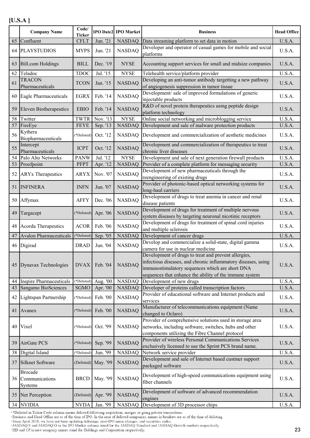|    | <b>Company Name</b>                            | Code/<br><b>Ticker</b> |                      | <b>IPO Date2 IPO Market</b> | <b>Business</b>                                                                                                                                                                                                                     | <b>Head Office</b> |
|----|------------------------------------------------|------------------------|----------------------|-----------------------------|-------------------------------------------------------------------------------------------------------------------------------------------------------------------------------------------------------------------------------------|--------------------|
|    | 65 Confluent                                   | <b>CFLT</b>            | Jun. '21             | <b>NASDAQ</b>               | Data streaming platform to set data in motion                                                                                                                                                                                       | U.S.A.             |
|    | 64 PLAYSTUDIOS                                 | <b>MYPS</b>            | Jun. '21             | <b>NASDAQ</b>               | Developer and operator of casual games for mobile and social<br>platforms                                                                                                                                                           | U.S.A.             |
|    | 63 Bill.com Holdings                           | <b>BILL</b>            | Dec. '19             | <b>NYSE</b>                 | Accounting support services for small and midsize companies                                                                                                                                                                         | U.S.A.             |
| 62 | Teladoc                                        | <b>TDOC</b>            | Jul. '15             | <b>NYSE</b>                 | Telehealth service/platform provider                                                                                                                                                                                                | U.S.A.             |
| 61 | <b>TRACON</b>                                  | <b>TCON</b>            | Jan. '15             | <b>NASDAQ</b>               | Developing an anti-tumor antibody targetting a new pathway                                                                                                                                                                          | U.S.A.             |
|    | Pharmaceuticals<br>60 Eagle Pharmaceuticals    | EGRX                   | Feb. '14             | <b>NASDAQ</b>               | of angiogenesis suppression in tumor tissue<br>Development/ sale of improved formulations of generic                                                                                                                                | U.S.A.             |
|    |                                                |                        |                      |                             | injectable products<br>R&D of novel protein therapeutics using peptide design                                                                                                                                                       |                    |
| 59 | <b>Eleven Biotherapeutics</b>                  | <b>EBIO</b>            | Feb. '14             | <b>NASDAQ</b>               | platform technology                                                                                                                                                                                                                 | U.S.A.             |
|    | 58 Twitter                                     | <b>TWTR</b>            | Nov. '13             | <b>NYSE</b>                 | Online social networking and microblogging service                                                                                                                                                                                  | U.S.A.             |
|    | 57 FireEye                                     | <b>FEYE</b>            | Sep. '13             | <b>NASDAQ</b>               | Development and sale of malware protection products                                                                                                                                                                                 | U.S.A.             |
| 56 | Kythera<br>Biopharmaceuticals                  | (*Delisted)            | Oct. '12             | <b>NASDAQ</b>               | Development and commercialization of aesthetic medicines                                                                                                                                                                            | U.S.A.             |
| 55 | Intercept<br>Pharmaceuticals                   | <b>ICPT</b>            | Oct. '12             | <b>NASDAQ</b>               | Development and commercialization of therapeutics to treat<br>chronic liver diseases                                                                                                                                                | U.S.A.             |
|    | 54 Palo Alto Networks                          | <b>PANW</b>            | Jul. '12             | <b>NYSE</b>                 | Development and sale of next generation firewall products                                                                                                                                                                           | U.S.A.             |
|    | 53 Proofpoint                                  | <b>PFPT</b>            | Apr. '12             | <b>NASDAQ</b>               | Provider of a complete platform for messaging security                                                                                                                                                                              | U.S.A.             |
| 52 | <b>ARY</b> x Therapeutics                      | ARYX                   | Nov. '07             | <b>NASDAQ</b>               | Development of new pharmaceuticals through the<br>reengineering of existing drugs                                                                                                                                                   | U.S.A.             |
|    | 51 INFINERA                                    | <b>INFN</b>            | Jun. '07             | <b>NASDAQ</b>               | Provider of photonic-based optical networking systems for<br>long-haul carriers                                                                                                                                                     | U.S.A.             |
|    | 50 Affymax                                     | <b>AFFY</b>            | Dec. '06             | <b>NASDAQ</b>               | Development of drugs to treat anemia in cancer and renal<br>disease patients                                                                                                                                                        | U.S.A.             |
| 49 | Targacept                                      |                        | (*Delisted) Apr. '06 | <b>NASDAQ</b>               | Development of drugs for treatment of multiple nervous<br>system diseases by targeting neuronal nicotinic receptors                                                                                                                 | U.S.A.             |
|    | 48 Acorda Therapeutics                         | <b>ACOR</b>            | Feb. '06             | <b>NASDAQ</b>               | Development of drugs for treatment of spinal cord injuries<br>and multiple sclerosis                                                                                                                                                | U.S.A.             |
| 47 | <b>Avalon Pharmaceuticals</b>                  | (*Delisted)            | Sep. '05             | <b>NASDAQ</b>               | Development of cancer drugs                                                                                                                                                                                                         | U.S.A.             |
|    |                                                |                        |                      |                             | Develop and commercialize a solid-state, digital gamma                                                                                                                                                                              |                    |
|    | 46 Digirad                                     | <b>DRAD</b>            | Jun. '04             | <b>NASDAQ</b>               | camera for use in nuclear medicine                                                                                                                                                                                                  | U.S.A.             |
|    | 45 Dynavax Technologies                        | <b>DVAX</b>            | Feb. '04             | <b>NASDAQ</b>               | Development of drugs to treat and prevent allergies,<br>infectious diseases, and chronic inflammatory diseases, using<br>immunostimulatory sequences which are short DNA<br>sequences that enhance the ability of the immune system | U.S.A.             |
|    | 44 Inspire Pharmaceuticals                     | (*Delisted)            | Aug. '00             | <b>NASDAQ</b>               | Development of new drugs                                                                                                                                                                                                            | U.S.A.             |
|    | 43 Sangamo BioSciences                         | SGMO                   | Apr. '00             | <b>NASDAQ</b>               | Developer of proteins called transcription factors                                                                                                                                                                                  | U.S.A.             |
|    | 42 Lightspan Partnership                       |                        | (*Delisted) Feb. '00 | <b>NASDAQ</b>               | Provider of educational software and Internet products and<br>services                                                                                                                                                              | U.S.A.             |
|    | 41 Avanex                                      | (*Delisted)            | Feb. '00             | <b>NASDAQ</b>               | Manufacturer of telecommunications equipment (Name<br>changed to Oclaro)                                                                                                                                                            | U.S.A.             |
|    | 40 Vixel                                       | (*Delisted)            | Oct. '99             | <b>NASDAQ</b>               | Provider of comprehensive solutions used in storage area<br>networks, including software, switches, hubs and other<br>components utilizing the Fibre Channel protocol                                                               | U.S.A.             |
|    | 39 AirGate PCS                                 | (*Delisted)            | Sep. '99             | <b>NASDAQ</b>               | Provider of wireless Personal Communications Services<br>exclusively licensed to use the Sprint PCS brand name.                                                                                                                     | U.S.A.             |
|    | 38 Digital Island                              | (*Delisted)            | Jun. '99             | <b>NASDAQ</b>               | Network service provider                                                                                                                                                                                                            | U.S.A.             |
|    | 37 Silknet Software                            |                        | (Delisted) May. '99  | <b>NASDAQ</b>               | Development and sale of Internet based custmer support<br>packaged software                                                                                                                                                         | U.S.A.             |
|    | <b>Brocade</b><br>36 Communications<br>Systems | <b>BRCD</b>            | May. '99             | <b>NASDAQ</b>               | Development of high-speed communications equipment using<br>fiber channels                                                                                                                                                          | U.S.A.             |
|    | 35 Net Perception                              | (Delisted)             | Apr. '99             | <b>NASDAQ</b>               | Development of software of advanced recommendation<br>engines                                                                                                                                                                       | U.S.A.             |
|    | 34 NVIDIA                                      | <b>NVDA</b>            | Jan. '99             | <b>NASDAQ</b>               | Development of 3D processor chips                                                                                                                                                                                                   | U.S.A.             |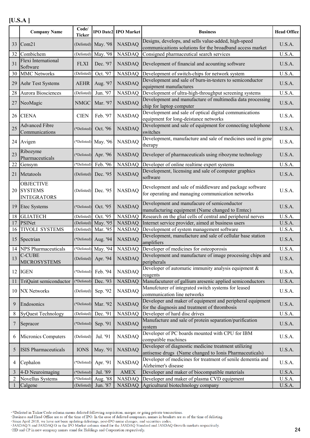|                | <b>Company Name</b>                                  | Code/<br><b>Ticker</b> |                      | <b>IPO Date2 IPO Market</b> | <b>Business</b>                                                                                                   | <b>Head Office</b> |
|----------------|------------------------------------------------------|------------------------|----------------------|-----------------------------|-------------------------------------------------------------------------------------------------------------------|--------------------|
|                | 33 Com21                                             |                        | (Delisted) May. '98  | <b>NASDAQ</b>               | Designs, develops, and sells value-added, high-speed<br>communicaitions solutions for the broadband access market | U.S.A.             |
| 32             | Combichem                                            | (Delisted)             | May. '98             | <b>NASDAQ</b>               | Consigned pharmaceutical search services                                                                          | U.S.A.             |
| 31             | Flexi International<br>Software                      | <b>FLXI</b>            | Dec. '97             | <b>NASDAQ</b>               | Development of financial and acounting software                                                                   | U.S.A.             |
| 30             | <b>MMC Networks</b>                                  | (Delisted)             | Oct. '97             | <b>NASDAQ</b>               | Development of switch-chips for network system                                                                    | U.S.A.             |
| 29             | Aehr Test Systems                                    | AEHR                   | Aug. '97             | <b>NASDAQ</b>               | Development and sale of burn-in-testers to semiconductor<br>equipment manufactures                                | U.S.A.             |
| $28\,$         | Aurora Biosciences                                   | (Delisted)             | Jun. '97             | <b>NASDAQ</b>               | Development of ultra-high-throughput screening systems                                                            | U.S.A.             |
| 27             | NeoMagic                                             | NMGC                   | Mar. '97             | <b>NASDAQ</b>               | Development and manufacture of multimedia data processing<br>chip for laptop computer                             | U.S.A.             |
|                | 26 CIENA                                             | <b>CIEN</b>            | Feb. '97             | <b>NASDAQ</b>               | Development and sale of optical digital communications<br>equipment for long-deistance networks                   | U.S.A.             |
| 25             | <b>Advanced Fibre</b><br>Communications              | (*Delisted)            | Oct. '96             | <b>NASDAQ</b>               | Development and sale of equipment for connecting telephone<br>switches                                            | U.S.A.             |
|                | 24 Avigen                                            |                        | (*Delisted) May. '96 | <b>NASDAQ</b>               | Development, manufacture and sale of medicines used in gene<br>therapy                                            | U.S.A.             |
| 23             | Ribozyme<br>Pharmaceuticals                          |                        | (*Delisted) Apr. '96 | <b>NASDAQ</b>               | Developer of pharmaceuticals using ribozyme technology                                                            | U.S.A.             |
| 22             | Gensym                                               | (*Delisted)            | Feb. '96             | <b>NASDAQ</b>               | Developer of online realtime expert systems                                                                       | U.S.A.             |
| 21             | Metatools                                            | (Delisted)             | Dec. '95             | <b>NASDAQ</b>               | Development, licensing and sale of computer graphics<br>software                                                  | U.S.A.             |
|                | <b>OBJECTIVE</b><br>20 SYSTEMS<br><b>INTEGRATORS</b> |                        | (Delisted) Dec. '95  | <b>NASDAQ</b>               | Development and sale of middleware and package software<br>for operating and managing communication networks      | U.S.A.             |
|                | 19 Etec Systems                                      | (*Delisted)            | Oct. '95             | <b>NASDAQ</b>               | Development and manufacure of semiconductor<br>manufacturing equipment (Name changed to Emtec)                    | U.S.A.             |
| 18             | <b>GLIATECH</b>                                      | (Delisted)             | Oct. '95             | <b>NASDAQ</b>               | Research on the glial cells of central and peripheral nerves                                                      | U.S.A.             |
| 17             | PSINet                                               |                        | (Delisted) May. '95  | <b>NASDAQ</b>               | Internet service provider, aimed at business users                                                                | U.S.A.             |
| 16             | <b>TIVOLI SYSTEMS</b>                                | (Delisted)             | Mar. '95             | <b>NASDAQ</b>               | Development of system management software                                                                         | U.S.A.             |
|                | 15 Spectrian                                         |                        | (*Delisted) Aug. '94 | <b>NASDAQ</b>               | Development, manufacture and sale of cellular base station<br>amplifiers                                          | U.S.A.             |
| 14             | <b>NPS</b> Pharmaceuticals                           | (*Delisted)            | May. '94             | <b>NASDAQ</b>               | Developer of medicines for osteoporosis                                                                           | U.S.A.             |
| 13             | <b>C-CUBE</b><br><b>MICROSYSTEMS</b>                 |                        | (Delisted) Apr. '94  | <b>NASDAQ</b>               | Development and manufacture of image processing chips and<br>peripherals                                          | U.S.A.             |
|                | 12 IGEN                                              |                        | (*Delisted) Feb. '94 | <b>NASDAQ</b>               | Developer of automatic immunity analysis equipment &<br>reagents                                                  | U.S.A.             |
| 11             | TriQuint semiconductor                               | (*Delisted)            | Dec. '93             | <b>NASDAQ</b>               | Manufacuturer of gallium aresenic applied semiconductors                                                          | U.S.A.             |
|                | 10 NX Networks                                       | (Delisted)             | Sep. '92             | <b>NASDAQ</b>               | Manufcturer of integrated switch systems for leased<br>communication line networks                                | U.S.A.             |
| 9              | Endosonics                                           |                        | (*Delisted) Mar. '92 | <b>NASDAQ</b>               | Developer and maker of equipment and peripheral equipment<br>for the diagnosis and treatment of thrombosis        | U.S.A.             |
| 8              | <b>SyQuest Technology</b>                            | (Delisted)             | Dec. '91             | <b>NASDAQ</b>               | Developer of hard disc drives                                                                                     | U.S.A.             |
| 7              | Sepracor                                             | (*Delisted)            | Sep. '91             | <b>NASDAQ</b>               | Manufacture and sale of protein separation/purification<br>system                                                 | U.S.A.             |
| 6              | Micronics Computers                                  | (Delisted)             | Jul. '91             | <b>NASDAQ</b>               | Developer of PC boards mounted with CPU for IBM<br>compatible machines                                            | U.S.A.             |
| 5              | <b>ISIS Pharmaceuticals</b>                          | <b>IONS</b>            | May. '91             | <b>NASDAQ</b>               | Developer of diagnostic medicine treatment utilizing<br>antisense drugs (Name changed to Ionis Pharmaceuticals)   | U.S.A.             |
| 4              | Cephalon                                             | (*Delisted)            | Apr. '91             | <b>NASDAQ</b>               | Developer of medicines for treatment of senile dementia and<br>Alzheimer's disease                                | U.S.A.             |
| $\overline{3}$ | 4-D Neuroimaging                                     | (*Delisted)            | Jul. '89             | <b>AMEX</b>                 | Developer and maker of biocompatible materials                                                                    | U.S.A.             |
| $\overline{2}$ | Novellus Systems                                     | (*Delisted)            | Aug. '88             | <b>NASDAQ</b>               | Developer and maker of plasma CVD equipment                                                                       | U.S.A.             |
| 1              | Calgene                                              | (Delisted)             | Jun. '87             | <b>NASDAQ</b>               | Agricultural biotechnology company                                                                                | U.S.A.             |

<sup>\*</sup>Delisted in Ticker/Code column means delisted following acquisition, merger, or going private transactions.<br>\*Business and Head Office are as of the time of IPO. In the case of delisted companies, names in brackets are as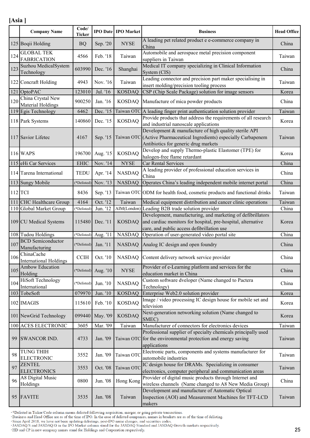|     | <b>Company Name</b>                         | Code/<br><b>Ticker</b> |                      | <b>IPO Date   IPO Market</b> | <b>Business</b>                                                                                                                                                           | <b>Head Office</b> |
|-----|---------------------------------------------|------------------------|----------------------|------------------------------|---------------------------------------------------------------------------------------------------------------------------------------------------------------------------|--------------------|
|     | 125 Boqii Holding                           | <b>BQ</b>              | Sep. '20             | <b>NYSE</b>                  | A leading pet related product e e-commerce company in<br>China                                                                                                            | China              |
| 124 | <b>GLOBAL TEK</b><br><b>FABRICATION</b>     | 4566                   | Feb. '18             | Taiwan                       | Automobile and aerospace metal precision component<br>suppliers in Taiwan                                                                                                 | Taiwan             |
| 123 | Suzhou MedicalSystem<br>Technology          | 603990                 | Dec. '16             | Shanghai                     | Medical IT company specializing in Clinical Information<br>System (CIS)                                                                                                   | China              |
|     | 122 Concraft Holding                        | 4943                   | Nov. '16             | Taiwan                       | Leading connector and precision part maker specialising in<br>insert molding/precision tooling process                                                                    | Taiwan             |
| 121 | OptoPAC                                     | 123010                 | Jul. '16             | <b>KOSDAQ</b>                | CSP (Chip Scale Package) solution for image sensors                                                                                                                       | Korea              |
| 120 | China Crystal New<br>Material Holdings      | 900250                 | Jan. '16             | <b>KOSDAQ</b>                | Manufacture of mica powder products                                                                                                                                       | China              |
|     | 119 Egis Technology                         | 6462                   | Dec. '15             |                              | Taiwan OTC A leading finger print authentication solution provider                                                                                                        | Taiwan             |
|     | 118 Park Systems                            | 140860                 | Dec. '15             | <b>KOSDAQ</b>                | Provide products that address the requirements of all research<br>and industrial nanoscale applications                                                                   | Korea              |
|     | 117 Savior Lifetec                          | 4167                   | Sep. '15             |                              | Development & manufacture of high quality sterile API<br>Taiwan OTC (Active Pharmaceutical Ingredients) especially Carbapenem<br>Antibiotics for generic drug markets     | Taiwan             |
|     | 116 WAPS                                    | 196700                 | Aug. '15             | <b>KOSDAQ</b>                | Develop and supply Thermo-plastic Elastomer (TPE) for<br>halogen-free flame retardant                                                                                     | Korea              |
|     | 115 eHi Car Services                        | <b>EHIC</b>            | Nov. '14             | <b>NYSE</b>                  | Car Rental Services                                                                                                                                                       | China              |
|     | 114 Tarena International                    | <b>TEDU</b>            | Apr. '14             | <b>NASDAQ</b>                | A leading provider of professional education services in<br>China                                                                                                         | China              |
|     | 113 Sungy Mobile                            | (*Delisted)            | Nov. '13             | <b>NASDAQ</b>                | Operates China's leading independent mobile internet portal                                                                                                               | China              |
|     | $112$ TCI                                   | 8436                   | Sep. '13             |                              | Taiwan OTC ODM for health food, cosmetic products and functional drinks                                                                                                   | Taiwan             |
|     | 111 CHC Healthcare Group                    | 4164                   | Oct. '12             | Taiwan                       | Medical equipment distribution and cancer clinic operations                                                                                                               | Taiwan             |
|     | 110 Global Market Group                     | (*Delisted)            | Jun. '12             |                              | AIM(London) Leading B2B trade solution provider                                                                                                                           | China              |
|     | 109 CU Medical Systems                      | 115480                 | Dec. '11             | <b>KOSDAQ</b>                | Development, manufacturing, and marketing of defibrillators<br>and cardiac monitors for hospital, pre-hospital, alternative<br>care, and public access defibrillation use | Korea              |
|     | 108 Tudou Holdings                          |                        | (*Delisted) Aug. '11 | <b>NASDAQ</b>                | Operation of user-generated video portal site                                                                                                                             | China              |
| 107 | <b>BCD</b> Semiconductor<br>Manufacturing   | (*Delisted)            | Jan. '11             |                              | NASDAQ Analog IC design and open foundry                                                                                                                                  | China              |
| 106 | ChinaCache<br><b>International Holdings</b> |                        |                      |                              | CCIH   Oct. '10   NASDAQ   Content delivery network service provider                                                                                                      | China              |
| 105 | Ambow Education<br>Holding                  |                        | (*Delisted) Aug. '10 | <b>NYSE</b>                  | Provider of e-Learning platform and services for the<br>education market in China                                                                                         | China              |
| 104 | <b>HiSoft Technology</b><br>International   | (*Delisted)            | Jun. '10             | <b>NASDAQ</b>                | Custom software dveloper (Name changed to Pactera<br>Technology)                                                                                                          | China              |
|     | 103 TobeSoft                                | 079970                 | Jun. '10             | <b>KOSDAQ</b>                | Enterprise Web2.0 solution provider                                                                                                                                       | Korea              |
|     | 102 IMAGIS                                  | 115610                 | Feb. '10             | <b>KOSDAQ</b>                | Image / video processing IC design house for mobile set and<br>television                                                                                                 | Korea              |
|     | 101 NewGrid Technology                      |                        | 099440 May. '09      | <b>KOSDAQ</b>                | Next-generation networking solution (Name changed to<br>SMEC)                                                                                                             | Korea              |
|     | 100 ACES ELECTRONIC                         | 3605                   | Mar. '09             | Taiwan                       | Manufacturer of connectors for electronics devices                                                                                                                        | Taiwan             |
| 99  | <b>SWANCOR IND.</b>                         | 4733                   | Jan. '09             |                              | Professional supplier of specialty chemicals principally used<br>Taiwan OTC for the environmental protection and energy saving<br>applications                            | Taiwan             |
| 98  | TUNG THIH<br><b>ELECTRONIC</b>              | 3552                   | Jan. '09             | Taiwan OTC                   | Electronic parts, components and systems manufacturer for<br>automobile industries                                                                                        | Taiwan             |
| 97  | <b>ZENTEL</b><br><b>ELECTRONICS</b>         | 3553                   | Oct. '08             | Taiwan OTC                   | IC design house for DRAMs. Specializing in consumer<br>electronics, computer peripheral and communication areas                                                           | Taiwan             |
| 96  | A8 Digital Music<br>Holdings                | 0800                   | Jun. '08             | Hong Kong                    | Provider of digital music products through Internet and<br>wireless channels (Name changed to A8 New Media Group)                                                         | China              |
|     | 95 FAVITE                                   | 3535                   | Jan. '08             | Taiwan                       | Development and manufacture of Automatic Optical<br>Inspection (AOI) and Measurement Machines for TFT-LCD<br>makers                                                       | Taiwan             |

\*Delisted in Ticker/Code column means delisted following acquisition, merger, or going private transactions.<br>Business and Head Office are as of the time of IPO. In the case of delisted companies, names in brackets are as o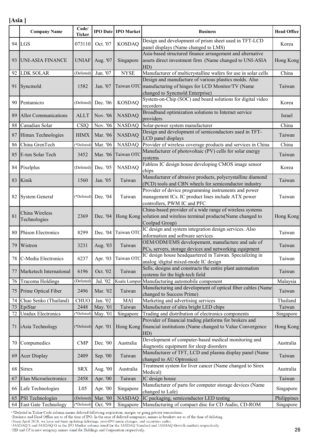|    | <b>Company Name</b>         | Code/<br><b>Ticker</b> |          | <b>IPO Date IPO Market</b> | <b>Business</b>                                                                                                                | <b>Head Office</b> |
|----|-----------------------------|------------------------|----------|----------------------------|--------------------------------------------------------------------------------------------------------------------------------|--------------------|
|    | 94 LGS                      | 073110                 | Oct. '07 | <b>KOSDAQ</b>              | Design and development of prism sheet used in TFT-LCD                                                                          | Korea              |
|    |                             |                        |          |                            | panel displays (Name changed to LMS)<br>Asia-based structured finance arrangement and alternative                              |                    |
| 93 | <b>UNI-ASIA FINANCE</b>     | <b>UNIAF</b>           | Aug. '07 | Singapore                  | assets direct investment firm (Name changed to UNI-ASIA                                                                        | Hong Kong          |
|    |                             |                        |          |                            | HD)                                                                                                                            |                    |
| 92 | <b>LDK SOLAR</b>            | (Delisted)             | Jun. '07 | <b>NYSE</b>                | Manufacturer of multicrystalline wafers for use in solar cells                                                                 | China              |
|    |                             |                        |          |                            | Design and manufacture of various plastics molds. Also                                                                         |                    |
| 91 | Syncmold                    | 1582                   | Jan. '07 |                            | Taiwan OTC manufacturing of hinges for LCD Monitor/TV (Name                                                                    | Taiwan             |
|    |                             |                        |          |                            | changed to Syncmold Enterprise)                                                                                                |                    |
| 90 | Pentamicro                  | (Delisted)             | Dec. '06 | <b>KOSDAQ</b>              | System-on-Chip (SOC) and board solutions for digital video<br>recorders                                                        | Korea              |
|    |                             |                        |          |                            | Broadband optimization solutions to Internet service                                                                           |                    |
| 89 | <b>Allot Communications</b> | <b>ALLT</b>            | Nov. '06 | <b>NASDAQ</b>              | providers                                                                                                                      | <i>srael</i>       |
| 88 | Canadian Solar              | <b>CSIQ</b>            | Nov. '06 | <b>NASDAQ</b>              | Solar-power system manufacturer                                                                                                | China              |
| 87 | Himax Technologies          | <b>HIMX</b>            | Mar. '06 | <b>NASDAQ</b>              | Design and development of semiconductors used in TFT-                                                                          | Taiwan             |
|    |                             |                        |          |                            | LCD panel displays                                                                                                             |                    |
| 86 | China GrenTech              | (*Delisted)            | Mar. '06 | <b>NASDAQ</b>              | Provider of wireless coverage products and services in China<br>Manufacturer of photovoltaic (PV) cells for solar energy       | China              |
| 85 | E-ton Solar Tech            | 3452                   | Mar. '06 | Taiwan OTC                 | systems                                                                                                                        | Taiwan             |
|    |                             |                        |          |                            | Fabless IC design house developing CMOS image sensor                                                                           |                    |
| 84 | Pixelplus                   | (Delisted)             | Dec. '05 | <b>NASDAQ</b>              | chips                                                                                                                          | Korea              |
| 83 | Kinik                       | 1560                   | Jan. '05 | Taiwan                     | Manufacturer of abrasive products, polycrystalline diamond                                                                     | Taiwan             |
|    |                             |                        |          |                            | (PCD) tools and CBN wheels for semiconductor industry                                                                          |                    |
| 82 |                             | (*Delisted)            | Dec. '04 | Taiwan                     | Provider of device programming instruments and power<br>management ICs. IC product lines include ATX power                     |                    |
|    | <b>System General</b>       |                        |          |                            | controllers, PWM IC and PFC                                                                                                    | Taiwan             |
|    |                             |                        |          |                            | China-based provider of a wide range of wireless systems                                                                       |                    |
| 81 | China Wireless              | 2369                   | Dec. '04 |                            | Hong Kong solution and wireless terminal products (Name changed to                                                             | Hong Kong          |
|    | Technologies                |                        |          |                            | Coolpad Group)                                                                                                                 |                    |
| 80 | <b>Phison Electronics</b>   | 8299                   | Dec. '04 | Taiwan OTO                 | IC design and system integration design services. Also                                                                         | Taiwan             |
|    |                             |                        |          |                            | information and software services<br>OEM/ODM/EMS developement, manufacture and sale of                                         |                    |
| 79 | Wistron                     | 3231                   | Aug. '03 | Taiwan                     | PCs, servers, storage devices and networking equipment                                                                         | Taiwan             |
|    | 78 C-Media Electronics      | 6237                   |          |                            | IC design house headquartered in Taiwan. Specializing in                                                                       | Taiwan             |
|    |                             |                        | Apr. '03 | Taiwan OTC                 | analog /digital mixed-mode IC design                                                                                           |                    |
| 77 | Marketech International     | 6196                   | Oct. '02 | Taiwan                     | Sells, designs and constructs the entire plant automation                                                                      | Taiwan             |
|    |                             |                        | Jul. '02 |                            | systems for the high-tech field                                                                                                |                    |
| 76 | Tracoma Holdings            | (Delisted)             |          |                            | Kuala Lumpur Manufacturing automobile component<br>Manufacturing and development of optical fiber cables (Name                 | Malaysia           |
| 75 | Prime Optical Fiber         | 2496                   | Mar. '02 | Taiwan                     | changed to Success Prime)                                                                                                      | Taiwan             |
| 74 | Chuo Senko (Thailand)       | <b>CHUO</b>            | Jan. '02 | MAI                        | Marketing and advertising services                                                                                             | Thailand           |
| 73 | EpiStar                     | 2448                   | May. '01 | Taiwan                     | Manufacturer of ultra bright LED chips                                                                                         | Taiwan             |
| 72 | <b>Unidux Electronics</b>   | (*Delisted)            | May. '01 | Singapore                  | Trading and distribution of electronics components                                                                             | Singapore          |
| 71 | iAsia Technology            | (*Delisted)            | Apr. '01 |                            | Provider of financial trading platforms for brokers and<br>Hong Kong financial institutions (Name changed to Value Convergence | Hong Kong          |
|    |                             |                        |          |                            | HD)                                                                                                                            |                    |
|    |                             |                        |          |                            | Development of computer-based medical monitoring and                                                                           |                    |
| 70 | Compumedics                 | <b>CMP</b>             | Dec. '00 | Australia                  | diagnostic equipment for sleep disorders                                                                                       | Australia          |
| 69 | <b>Acer Display</b>         | 2409                   | Sep. '00 | Taiwan                     | Manufacturer of TFT, LCD and plasma display panel (Name                                                                        | Taiwan             |
|    |                             |                        |          |                            | changed to AU Optronics)                                                                                                       |                    |
| 68 | Sirtex                      | <b>SRX</b>             | Aug. '00 | Australia                  | Treatment system for liver cancer (Name changed to Sirex<br>Medical)                                                           | Australia          |
| 67 | Elan Microelectronics       | 2458                   | Apr. '00 | Taiwan                     | IC design house                                                                                                                | Taiwan             |
| 66 | Lafe Technologies           | L <sub>05</sub>        | Apr. '00 | Singapore                  | Manufacturer of parts for computer storage devices (Name                                                                       | Singapore          |
|    |                             |                        |          |                            | changed to Lafe)                                                                                                               |                    |
| 65 | PSI Technologies            | (Delisted)             | Mar. '00 | <b>NASDAQ</b>              | IC packaging, semiconductor LED testing                                                                                        | Philippines        |
|    | 64 East Gate Technology     | (*Delisted)            | Oct. '99 | Singapore                  | Manufacturing of compact disc for CD Audio, CD-ROM                                                                             | Singapore          |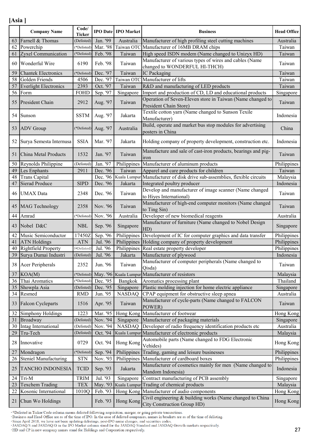|    | <b>Company Name</b>        | Code/<br><b>Ticker</b> |          | <b>IPO Date   IPO Market</b> | <b>Business</b>                                                                          | <b>Head Office</b> |
|----|----------------------------|------------------------|----------|------------------------------|------------------------------------------------------------------------------------------|--------------------|
|    | 63 Farnell & Thomas        | (Delisted)             | Jan. '99 | Australia                    | Manufacturer of high profiling steel cutting machines                                    | Australia          |
|    | 62 Powerchip               | (*Delisted)            | Mar. '98 |                              | Taiwan OTC Manufacturer of 16MB DRAM chips                                               | Taiwan             |
| 61 | Zyxel Communication        | (*Delisted)            | Feb. '98 | Taiwan                       | High speed ISDN modem (Name changed to Unizyx HD)                                        | Taiwan             |
| 60 | Wonderful Wire             | 6190                   | Feb. '98 | Taiwan                       | Manufacturer of various types of wires and cables (Name<br>changed to WONDERFUL HI-THCH) | Taiwan             |
| 59 | <b>Chantek Electronics</b> | (*Delisted)            | Dec. '97 | Taiwan                       | IC Packaging                                                                             | Taiwan             |
|    | 58 Golden Friends          | 4506                   | Dec. '97 |                              | Taiwan OTC Manufacturer of lifts                                                         | Taiwan             |
|    | 57 Everlight Electronics   | 2393                   | Oct. '97 | Taiwan                       | R&D and manufacturing of LED products                                                    | Taiwan             |
|    | 56 Form                    | <b>FOHD</b>            | Sep. '97 | Singapore                    | Import and production of CD, LD and educational products                                 | Singapore          |
|    | 55 President Chain         | 2912                   | Aug. '97 | Taiwan                       | Operation of Seven-Eleven store in Taiwan (Name changed to<br>President Chain Store)     | Taiwan             |
|    | 54 Sunson                  | <b>SSTM</b>            | Aug. '97 | Jakarta                      | Textile cotton yarn (Name changed to Sunson Texile<br>Manufacturer)                      | Indonesia          |
|    | 53 ADV Group               | (*Delisted)            | Aug. '97 | Australia                    | Build, operate and market bus stop modules for advertising<br>posters in China           | China              |
| 52 | Surya Semesta Internusa    | <b>SSIA</b>            | Mar. '97 | Jakarta                      | Holding company of property development, construction etc.                               | Indonesia          |
| 51 | China Metal Products       | 1532                   | Jan. '97 | Taiwan                       | Manufacture and sale of cast-iron products, bearings and pig-<br><i>iron</i>             | Taiwan             |
|    | 50 Reynolds Philippine     | (Delisted)             | Jan. '97 | Philippines                  | Manufacturer of aluminum products                                                        | Philippines        |
|    | 49 Les Enphants            | 2911                   | Dec. '96 | Taiwan                       | Apparel and care products for children                                                   | Taiwan             |
|    | 48 Trans Capital           |                        | Dec. '96 | Kuala Lumpui                 | Manufacturer of disk drive sub-assemblies, flexible circuits                             | Malaysia           |
| 47 | <b>Sierad Produce</b>      | <b>SIPD</b>            | Dec. '96 | Jakarta                      | Integrated poultry producer                                                              | Indonesia          |
|    | 46 UMAX Data               | 2348                   | Dec. '96 | Taiwan                       | Develop and manufacturer of image scanner (Name changed<br>to Hiyes International)       | Taiwan             |
|    | 45 MAG Technology          | 2358                   | Nov. '96 | Taiwan                       | Manufacturer of high-end computer monitors (Name changed<br>to Ting Sin)                 | Taiwan             |
|    | 44 Amrad                   | (*Delisted)            | Nov. '96 | Australia                    | Developer of new biomedical reagents                                                     | Australia          |
|    | 43 Nobel D&C               | <b>NBL</b>             | Sep. '96 | Singapore                    | Manufacturer of furniture (Name changed to Nobel Design<br>HD)                           | Singapore          |
|    | 42 Music Semiconductor     | 17450Z                 | Sep. '96 | Philippines                  | Development of IC for computer graphics and data transfer                                | Philippines        |
|    | 41 ATN Holdings            | <b>ATN</b>             | Jul. '96 | Philippines                  | Holding company of property development                                                  | Philippines        |
|    | 40 Rightfield Property     | (*Delisted)            | Jul. '96 | Philippines                  | Real estate property developer                                                           | Philippines        |
|    | 39 Surya Dumai Industri    | (Delisted)             | Jul. '96 | Jakarta                      | Manufacturer of plywood                                                                  | Indonesia          |
|    | 38 Acer Peripherals        | 2352                   | Jun. '96 | Taiwan                       | Manufacturer of computer peripherals (Name changed to<br>Qisda)                          | Taiwan             |
|    | $37$ KOA(M)                | *Delisted)             | May. '96 |                              | Kuala Lumpur Manufacturer of resistors                                                   | Malaysia           |
|    | 36 Thai Aromatics          | (*Delisted)            | Dec. '95 | Bangkok                      | Aromatics processing plant                                                               | Thailand           |
|    | 35 Showpla Asia            | (Delisted)             | Dec. '95 | Singapore                    | Plastic molding injection for home electric appliance                                    | Singapore          |
|    | 34 Resmed                  | <b>RMD</b>             | Jun. '95 | <b>NASDAQ</b>                | CPAP equipment for obstructive sleep apnea                                               | Australia          |
|    | 33 Falcon Cycleparts       | 1516                   | Apr. '95 | Taiwan                       | Manufacturer of cycle-parts (Name changed to FALCON<br>POWER)                            | Taiwan             |
| 32 | Simphony Holdings          | 1223                   | Mar. '95 | Hong Kong                    | Manufacturer of footwear                                                                 | Hong Kong          |
|    | 31 Broadway                | (Delisted)             | Nov. '94 | Singapore                    | Manufacturer of packaging materials                                                      | Singapore          |
|    | 30 Intag International     | (Delisted)             | Nov. '94 | <b>NASDAQ</b>                | Developer of radio frequency identification products etc                                 | Australia          |
| 29 | Tru-Tech                   | (Delisted)             | Oct. '94 |                              | Kuala Lumpur Manufacturer of electronic products                                         | Malaysia           |
| 28 | Innovative                 | 0729                   | Oct. '94 | Hong Kong                    | Automobile parts (Name changed to FDG Electronic<br>Vehides)                             | Hong Kong          |
| 27 | Mondragon                  | (*Delisted)            | Sep. '94 | Philippines                  | Trading, gaming and leisure businesses                                                   | Philippines        |
|    | 26 Steniel Manufacturing   | <b>STN</b>             | Nov. '93 | Philippines                  | Manufacturer of cardboard boxes                                                          | Philippines        |
| 25 | TANCHO INDONESIA           | <b>TCID</b>            | Sep. '93 | Jakarta                      | Manufacturer of cosmetics mainly for men (Name changed to<br>Mandom Indonesia)           | Indonesia          |
|    | 24 Tri-M                   | TRIM                   | Jul. '93 | Singapore                    | Contract manufacturing of PCB assembly                                                   | Singapore          |
|    | 23 Texchem Trading         | <b>TEX</b>             | May. '93 |                              | Kuala Lumpur Trading of chemical products                                                | Malaysia           |
|    | 22 Kosonic International   | 1010Q                  | Feb. '93 |                              | Hong Kong Manufacturer of audio components                                               | Hong Kong          |
| 21 | Chun Wo Holdings           |                        | Feb. '93 | Hong Kong                    | Civil engineering & building works (Name changed to China<br>City Construction Group HD) | Hong Kong          |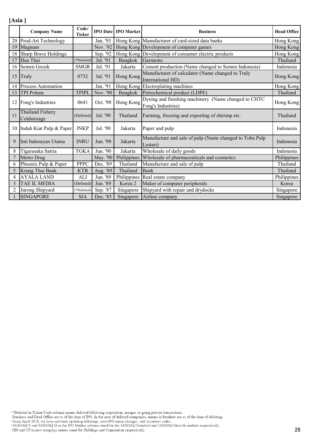|                 | <b>Company Name</b>             | Code/<br><b>Ticker</b> |          | <b>IPO Date IPO Market</b> | <b>Business</b>                                                            | <b>Head Office</b> |
|-----------------|---------------------------------|------------------------|----------|----------------------------|----------------------------------------------------------------------------|--------------------|
| 20              | Prod-Art Technology             |                        | Jan. '93 |                            | Hong Kong Manufacturer of card-sized data banks                            | Hong Kong          |
| 19              | Magnum                          |                        | Nov. '92 |                            | Hong Kong Development of computer games                                    | Hong Kong          |
| 18              | Sharp Brave Holdings            |                        | Sep. '92 |                            | Hong Kong Development of consumer electric products                        | Hong Kong          |
| 17              | Hua Thai                        | (*Delisted)            | Jul. '91 | Bangkok                    | Garments                                                                   | Thailand           |
| 16              | Semen Gresik                    | <b>SMGR</b>            | Jul. '91 | Jakarta                    | Cement production (Name changed to Semen Indonesia)                        | Indonesia          |
| 15              | Truly                           | 0732                   | Jul. '91 | Hong Kong                  | Manufacturer of calculator (Name changed to Truly<br>International HD)     | Hong Kong          |
| 14              | <b>Process Automation</b>       |                        | Jan. '91 |                            | Hong Kong Electroplating machines                                          | Hong Kong          |
| 13              | TPI Polene                      | <b>TPIPL</b>           | Nov. '90 | Bangkok                    | Petrochemical product (LDPE)                                               | Thailand           |
| 12              | Fong's Industries               | 0641                   | Oct. '90 | Hong Kong                  | Dyeing and finishing machinery (Name changed to CHTC<br>Fong's Industries) | Hong Kong          |
| 11              | Thailand Fishery<br>Coldstorage | (Delisted)             | Jul. '90 | Thailand                   | Farming, freezing and exporting of shirimp etc.                            | Thailand           |
|                 | 10 Indah Kiat Pulp & Paper      | <b>INKP</b>            | Jul. '90 | Jakarta                    | Paper and pulp                                                             | Indonesia          |
| 9               | Inti Indorayan Utama            | <b>INRU</b>            | Jun. '90 | Jakarta                    | Manufacture and sale of pulp (Name changed to Toba Pulp)<br>Lestari)       | Indonesia          |
| 8               | Tigarasaka Satria               | <b>TGKA</b>            | Jun. '90 | Jakarta                    | Wholesale of daily goods                                                   | Indonesia          |
| $7\phantom{.0}$ | Metro Drug                      |                        | May. '90 | Philippines                | Wholesale of pharmaceuticals and cosmetics                                 | Philippines        |
| 6               | Phoenix Pulp & Paper            | <b>PPPC</b>            | Dec. '89 | Thailand                   | Manufacture and sale of pulp                                               | Thailand           |
| 5               | Krung Thai Bank                 | <b>KTB</b>             | Aug. '89 | Thailand                   | Bank                                                                       | Thailand           |
| 4               | <b>AYALA LAND</b>               | <b>ALI</b>             | Jun. '89 | Philippines                | Real estate company                                                        | Philippines        |
| 3               | TAE IL MEDIA                    | (Delisted)             | Jun. '89 | Korea 2                    | Maker of computer peripherals                                              | Korea              |
| 2               | Jurong Shipyard                 | (*Delisted)            | Sep. '87 | Singapore                  | Shipyard with repair and drydocks                                          | Singapore          |
|                 | <b>SINGAPORE</b>                | <b>SIA</b>             | Dec. '85 | Singapore                  | Airline company                                                            | Singapore          |

\*Delisted in Ticker/Code column means delisted following acquisition, merger, or going private transactions.<br>Business and Head Office are as of the time of IPO. In the case of delisted companies, names in brackets are as o